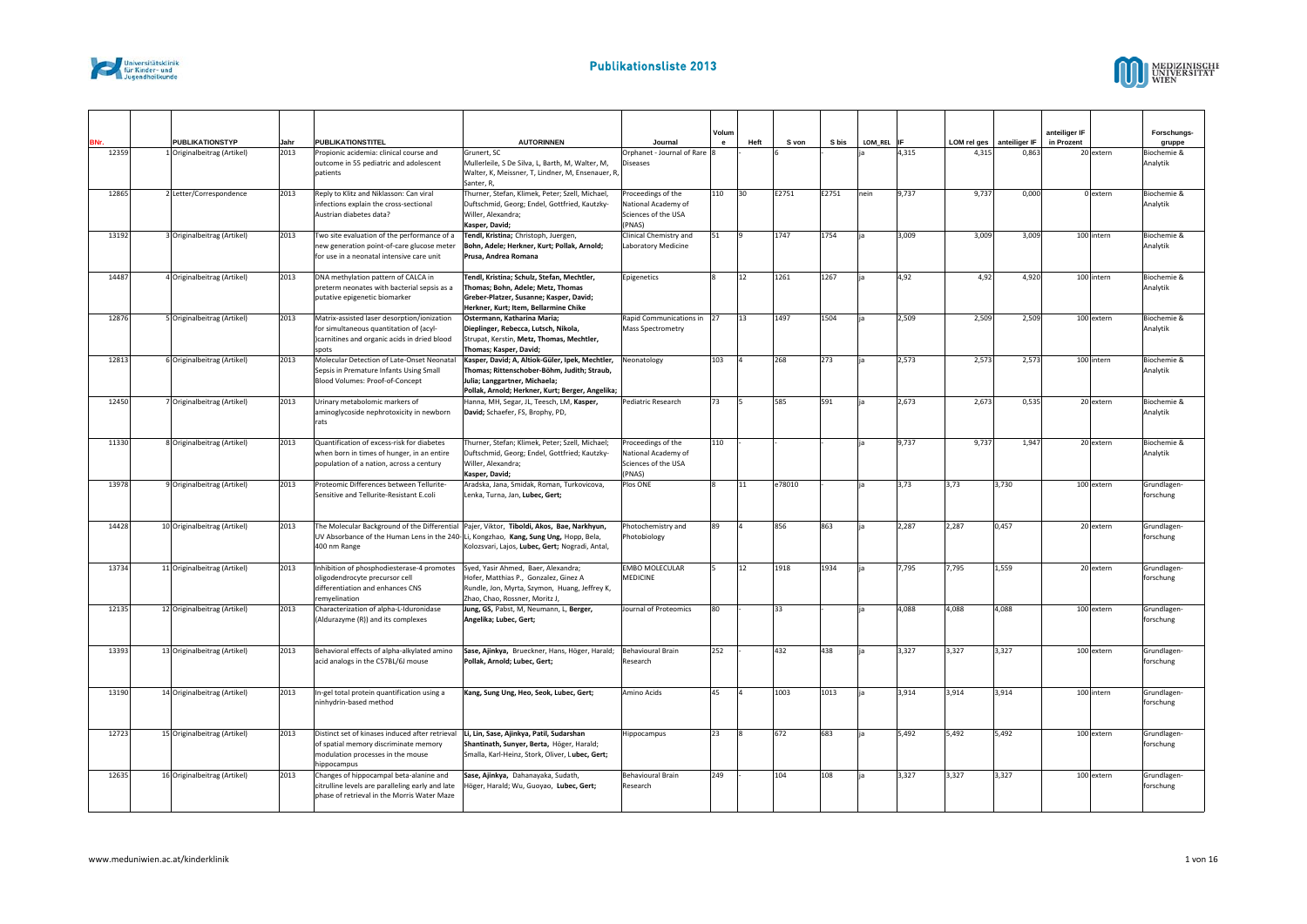



| BNr.  | <b>PUBLIKATIONSTYP</b>       | Jahr | <b>PUBLIKATIONSTITEL</b>                                                                  | <b>AUTORINNEN</b>                                                                                | Journal                                       | Volum<br>$\mathbf{e}$ | Heft | S von  | S bis | LOM REL IF |       | LOM rel ges | anteiliger IF | anteiliger IF<br>in Prozent |            | Forschungs-<br>gruppe    |
|-------|------------------------------|------|-------------------------------------------------------------------------------------------|--------------------------------------------------------------------------------------------------|-----------------------------------------------|-----------------------|------|--------|-------|------------|-------|-------------|---------------|-----------------------------|------------|--------------------------|
| 12359 | 1 Originalbeitrag (Artikel)  | 2013 | Propionic acidemia: clinical course and                                                   | Grunert, SC                                                                                      | Orphanet - Journal of Rare 8                  |                       |      |        |       |            | 4,315 | 4,315       | 0,863         |                             | 20 extern  | Biochemie &              |
|       |                              |      | outcome in 55 pediatric and adolescent                                                    | Mullerleile, S De Silva, L, Barth, M, Walter, M,                                                 | <b>Diseases</b>                               |                       |      |        |       |            |       |             |               |                             |            | Analytik                 |
|       |                              |      | patients                                                                                  | Walter, K, Meissner, T, Lindner, M, Ensenauer, R,<br>Santer, R.                                  |                                               |                       |      |        |       |            |       |             |               |                             |            |                          |
| 12865 | 2 Letter/Correspondence      | 2013 | Reply to Klitz and Niklasson: Can viral                                                   | Thurner, Stefan, Klimek, Peter; Szell, Michael,                                                  | Proceedings of the                            | 110                   | 30   | E2751  | E2751 | nein       | 9.737 | 9,737       | 0,000         |                             | 0 extern   | Biochemie &              |
|       |                              |      | infections explain the cross-sectional                                                    | Duftschmid, Georg; Endel, Gottfried, Kautzky-                                                    | National Academy of                           |                       |      |        |       |            |       |             |               |                             |            | Analytik                 |
|       |                              |      | Austrian diabetes data?                                                                   | Willer, Alexandra;                                                                               | Sciences of the USA                           |                       |      |        |       |            |       |             |               |                             |            |                          |
| 13192 |                              |      |                                                                                           | Kasper, David;                                                                                   | (PNAS)                                        | 51                    |      | 1747   | 1754  |            |       | 3,009       | 3,009         |                             | 100 intern |                          |
|       | 3 Originalbeitrag (Artikel)  | 2013 | Two site evaluation of the performance of a<br>new generation point-of-care glucose meter | Tendl, Kristina; Christoph, Juergen,<br>Bohn, Adele; Herkner, Kurt; Pollak, Arnold;              | Clinical Chemistry and<br>Laboratory Medicine |                       |      |        |       |            | 3,009 |             |               |                             |            | Biochemie &<br>Analytik  |
|       |                              |      | for use in a neonatal intensive care unit                                                 | Prusa, Andrea Romana                                                                             |                                               |                       |      |        |       |            |       |             |               |                             |            |                          |
|       |                              |      |                                                                                           |                                                                                                  |                                               |                       |      |        |       |            |       |             |               |                             |            |                          |
| 14487 | 4 Originalbeitrag (Artikel)  | 2013 | DNA methylation pattern of CALCA in                                                       | Tendl, Kristina; Schulz, Stefan, Mechtler,                                                       | Epigenetics                                   | $\mathbf{8}$          | 12   | 1261   | 1267  |            | 4,92  | 4,92        | 4,920         |                             | 100 intern | Biochemie &<br>Analytik  |
|       |                              |      | preterm neonates with bacterial sepsis as a<br>putative epigenetic biomarker              | Thomas; Bohn, Adele; Metz, Thomas<br>Greber-Platzer, Susanne; Kasper, David;                     |                                               |                       |      |        |       |            |       |             |               |                             |            |                          |
|       |                              |      |                                                                                           | Herkner, Kurt; Item, Bellarmine Chike                                                            |                                               |                       |      |        |       |            |       |             |               |                             |            |                          |
| 12876 | 5 Originalbeitrag (Artikel)  | 2013 | Matrix-assisted laser desorption/ionization                                               | Ostermann, Katharina Maria;                                                                      | Rapid Communications in 27                    |                       | 13   | 1497   | 1504  |            | 2,509 | 2,509       | 2,509         |                             | 100 extern | Biochemie &              |
|       |                              |      | for simultaneous quantitation of (acyl-                                                   | Dieplinger, Rebecca, Lutsch, Nikola,                                                             | Mass Spectrometry                             |                       |      |        |       |            |       |             |               |                             |            | Analytik                 |
|       |                              |      | )carnitines and organic acids in dried blood<br>spots                                     | Strupat, Kerstin, Metz, Thomas, Mechtler,<br>Thomas; Kasper, David;                              |                                               |                       |      |        |       |            |       |             |               |                             |            |                          |
| 12813 | 6 Originalbeitrag (Artikel)  | 2013 | Molecular Detection of Late-Onset Neonatal                                                | Kasper, David; A, Altiok-Güler, Ipek, Mechtler,                                                  | Neonatology                                   | 103                   |      | 268    | 273   |            | 2,573 | 2,573       | 2,573         |                             | 100 intern | Biochemie &              |
|       |                              |      | Sepsis in Premature Infants Using Small                                                   | Thomas; Rittenschober-Böhm, Judith; Straub,                                                      |                                               |                       |      |        |       |            |       |             |               |                             |            | Analytik                 |
|       |                              |      | Blood Volumes: Proof-of-Concept                                                           | Julia; Langgartner, Michaela;                                                                    |                                               |                       |      |        |       |            |       |             |               |                             |            |                          |
| 12450 | 7 Originalbeitrag (Artikel)  | 2013 | Urinary metabolomic markers of                                                            | Pollak, Arnold; Herkner, Kurt; Berger, Angelika;<br>Hanna, MH, Segar, JL, Teesch, LM, Kasper,    | Pediatric Research                            | 73                    |      | 585    | 591   |            | 2.673 | 2,673       | 0,535         |                             | 20 extern  | Biochemie &              |
|       |                              |      | aminoglycoside nephrotoxicity in newborn                                                  | David; Schaefer, FS, Brophy, PD,                                                                 |                                               |                       |      |        |       |            |       |             |               |                             |            | Analytik                 |
|       |                              |      | rats                                                                                      |                                                                                                  |                                               |                       |      |        |       |            |       |             |               |                             |            |                          |
|       |                              |      |                                                                                           |                                                                                                  |                                               |                       |      |        |       |            |       |             |               |                             |            |                          |
| 11330 | 8 Originalbeitrag (Artikel)  | 2013 | Quantification of excess-risk for diabetes<br>when born in times of hunger, in an entire  | Thurner, Stefan; Klimek, Peter; Szell, Michael;<br>Duftschmid, Georg; Endel, Gottfried; Kautzky- | Proceedings of the<br>National Academy of     | 110                   |      |        |       |            | 9,737 | 9,737       | 1,947         |                             | 20 extern  | Biochemie &<br>Analytik  |
|       |                              |      | population of a nation, across a century                                                  | Willer, Alexandra;                                                                               | Sciences of the USA                           |                       |      |        |       |            |       |             |               |                             |            |                          |
|       |                              |      |                                                                                           | Kasper, David;                                                                                   | (PNAS)                                        |                       |      |        |       |            |       |             |               |                             |            |                          |
| 13978 | 9 Originalbeitrag (Artikel)  | 2013 | Proteomic Differences between Tellurite-                                                  | Aradska, Jana, Smidak, Roman, Turkovicova,                                                       | Plos ONE                                      |                       | 11   | e78010 |       | lia        | 3,73  | 3,73        | 3,730         |                             | 100 extern | Grundlagen-              |
|       |                              |      | Sensitive and Tellurite-Resistant E.coli                                                  | Lenka, Turna, Jan, Lubec, Gert;                                                                  |                                               |                       |      |        |       |            |       |             |               |                             |            | forschung                |
|       |                              |      |                                                                                           |                                                                                                  |                                               |                       |      |        |       |            |       |             |               |                             |            |                          |
| 14428 | 10 Originalbeitrag (Artikel) | 2013 |                                                                                           | The Molecular Background of the Differential Pajer, Viktor, Tiboldi, Akos, Bae, Narkhyun,        | Photochemistry and                            | 89                    |      | 856    | 863   |            | 2,287 | 2,287       | 0,457         |                             | 20 extern  | Grundlagen-              |
|       |                              |      | UV Absorbance of the Human Lens in the 240- Li, Kongzhao, Kang, Sung Ung, Hopp, Bela,     |                                                                                                  | Photobiology                                  |                       |      |        |       |            |       |             |               |                             |            | forschung                |
|       |                              |      | 400 nm Range                                                                              | Kolozsvari, Lajos, Lubec, Gert; Nogradi, Antal,                                                  |                                               |                       |      |        |       |            |       |             |               |                             |            |                          |
| 13734 | 11 Originalbeitrag (Artikel) | 2013 | Inhibition of phosphodiesterase-4 promotes                                                | Syed, Yasir Ahmed, Baer, Alexandra;                                                              | <b>EMBO MOLECULAR</b>                         |                       | 12   | 1918   | 1934  |            | 7,795 | 7,795       | 1,559         |                             | 20 extern  | Grundlagen-              |
|       |                              |      | oligodendrocyte precursor cell                                                            | Hofer, Matthias P., Gonzalez, Ginez A                                                            | MEDICINE                                      |                       |      |        |       |            |       |             |               |                             |            | forschung                |
|       |                              |      | differentiation and enhances CNS                                                          | Rundle, Jon, Myrta, Szymon, Huang, Jeffrey K,                                                    |                                               |                       |      |        |       |            |       |             |               |                             |            |                          |
| 12135 | 12 Originalbeitrag (Artikel) | 2013 | remyelination<br>Characterization of alpha-L-Iduronidase                                  | Zhao, Chao, Rossner, Moritz J,<br>Jung, GS, Pabst, M, Neumann, L, Berger,                        | Journal of Proteomics                         | 80                    |      | 33     |       |            | 4,088 | 4,088       | 4,088         |                             | 100 extern | Grundlagen-              |
|       |                              |      | (Aldurazyme (R)) and its complexes                                                        | Angelika; Lubec, Gert;                                                                           |                                               |                       |      |        |       |            |       |             |               |                             |            | forschung                |
|       |                              |      |                                                                                           |                                                                                                  |                                               |                       |      |        |       |            |       |             |               |                             |            |                          |
|       |                              |      |                                                                                           |                                                                                                  |                                               |                       |      |        |       |            |       |             |               |                             |            |                          |
| 13393 | 13 Originalbeitrag (Artikel) | 2013 | Behavioral effects of alpha-alkylated amino<br>acid analogs in the C57BL/6J mouse         | Sase, Ajinkya, Brueckner, Hans, Höger, Harald;<br>Pollak, Arnold; Lubec, Gert;                   | Behavioural Brain<br>Research                 | 252                   |      | 432    | 438   |            | 3,327 | 3,327       | 3,327         |                             | 100 extern | Grundlagen-<br>forschung |
|       |                              |      |                                                                                           |                                                                                                  |                                               |                       |      |        |       |            |       |             |               |                             |            |                          |
|       |                              |      |                                                                                           |                                                                                                  |                                               |                       |      |        |       |            |       |             |               |                             |            |                          |
| 13190 | 14 Originalbeitrag (Artikel) | 2013 | In-gel total protein quantification using a                                               | Kang, Sung Ung, Heo, Seok, Lubec, Gert;                                                          | Amino Acids                                   | 45                    |      | 1003   | 1013  |            | 3,914 | 3,914       | 3,914         |                             | 100 intern | Grundlagen-              |
|       |                              |      | ninhydrin-based method                                                                    |                                                                                                  |                                               |                       |      |        |       |            |       |             |               |                             |            | forschung                |
|       |                              |      |                                                                                           |                                                                                                  |                                               |                       |      |        |       |            |       |             |               |                             |            |                          |
| 12723 | 15 Originalbeitrag (Artikel) | 2013 | Distinct set of kinases induced after retrieval Li, Lin, Sase, Ajinkya, Patil, Sudarshan  |                                                                                                  | Hippocampus                                   | 23                    |      | 672    | 683   |            | 5,492 | 5,492       | 5,492         |                             | 100 extern | Grundlagen-              |
|       |                              |      | of spatial memory discriminate memory                                                     | Shantinath, Sunyer, Berta, Höger, Harald;                                                        |                                               |                       |      |        |       |            |       |             |               |                             |            | forschung                |
|       |                              |      | modulation processes in the mouse<br>hippocampus                                          | Smalla, Karl-Heinz, Stork, Oliver, Lubec, Gert;                                                  |                                               |                       |      |        |       |            |       |             |               |                             |            |                          |
| 12635 | 16 Originalbeitrag (Artikel) | 2013 | Changes of hippocampal beta-alanine and                                                   | Sase, Ajinkya, Dahanayaka, Sudath,                                                               | Behavioural Brain                             | 249                   |      | 104    | 108   |            | 3,327 | 3,327       | 3,327         |                             | 100 extern | Grundlagen-              |
|       |                              |      | citrulline levels are paralleling early and late                                          | Höger, Harald; Wu, Guoyao, Lubec, Gert;                                                          | Research                                      |                       |      |        |       |            |       |             |               |                             |            | forschung                |
|       |                              |      | phase of retrieval in the Morris Water Maze                                               |                                                                                                  |                                               |                       |      |        |       |            |       |             |               |                             |            |                          |
|       |                              |      |                                                                                           |                                                                                                  |                                               |                       |      |        |       |            |       |             |               |                             |            |                          |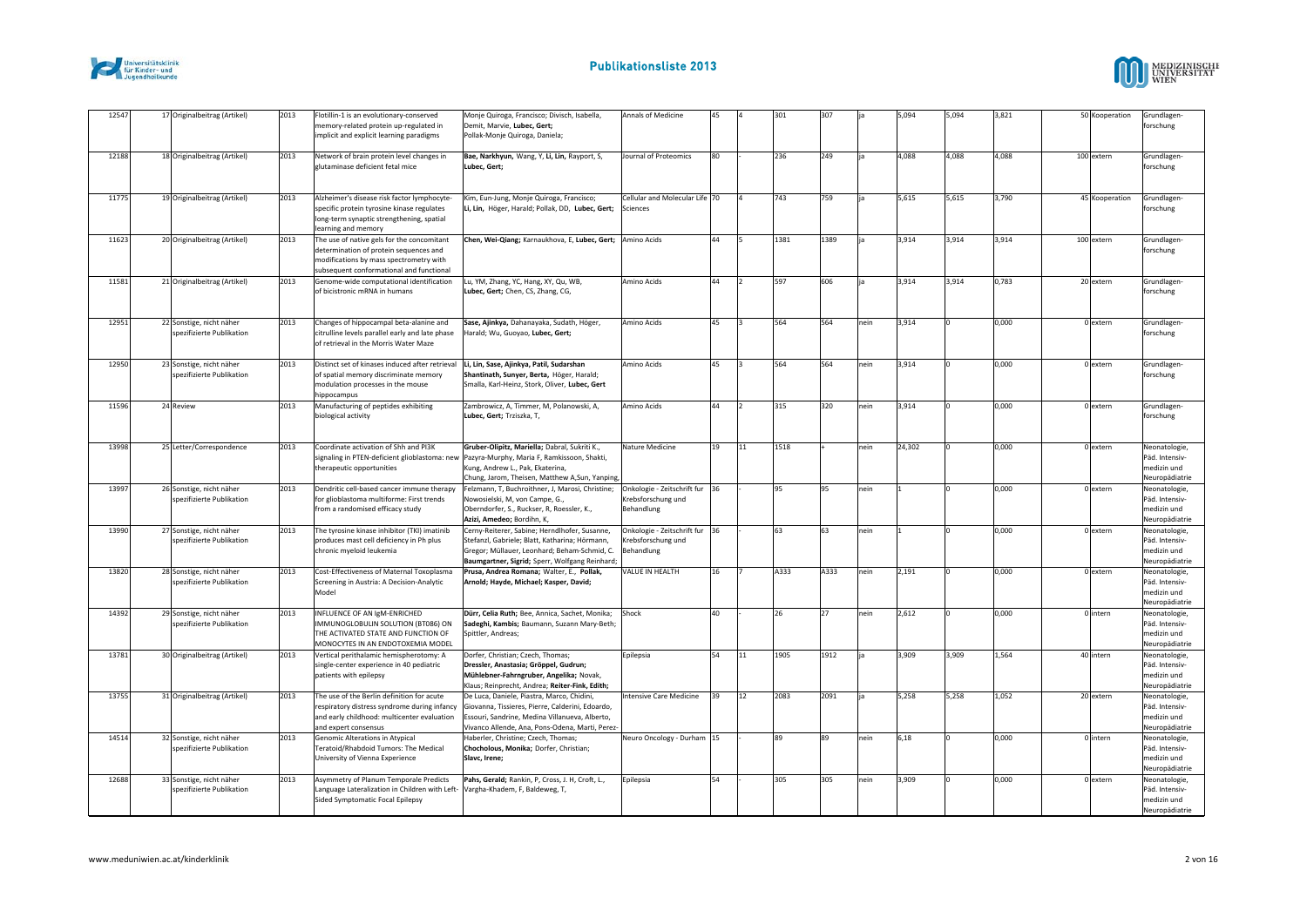



| 12547 |           | 17 Originalbeitrag (Artikel)                          | 2013 | Flotillin-1 is an evolutionary-conserved<br>nemory-related protein up-regulated in<br>implicit and explicit learning paradigms                                              | Monje Quiroga, Francisco; Divisch, Isabella,<br>Demit, Marvie, Lubec, Gert;<br>Pollak-Monje Quiroga, Daniela;                                                                                       | Annals of Medicine                                                 | 45              |    | 301  | 307  |      | 5,094  | 5,094 | 3,821 | 50 Kooperation | Grundlagen<br>forschung                                          |
|-------|-----------|-------------------------------------------------------|------|-----------------------------------------------------------------------------------------------------------------------------------------------------------------------------|-----------------------------------------------------------------------------------------------------------------------------------------------------------------------------------------------------|--------------------------------------------------------------------|-----------------|----|------|------|------|--------|-------|-------|----------------|------------------------------------------------------------------|
| 12188 |           | 18 Originalbeitrag (Artikel)                          | 2013 | Network of brain protein level changes in<br>glutaminase deficient fetal mice                                                                                               | Bae, Narkhyun, Wang, Y, Li, Lin, Rayport, S,<br>Lubec, Gert;                                                                                                                                        | <b>Journal of Proteomics</b>                                       | 80              |    | 236  | 249  |      | 4.088  | 4,088 | 4,088 | 100 extern     | Grundlagen-<br>forschung                                         |
| 11775 |           | 19 Originalbeitrag (Artikel)                          | 2013 | Alzheimer's disease risk factor lymphocyte-<br>specific protein tyrosine kinase regulates<br>long-term synaptic strengthening, spatial<br>learning and memory               | Kim, Eun-Jung, Monje Quiroga, Francisco;<br>Li, Lin, Höger, Harald; Pollak, DD, Lubec, Gert;                                                                                                        | Cellular and Molecular Life 70<br>Sciences                         |                 |    | 743  | 759  |      | 5,615  | 5,615 | 3,790 | 45 Kooperation | Grundlagen<br>forschung                                          |
| 11623 |           | 20 Originalbeitrag (Artikel)                          | 2013 | The use of native gels for the concomitant<br>determination of protein sequences and<br>modifications by mass spectrometry with<br>subsequent conformational and functional | Chen, Wei-Qiang; Karnaukhova, E, Lubec, Gert; Amino Acids                                                                                                                                           |                                                                    | 44              |    | 1381 | 1389 |      | 3,914  | 3,914 | 3,914 | 100 extern     | Grundlagen-<br>forschung                                         |
| 11581 |           | 21 Originalbeitrag (Artikel)                          | 2013 | Genome-wide computational identification<br>of bicistronic mRNA in humans                                                                                                   | Lu, YM, Zhang, YC, Hang, XY, Qu, WB,<br>Lubec, Gert; Chen, CS, Zhang, CG,                                                                                                                           | Amino Acids                                                        | 44              |    | 597  | 606  |      | 3,914  | 3,914 | 0,783 | 20 extern      | Grundlagen<br>forschung                                          |
| 12951 |           | 22 Sonstige, nicht näher<br>spezifizierte Publikation | 2013 | Changes of hippocampal beta-alanine and<br>citrulline levels parallel early and late phase<br>of retrieval in the Morris Water Maze                                         | Sase, Ajinkya, Dahanayaka, Sudath, Höger,<br>Harald; Wu, Guoyao, Lubec, Gert;                                                                                                                       | Amino Acids                                                        | 45              |    | 564  | 564  | nein | 3,914  |       | 0,000 | 0 extern       | Grundlagen<br>forschung                                          |
| 12950 |           | 23 Sonstige, nicht näher<br>spezifizierte Publikation | 2013 | Distinct set of kinases induced after retrieval<br>of spatial memory discriminate memory<br>modulation processes in the mouse<br>hippocampus                                | Li, Lin, Sase, Ajinkya, Patil, Sudarshan<br>Shantinath, Sunyer, Berta, Höger, Harald;<br>Smalla, Karl-Heinz, Stork, Oliver, Lubec, Gert                                                             | Amino Acids                                                        | 45              |    | 564  | 564  | nein | 3,914  |       | 0,000 | 0 extern       | Grundlagen<br>forschung                                          |
| 11596 | 24 Review |                                                       | 2013 | Manufacturing of peptides exhibiting<br>biological activity                                                                                                                 | Zambrowicz, A, Timmer, M, Polanowski, A,<br>Lubec, Gert; Trziszka, T,                                                                                                                               | Amino Acids                                                        | 44              |    | 315  | 320  | nein | 3,914  |       | 0.000 | 0 extern       | Grundlagen-<br>forschung                                         |
| 13998 |           | 25 Letter/Correspondence                              | 2013 | Coordinate activation of Shh and PI3K<br>signaling in PTEN-deficient glioblastoma: new<br>therapeutic opportunities                                                         | Gruber-Olipitz, Mariella; Dabral, Sukriti K.,<br>Pazyra-Murphy, Maria F, Ramkissoon, Shakti,<br>Kung, Andrew L., Pak, Ekaterina,<br>Chung, Jarom, Theisen, Matthew A, Sun, Yanping,                 | Nature Medicine                                                    | 19              | 11 | 1518 |      | nein | 24,302 |       | 0,000 | 0 extern       | Neonatologie<br>Päd. Intensiv-<br>medizin und<br>Neuropädiatrie  |
| 13997 |           | 26 Sonstige, nicht näher<br>spezifizierte Publikation | 2013 | Dendritic cell-based cancer immune therapy<br>for glioblastoma multiforme: First trends<br>from a randomised efficacy study                                                 | Felzmann, T, Buchroithner, J, Marosi, Christine;<br>Nowosielski, M, von Campe, G.,<br>Oberndorfer, S., Ruckser, R, Roessler, K.,<br>Azizi, Amedeo; Bordihn, K,                                      | Onkologie - Zeitschrift fur 36<br>Krebsforschung und<br>Behandlung |                 |    | 95   | Q5   | nein |        |       | 0,000 | 0 extern       | Neonatologie<br>Päd. Intensiv-<br>medizin und<br>Neuropädiatrie  |
| 13990 |           | 27 Sonstige, nicht näher<br>spezifizierte Publikation | 2013 | The tyrosine kinase inhibitor (TKI) imatinib<br>produces mast cell deficiency in Ph plus<br>chronic myeloid leukemia                                                        | Cerny-Reiterer, Sabine; Herndlhofer, Susanne,<br>Stefanzl, Gabriele; Blatt, Katharina; Hörmann,<br>Gregor; Müllauer, Leonhard; Beham-Schmid, C.<br>Baumgartner, Sigrid; Sperr, Wolfgang Reinhard;   | Onkologie - Zeitschrift fur<br>Krebsforschung und<br>Behandlung    | 36              |    | 63   | 63   | nein |        |       | 0,000 | 0 extern       | Neonatologie<br>Päd. Intensiv-<br>medizin und<br>Neuropädiatrie  |
| 13820 |           | 28 Sonstige, nicht näher<br>spezifizierte Publikation | 2013 | Cost-Effectiveness of Maternal Toxoplasma<br>Screening in Austria: A Decision-Analytic<br>Model                                                                             | Prusa, Andrea Romana; Walter, E., Pollak,<br>Arnold; Hayde, Michael; Kasper, David;                                                                                                                 | VALUE IN HEALTH                                                    | 16 <sup>1</sup> |    | A333 | A333 | nein | 2,191  |       | 0,000 | 0 extern       | Neonatologie<br>Päd. Intensiv-<br>medizin und<br>Neuropädiatrie  |
| 14392 |           | 29 Sonstige, nicht näher<br>spezifizierte Publikation | 2013 | INFLUENCE OF AN IgM-ENRICHED<br>IMMUNOGLOBULIN SOLUTION (BT086) ON<br>THE ACTIVATED STATE AND FUNCTION OF<br>MONOCYTES IN AN ENDOTOXEMIA MODEL                              | Dürr, Celia Ruth; Bee, Annica, Sachet, Monika;<br>Sadeghi, Kambis; Baumann, Suzann Mary-Beth;<br>Spittler, Andreas;                                                                                 | Shock                                                              | 40              |    | 26   | 27   | nein | 2,612  |       | 0,000 | 0 intern       | Neonatologie<br>Päd. Intensiv-<br>medizin und<br>Neuropädiatrie  |
| 13781 |           | 30 Originalbeitrag (Artikel)                          | 2013 | Vertical perithalamic hemispherotomy: A<br>single-center experience in 40 pediatric<br>patients with epilepsy                                                               | Dorfer, Christian; Czech, Thomas;<br>Dressler, Anastasia; Gröppel, Gudrun;<br>Mühlebner-Fahrngruber, Angelika; Novak,<br>Klaus; Reinprecht, Andrea; Reiter-Fink, Edith;                             | Epilepsia                                                          | 54              | 11 | 1905 | 1912 |      | 3,909  | 3,909 | 1,564 | 40 intern      | Neonatologie<br>Päd. Intensiv-<br>medizin und<br>Neuropädiatrie  |
| 13755 |           | 31 Originalbeitrag (Artikel)                          | 2013 | The use of the Berlin definition for acute<br>respiratory distress syndrome during infancy<br>and early childhood: multicenter evaluation<br>and expert consensus           | De Luca, Daniele, Piastra, Marco, Chidini,<br>Giovanna, Tissieres, Pierre, Calderini, Edoardo,<br>Essouri, Sandrine, Medina Villanueva, Alberto,<br>Vivanco Allende, Ana, Pons-Odena, Marti, Perez- | ntensive Care Medicine                                             | 39              | 12 | 2083 | 2091 |      | 5,258  | 5,258 | 1,052 | 20 extern      | Neonatologie<br>Päd. Intensiv-<br>medizin und<br>Neuropädiatrie  |
| 14514 |           | 32 Sonstige, nicht näher<br>spezifizierte Publikation | 2013 | Genomic Alterations in Atypical<br>Teratoid/Rhabdoid Tumors: The Medical<br>University of Vienna Experience                                                                 | Haberler, Christine; Czech, Thomas;<br>Chocholous, Monika; Dorfer, Christian;<br>Slavc, Irene;                                                                                                      | Neuro Oncology - Durham 15                                         |                 |    | 89   | 89   | nein | 6,18   |       | 0,000 | 0 intern       | Neonatologie<br>Päd. Intensiv-<br>medizin und<br>Neuropädiatrie  |
| 12688 |           | 33 Sonstige, nicht näher<br>spezifizierte Publikation | 2013 | Asymmetry of Planum Temporale Predicts<br>Language Lateralization in Children with Left-<br>Sided Symptomatic Focal Epilepsy                                                | Pahs, Gerald; Rankin, P, Cross, J. H, Croft, L.,<br>Vargha-Khadem, F, Baldeweg, T,                                                                                                                  | Epilepsia                                                          | 54              |    | 305  | 305  | nein | 3.909  |       | 0.000 | 0 extern       | Neonatologie.<br>Päd. Intensiv-<br>medizin und<br>Neuropädiatrie |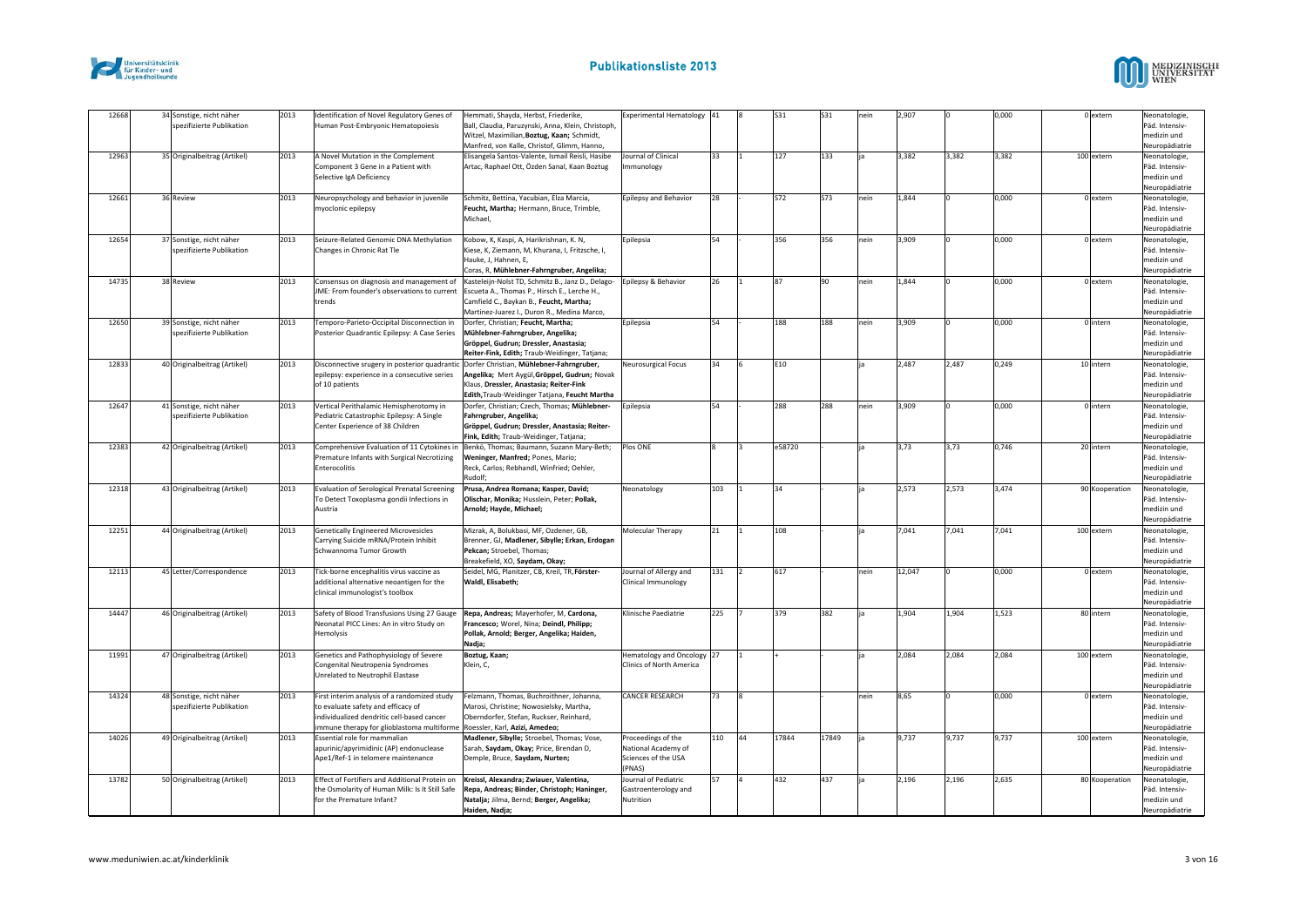



| 12668 | 34 Sonstige, nicht näher<br>spezifizierte Publikation | 2013 | Identification of Novel Regulatory Genes of<br>Human Post-Embryonic Hematopoiesis                                                                                                                             | Hemmati, Shayda, Herbst, Friederike,<br>Ball, Claudia, Paruzynski, Anna, Klein, Christoph,<br>Witzel, Maximilian. Boztug, Kaan: Schmidt.<br>Manfred, von Kalle, Christof, Glimm, Hanno,                                                | Experimental Hematology 41                                                 |     |    | S31    | S31   | neir | 2,907  |       | 0,000 | 0 extern       | Neonatologie,<br>Päd. Intensiv-<br>medizin und<br>Neuropädiatrie |
|-------|-------------------------------------------------------|------|---------------------------------------------------------------------------------------------------------------------------------------------------------------------------------------------------------------|----------------------------------------------------------------------------------------------------------------------------------------------------------------------------------------------------------------------------------------|----------------------------------------------------------------------------|-----|----|--------|-------|------|--------|-------|-------|----------------|------------------------------------------------------------------|
| 12963 | 35 Originalbeitrag (Artikel)                          | 2013 | A Novel Mutation in the Complement<br>Component 3 Gene in a Patient with<br>Selective IgA Deficiency                                                                                                          | Elisangela Santos-Valente, Ismail Reisli, Hasibe<br>Artac, Raphael Ott, Özden Sanal, Kaan Boztug                                                                                                                                       | Journal of Clinical<br><b>Immunology</b>                                   | 33  |    | 127    | 133   |      | 3,382  | 3.382 | 3,382 | 100 extern     | Neonatologie,<br>Päd. Intensiv-<br>medizin und<br>Neuropädiatrie |
| 12661 | 36 Review                                             | 2013 | Neuropsychology and behavior in juvenile<br>myoclonic epilepsy                                                                                                                                                | Schmitz, Bettina, Yacubian, Elza Marcia,<br>Feucht, Martha; Hermann, Bruce, Trimble,<br>Michael.                                                                                                                                       | Epilepsy and Behavior                                                      | 28  |    | S72    | S73   | nein | 1,844  |       | 0.000 | 0 extern       | Neonatologie,<br>Päd. Intensiv-<br>medizin und<br>Neuropädiatrie |
| 12654 | 37 Sonstige, nicht näher<br>spezifizierte Publikation | 2013 | Seizure-Related Genomic DNA Methylation<br>Changes in Chronic Rat Tle                                                                                                                                         | Kobow, K, Kaspi, A, Harikrishnan, K. N,<br>Kiese, K, Ziemann, M, Khurana, I, Fritzsche, I,<br>Hauke, J, Hahnen, E,<br>Coras, R, Mühlebner-Fahrngruber, Angelika;                                                                       | Epilepsia                                                                  | 54  |    | 356    | 356   | nein | 3,909  |       | 0,000 | 0 extern       | Neonatologie,<br>Päd. Intensiv-<br>medizin und<br>Neuropädiatrie |
| 14735 | 38 Review                                             | 2013 | IME: From founder's observations to current<br>trends                                                                                                                                                         | Consensus on diagnosis and management of   Kasteleijn-Nolst TD, Schmitz B., Janz D., Delago-<br>Escueta A., Thomas P., Hirsch E., Lerche H.,<br>Camfield C., Baykan B., Feucht, Martha;<br>Martinez-Juarez I., Duron R., Medina Marco, | Epilepsy & Behavior                                                        | 26  |    | 87     | lan   | nein | 1,844  |       | 0,000 | 0 extern       | Neonatologie,<br>Päd. Intensiv-<br>medizin und<br>Neuropädiatrie |
| 12650 | 39 Sonstige, nicht näher<br>spezifizierte Publikation | 2013 | Temporo-Parieto-Occipital Disconnection in<br>Posterior Quadrantic Epilepsy: A Case Series                                                                                                                    | Dorfer, Christian: Feucht, Martha:<br>Mühlebner-Fahrngruber, Angelika;<br>Gröppel, Gudrun; Dressler, Anastasia;<br>Reiter-Fink, Edith; Traub-Weidinger, Tatjana;                                                                       | Epilepsia                                                                  | 54  |    | 188    | 188   | nein | 3,909  |       | 000,0 | Olintern       | Neonatologie<br>Päd. Intensiv-<br>medizin und<br>Neuropädiatrie  |
| 12833 | 40 Originalbeitrag (Artikel)                          | 2013 | Disconnective srugery in posterior quadrantic Dorfer Christian, Mühlebner-Fahrngruber,<br>epilepsy: experience in a consecutive series<br>of 10 patients                                                      | Angelika; Mert Aygül, Gröppel, Gudrun; Novak<br>Klaus, Dressler, Anastasia: Reiter-Fink<br>Edith, Traub-Weidinger Tatjana, Feucht Martha                                                                                               | Neurosurgical Focus                                                        | 34  |    | E10    |       | ia   | 2,487  | 2,487 | 0,249 | 10 intern      | Neonatologie<br>Päd. Intensiv-<br>medizin und<br>Neuropädiatrie  |
| 12647 | 41 Sonstige, nicht näher<br>spezifizierte Publikation | 2013 | Vertical Perithalamic Hemispherotomy in<br>Pediatric Catastrophic Epilepsy: A Single<br>Center Experience of 38 Children                                                                                      | Dorfer, Christian; Czech, Thomas; Mühlebner-<br>Fahrngruber, Angelika;<br>Gröppel, Gudrun; Dressler, Anastasia; Reiter-<br>Fink, Edith; Traub-Weidinger, Tatjana;                                                                      | Epilepsia                                                                  | 54  |    | 288    | 288   | nein | 3,909  |       | 0,000 | 0 intern       | Neonatologie,<br>Päd. Intensiv-<br>medizin und<br>Neuropädiatrie |
| 12383 | 42 Originalbeitrag (Artikel)                          | 2013 | Comprehensive Evaluation of 11 Cytokines in<br>Premature Infants with Surgical Necrotizing<br>Enterocolitis                                                                                                   | Benkö, Thomas; Baumann, Suzann Mary-Beth;<br>Weninger, Manfred; Pones, Mario;<br>Reck, Carlos; Rebhandl, Winfried; Oehler,<br>Rudolf:                                                                                                  | Plos ONE                                                                   |     |    | e58720 |       | ia   | 3,73   | 3,73  | 0,746 | 20 intern      | Neonatologie,<br>Päd. Intensiv-<br>medizin und<br>Neuropädiatrie |
| 12318 | 43 Originalbeitrag (Artikel)                          | 2013 | Evaluation of Serological Prenatal Screening<br>To Detect Toxoplasma gondii Infections in<br>Austria                                                                                                          | Prusa, Andrea Romana: Kasper, David:<br>Olischar, Monika; Husslein, Peter; Pollak,<br>Arnold; Hayde, Michael;                                                                                                                          | Neonatology                                                                | 103 |    | 34     |       |      | 2,573  | 2.573 | 3.474 | 90 Kooperation | Neonatologie,<br>Päd. Intensiv-<br>medizin und<br>Neuropädiatrie |
| 12251 | 44 Originalbeitrag (Artikel)                          | 2013 | <b>Genetically Engineered Microvesicles</b><br>Carrying Suicide mRNA/Protein Inhibit<br>Schwannoma Tumor Growth                                                                                               | Mizrak, A, Bolukbasi, MF, Ozdener, GB,<br>Brenner, GJ, Madlener, Sibylle; Erkan, Erdogan<br>Pekcan; Stroebel, Thomas;<br>Breakefield, XO, Saydam, Okay;                                                                                | Molecular Therapy                                                          | 21  |    | 108    |       | ia   | 7,041  | 7,041 | 7,041 | 100 extern     | Neonatologie,<br>Päd. Intensiv-<br>medizin und<br>Neuropädiatrie |
| 12113 | 45 Letter/Correspondence                              | 2013 | Tick-borne encephalitis virus vaccine as<br>additional alternative neoantigen for the<br>clinical immunologist's toolbox                                                                                      | Seidel, MG, Planitzer, CB, Kreil, TR, Förster-<br>Waldl, Elisabeth;                                                                                                                                                                    | Journal of Allergy and<br>Clinical Immunology                              | 131 |    | 617    |       | nein | 12,047 |       | 0,000 | 0 extern       | Neonatologie,<br>Päd. Intensiv-<br>medizin und<br>Neuropädiatrie |
| 14447 | 46 Originalbeitrag (Artikel)                          | 2013 | Safety of Blood Transfusions Using 27 Gauge Repa, Andreas; Mayerhofer, M. Cardona,<br>Neonatal PICC Lines: An in vitro Study on<br>Hemolysis                                                                  | Francesco; Worel, Nina; Deindl, Philipp;<br>Pollak, Arnold; Berger, Angelika; Haiden,<br>Nadja;                                                                                                                                        | Klinische Paediatrie                                                       | 225 |    | 379    | 382   | lia  | 1,904  | 1.904 | 1,523 | 80 intern      | Neonatologie,<br>Päd. Intensiv-<br>medizin und<br>Neuropädiatrie |
| 11991 | 47 Originalbeitrag (Artikel)                          | 2013 | Genetics and Pathophysiology of Severe<br>Congenital Neutropenia Syndromes<br>Unrelated to Neutrophil Elastase                                                                                                | Boztug, Kaan;<br>Klein, C,                                                                                                                                                                                                             | Hematology and Oncology 27<br>Clinics of North America                     |     |    |        |       | ia   | 2,084  | 2,084 | 2,084 | 100 extern     | Neonatologie<br>Päd. Intensiv-<br>medizin und<br>Neuropädiatrie  |
| 14324 | 48 Sonstige, nicht näher<br>spezifizierte Publikation | 2013 | First interim analysis of a randomized study<br>to evaluate safety and efficacy of<br>individualized dendritic cell-based cancer<br>immune therapy for glioblastoma multiforme Roessler, Karl, Azizi, Amedeo; | Felzmann, Thomas, Buchroithner, Johanna,<br>Marosi, Christine; Nowosielsky, Martha,<br>Oberndorfer, Stefan, Ruckser, Reinhard,                                                                                                         | CANCER RESEARCH                                                            | 73  |    |        |       | nein | 8,65   |       | 0,000 | 0 extern       | Neonatologie,<br>Päd. Intensiv-<br>medizin und<br>Neuropädiatrie |
| 14026 | 49 Originalbeitrag (Artikel)                          | 2013 | Essential role for mammalian<br>apurinic/apyrimidinic (AP) endonuclease<br>Ape1/Ref-1 in telomere maintenance                                                                                                 | Madlener, Sibylle; Stroebel, Thomas; Vose,<br>Sarah, Saydam, Okay; Price, Brendan D,<br>Demple, Bruce, Saydam, Nurten;                                                                                                                 | Proceedings of the<br>National Academy of<br>Sciences of the USA<br>(PNAS) | 110 | 44 | 17844  | 17849 | lia  | 9,737  | 9,737 | 9,737 | 100 extern     | Neonatologie<br>Päd. Intensiv-<br>medizin und<br>Neuropädiatrie  |
| 13782 | 50 Originalbeitrag (Artikel)                          | 2013 | Effect of Fortifiers and Additional Protein on<br>the Osmolarity of Human Milk: Is It Still Safe<br>for the Premature Infant?                                                                                 | Kreissl, Alexandra; Zwiauer, Valentina,<br>Repa, Andreas; Binder, Christoph; Haninger,<br>Natalja; Jilma, Bernd; Berger, Angelika;<br>Haiden, Nadja;                                                                                   | Journal of Pediatric<br>Gastroenterology and<br>Nutrition                  | 57  |    | 432    | 437   |      | 2,196  | 2,196 | 2,635 | 80 Kooperation | Neonatologie,<br>Päd. Intensiv-<br>medizin und<br>Neuropädiatrie |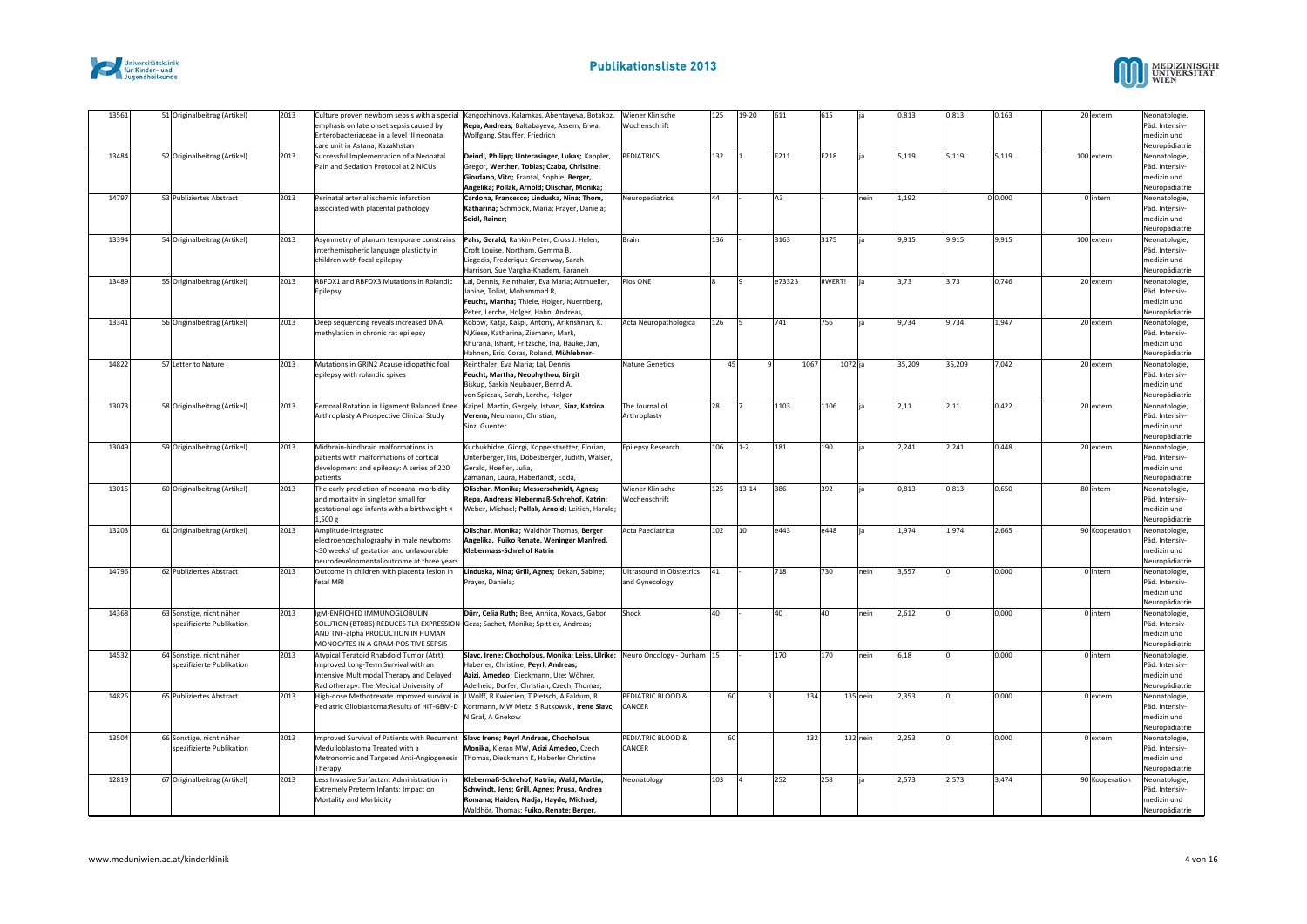



| 13561 | 51 Originalbeitrag (Artikel)                          | 2013 | mphasis on late onset sepsis caused by<br>Enterobacteriaceae in a level III neonatal<br>care unit in Astana, Kazakhstan                                                                     | Culture proven newborn sepsis with a special   Kangozhinova, Kalamkas, Abentayeva, Botakoz,<br>Repa, Andreas; Baltabayeva, Assem, Erwa,<br>Wolfgang, Stauffer, Friedrich                | Wiener Klinische<br>Wochenschrift                 | 125 | 19-20   | 611    | 615    |          | 0,813  | 0,813  | 0,163   | 20 extern      | Neonatologie,<br>Päd. Intensiv-<br>medizin und<br>Neuropädiatrie |
|-------|-------------------------------------------------------|------|---------------------------------------------------------------------------------------------------------------------------------------------------------------------------------------------|-----------------------------------------------------------------------------------------------------------------------------------------------------------------------------------------|---------------------------------------------------|-----|---------|--------|--------|----------|--------|--------|---------|----------------|------------------------------------------------------------------|
| 13484 | 52 Originalbeitrag (Artikel)                          | 2013 | Successful Implementation of a Neonatal<br>Pain and Sedation Protocol at 2 NICUs                                                                                                            | Deindl, Philipp; Unterasinger, Lukas; Kappler,<br>Gregor, Werther, Tobias; Czaba, Christine;<br>Giordano, Vito; Frantal, Sophie; Berger,<br>Angelika; Pollak, Arnold; Olischar, Monika; | PEDIATRICS                                        | 132 |         | E211   | E218   | ia       | 5,119  | 5,119  | 5,119   | 100 extern     | Neonatologie,<br>Päd. Intensiv-<br>medizin und<br>Neuropädiatrie |
| 14797 | 53 Publiziertes Abstract                              | 2013 | Perinatal arterial ischemic infarction<br>associated with placental pathology                                                                                                               | Cardona, Francesco; Linduska, Nina; Thom,<br>Katharina; Schmook, Maria; Prayer, Daniela;<br>Seidl, Rainer;                                                                              | Neuropediatrics                                   | 44  |         | A3     |        | nein     | 1,192  |        | 0 0,000 | 0 intern       | Neonatologie,<br>Päd. Intensiv-<br>medizin und<br>Neuropädiatrie |
| 13394 | 54 Originalbeitrag (Artikel)                          | 2013 | Asymmetry of planum temporale constrains<br>interhemispheric language plasticity in<br>children with focal epilepsy                                                                         | Pahs, Gerald; Rankin Peter, Cross J. Helen,<br>Croft Louise, Northam, Gemma B,.<br>Liegeois, Frederique Greenway, Sarah<br>Harrison, Sue Vargha-Khadem, Faraneh                         | Brain                                             | 136 |         | 3163   | 3175   | ia       | 9,915  | 9,915  | 9,915   | 100 extern     | Neonatologie,<br>Päd. Intensiv-<br>medizin und<br>Neuropädiatrie |
| 13489 | 55 Originalbeitrag (Artikel)                          | 2013 | RBFOX1 and RBFOX3 Mutations in Rolandic<br>Epilepsy                                                                                                                                         | Lal, Dennis, Reinthaler, Eva Maria; Altmueller,<br>Janine, Toliat, Mohammad R,<br>Feucht, Martha; Thiele, Holger, Nuernberg,<br>Peter, Lerche, Holger, Hahn, Andreas,                   | Plos ONE                                          |     |         | e73323 | #WERT! |          | 3,73   | 3,73   | 0,746   | 20 extern      | Neonatologie,<br>Päd. Intensiv-<br>medizin und<br>Neuropädiatrie |
| 13341 | 56 Originalbeitrag (Artikel)                          | 2013 | Deep sequencing reveals increased DNA<br>methylation in chronic rat epilepsy                                                                                                                | Kobow, Katja, Kaspi, Antony, Arikrishnan, K.<br>N, Kiese, Katharina, Ziemann, Mark,<br>Khurana, Ishant, Fritzsche, Ina, Hauke, Jan,<br>Hahnen, Eric, Coras, Roland, Mühlebner-          | Acta Neuropathologica                             | 126 |         | 741    | 756    |          | 9,734  | 9,734  | 1.947   | 20 extern      | Neonatologie,<br>Päd. Intensiv-<br>medizin und<br>Neuropädiatrie |
| 14822 | 57 Letter to Nature                                   | 2013 | Mutations in GRIN2 Acause idiopathic foal<br>epilepsy with rolandic spikes                                                                                                                  | Reinthaler, Eva Maria; Lal, Dennis<br>Feucht, Martha; Neophythou, Birgit<br>Biskup, Saskia Neubauer, Bernd A.<br>von Spiczak, Sarah, Lerche, Holger                                     | Nature Genetics                                   | 45  |         | 1067   |        | 1072 ja  | 35,209 | 35,209 | 7,042   | 20 extern      | Neonatologie<br>Päd. Intensiv-<br>medizin und<br>Neuropädiatrie  |
| 13073 | 58 Originalbeitrag (Artikel)                          | 2013 | Femoral Rotation in Ligament Balanced Knee<br>Arthroplasty A Prospective Clinical Study                                                                                                     | Kaipel, Martin, Gergely, Istvan, Sinz, Katrina<br>Verena, Neumann, Christian,<br>Sinz, Guenter                                                                                          | The Journal of<br>Arthroplasty                    | 28  |         | 1103   | 1106   |          | 2,11   | 2,11   | 0,422   | 20 extern      | Neonatologie,<br>Päd. Intensiv-<br>medizin und<br>Neuropädiatrie |
| 13049 | 59 Originalbeitrag (Artikel)                          | 2013 | Midbrain-hindbrain malformations in<br>patients with malformations of cortical<br>development and epilepsy: A series of 220<br>patients                                                     | Kuchukhidze, Giorgi, Koppelstaetter, Florian,<br>Unterberger, Iris, Dobesberger, Judith, Walser,<br>Gerald, Hoefler, Julia,<br>Zamarian, Laura, Haberlandt, Edda,                       | Epilepsy Research                                 | 106 | $1 - 2$ | 181    | 190    |          | 2,241  | 2,241  | 0,448   | 20 extern      | Neonatologie,<br>Päd. Intensiv-<br>medizin und<br>Neuropädiatrie |
| 13015 | 60 Originalbeitrag (Artikel)                          | 2013 | The early prediction of neonatal morbidity<br>and mortality in singleton small for<br>gestational age infants with a birthweight <<br>1,500 g                                               | Olischar, Monika; Messerschmidt, Agnes;<br>Repa, Andreas; Klebermaß-Schrehof, Katrin;<br>Weber, Michael; Pollak, Arnold; Leitich, Harald;                                               | Wiener Klinische<br>Wochenschrift                 | 125 | 13-14   | 386    | 392    |          | 0,813  | 0.813  | 0.650   | 80 intern      | Neonatologie,<br>Päd. Intensiv-<br>medizin und<br>Neuropädiatrie |
| 13203 | 61 Originalbeitrag (Artikel)                          | 2013 | Amplitude-integrated<br>electroencephalography in male newborns<br><30 weeks' of gestation and unfavourable<br>neurodevelopmental outcome at three years                                    | Olischar, Monika; Waldhör Thomas, Berger<br>Angelika, Fuiko Renate, Weninger Manfred,<br>Klebermass-Schrehof Katrin                                                                     | Acta Paediatrica                                  | 102 | 10      | e443   | e448   | ia       | 1,974  | 1,974  | 2,665   | 90 Kooperation | Neonatologie,<br>Päd. Intensiv-<br>medizin und<br>Neuropädiatrie |
| 14796 | 62 Publiziertes Abstract                              | 2013 | Outcome in children with placenta lesion in<br>fetal MRI                                                                                                                                    | Linduska, Nina; Grill, Agnes; Dekan, Sabine;<br>Prayer, Daniela;                                                                                                                        | <b>Ultrasound in Obstetrics</b><br>and Gynecology | 41  |         | 718    | 730    | nein     | 3,557  |        | 0,000   | 0 intern       | Neonatologie,<br>Päd. Intensiv-<br>medizin und<br>Neuropädiatrie |
| 14368 | 63 Sonstige, nicht näher<br>spezifizierte Publikation | 2013 | IgM-ENRICHED IMMUNOGLOBULIN<br>SOLUTION (BT086) REDUCES TLR EXPRESSION Geza; Sachet, Monika; Spittler, Andreas;<br>AND TNF-alpha PRODUCTION IN HUMAN<br>MONOCYTES IN A GRAM-POSITIVE SEPSIS | Dürr, Celia Ruth; Bee, Annica, Kovacs, Gabor                                                                                                                                            | Shock                                             | 40  |         | 40     | 40     | nein     | 2,612  |        | 0,000   | 0 intern       | Neonatologie,<br>Päd. Intensiv-<br>medizin und<br>Neuropädiatrie |
| 14532 | 64 Sonstige, nicht näher<br>spezifizierte Publikation | 2013 | Atypical Teratoid Rhabdoid Tumor (Atrt):<br>Improved Long-Term Survival with an<br>ntensive Multimodal Therapy and Delayed<br>Radiotherapy. The Medical University of                       | Slavc, Irene; Chocholous, Monika; Leiss, Ulrike;<br>Haberler, Christine; Peyrl, Andreas;<br>Azizi, Amedeo; Dieckmann, Ute; Wöhrer,<br>Adelheid; Dorfer, Christian; Czech, Thomas;       | Neuro Oncology - Durham 15                        |     |         | 170    | 170    | nein     | 6,18   |        | 0,000   | 0 intern       | Neonatologie<br>Päd. Intensiv-<br>medizin und<br>Neuropädiatrie  |
| 14826 | 65 Publiziertes Abstract                              | 2013 | High-dose Methotrexate improved survival in  J Wolff, R Kwiecien, T Pietsch, A Faldum, R                                                                                                    | Pediatric Glioblastoma:Results of HIT-GBM-D Kortmann, MW Metz, S Rutkowski, Irene Slavc,<br>N Graf, A Gnekow                                                                            | PEDIATRIC BLOOD &<br>CANCER                       | 60  |         |        | 134    | 135 nein | 2,353  |        | 0,000   | 0 extern       | Neonatologie,<br>Päd. Intensiv-<br>medizin und<br>Neuropädiatrie |
| 13504 | 66 Sonstige, nicht näher<br>spezifizierte Publikation | 2013 | Improved Survival of Patients with Recurrent<br>Medulloblastoma Treated with a<br>Metronomic and Targeted Anti-Angiogenesis   Thomas, Dieckmann K, Haberler Christine<br>Therapy            | Slavc Irene; Peyrl Andreas, Chocholous<br>Monika, Kieran MW, Azizi Amedeo, Czech                                                                                                        | PEDIATRIC BLOOD &<br>CANCER                       | 60  |         |        | 132    | 132 nein | 2,253  |        | 0,000   | 0 extern       | Neonatologie<br>Päd. Intensiv-<br>medizin und<br>Neuropädiatrie  |
| 12819 | 67 Originalbeitrag (Artikel)                          | 2013 | Less Invasive Surfactant Administration in<br>Extremely Preterm Infants: Impact on<br>Mortality and Morbidity                                                                               | Klebermaß-Schrehof, Katrin; Wald, Martin;<br>Schwindt, Jens; Grill, Agnes; Prusa, Andrea<br>Romana; Haiden, Nadja; Hayde, Michael;<br>Waldhör, Thomas; Fuiko, Renate; Berger,           | Neonatology                                       | 103 |         | 252    | 258    |          | 2,573  | 2.573  | 3.474   | 90 Kooperation | Neonatologie,<br>Päd. Intensiv-<br>medizin und<br>Neuropädiatrie |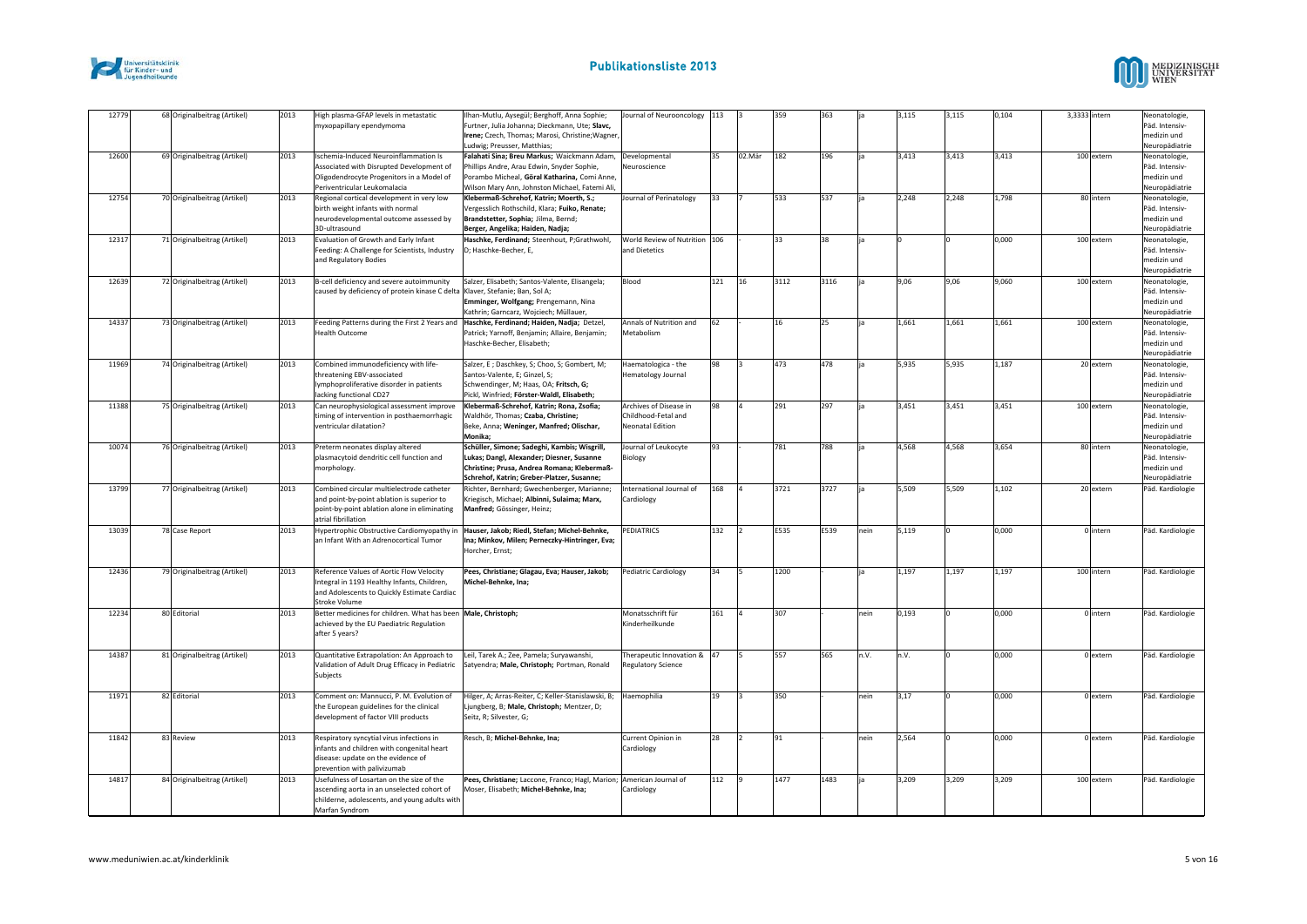



| 12779 | 68 Originalbeitrag (Artikel) | 2013 | High plasma-GFAP levels in metastatic<br>myxopapillary ependymoma                      | Ilhan-Mutlu, Aysegül; Berghoff, Anna Sophie;<br>Furtner, Julia Johanna; Dieckmann, Ute; Slavc, | Journal of Neurooncology 113                   |     |          | 359  | 363  |      | 3,115 | 3,115 | 0,104 | 3,3333 intern | Neonatologie,<br>Päd. Intensiv- |
|-------|------------------------------|------|----------------------------------------------------------------------------------------|------------------------------------------------------------------------------------------------|------------------------------------------------|-----|----------|------|------|------|-------|-------|-------|---------------|---------------------------------|
|       |                              |      |                                                                                        | Irene; Czech, Thomas; Marosi, Christine; Wagner,                                               |                                                |     |          |      |      |      |       |       |       |               | medizin und                     |
|       |                              |      |                                                                                        | Ludwig; Preusser, Matthias;                                                                    |                                                |     |          |      |      |      |       |       |       |               | Neuropädiatrie                  |
| 12600 | 69 Originalbeitrag (Artikel) | 2013 | Ischemia-Induced Neuroinflammation Is                                                  | Falahati Sina; Breu Markus; Waickmann Adam,                                                    | Developmental                                  | 35  | 02.Mär   | 182  | 196  |      | 3,413 | 3,413 | 3,413 | 100 extern    | Neonatologie,                   |
|       |                              |      | Associated with Disrupted Development of                                               | Phillips Andre, Arau Edwin, Snyder Sophie,                                                     | Neuroscience                                   |     |          |      |      |      |       |       |       |               | Päd. Intensiv-                  |
|       |                              |      | Oligodendrocyte Progenitors in a Model of                                              | Porambo Micheal, Göral Katharina, Comi Anne,                                                   |                                                |     |          |      |      |      |       |       |       |               | medizin und                     |
|       |                              |      | Periventricular Leukomalacia                                                           | Wilson Mary Ann, Johnston Michael, Fatemi Ali,                                                 |                                                |     |          |      |      |      |       |       |       |               | Neuropädiatrie                  |
| 12754 | 70 Originalbeitrag (Artikel) | 2013 | Regional cortical development in very low                                              | Klebermaß-Schrehof, Katrin; Moerth, S.;                                                        | Journal of Perinatology                        | 33  |          | 533  | 537  |      | 2,248 | 2,248 | 1,798 | 80 intern     | Neonatologie,                   |
|       |                              |      | birth weight infants with normal                                                       | Vergesslich Rothschild, Klara; Fuiko, Renate;                                                  |                                                |     |          |      |      |      |       |       |       |               | Päd. Intensiv-                  |
|       |                              |      | neurodevelopmental outcome assessed by                                                 | Brandstetter, Sophia; Jilma, Bernd;                                                            |                                                |     |          |      |      |      |       |       |       |               | medizin und                     |
|       |                              |      | 3D-ultrasound                                                                          | Berger, Angelika; Haiden, Nadja;                                                               |                                                |     |          |      | 38   |      |       |       |       |               | Neuropädiatrie                  |
| 12317 | 71 Originalbeitrag (Artikel) | 2013 | Evaluation of Growth and Early Infant<br>Feeding: A Challenge for Scientists, Industry | Haschke, Ferdinand; Steenhout, P;Grathwohl,<br>D; Haschke-Becher, E,                           | World Review of Nutrition 106<br>and Dietetics |     |          | 33   |      |      |       |       | 0,000 | 100 extern    | Neonatologie,<br>Päd. Intensiv- |
|       |                              |      | and Regulatory Bodies                                                                  |                                                                                                |                                                |     |          |      |      |      |       |       |       |               | medizin und                     |
|       |                              |      |                                                                                        |                                                                                                |                                                |     |          |      |      |      |       |       |       |               | Neuropädiatrie                  |
| 12639 | 72 Originalbeitrag (Artikel) | 2013 | B-cell deficiency and severe autoimmunity                                              | Salzer, Elisabeth; Santos-Valente, Elisangela;                                                 | Blood                                          | 121 | 16       | 3112 | 3116 |      | 9,06  | 9,06  | 9,060 | 100 extern    | Neonatologie,                   |
|       |                              |      | caused by deficiency of protein kinase C delta                                         | Klaver, Stefanie; Ban, Sol A;                                                                  |                                                |     |          |      |      |      |       |       |       |               | Päd. Intensiv-                  |
|       |                              |      |                                                                                        | Emminger, Wolfgang; Prengemann, Nina                                                           |                                                |     |          |      |      |      |       |       |       |               | medizin und                     |
|       |                              |      |                                                                                        | Kathrin; Garncarz, Wojciech; Müllauer,                                                         |                                                |     |          |      |      |      |       |       |       |               | Neuropädiatrie                  |
| 14337 | 73 Originalbeitrag (Artikel) | 2013 | Feeding Patterns during the First 2 Years and                                          | Haschke, Ferdinand; Haiden, Nadja; Detzel,                                                     | Annals of Nutrition and                        | 62  |          | 16   | 25   |      | 1,661 | 1,661 | 1,661 | 100 extern    | Neonatologie,                   |
|       |                              |      | <b>Health Outcome</b>                                                                  | Patrick; Yarnoff, Benjamin; Allaire, Benjamin;                                                 | Metabolism                                     |     |          |      |      |      |       |       |       |               | Päd. Intensiv-                  |
|       |                              |      |                                                                                        | Haschke-Becher, Elisabeth;                                                                     |                                                |     |          |      |      |      |       |       |       |               | medizin und                     |
|       |                              |      |                                                                                        |                                                                                                |                                                |     |          |      |      |      |       |       |       |               | Neuropädiatrie                  |
| 11969 | 74 Originalbeitrag (Artikel) | 2013 | Combined immunodeficiency with life-                                                   | Salzer, E ; Daschkey, S; Choo, S; Gombert, M;                                                  | Haematologica - the                            | 98  |          | 473  | 478  |      | 5,935 | 5,935 | 1,187 | 20 extern     | Neonatologie                    |
|       |                              |      | threatening EBV-associated                                                             | Santos-Valente, E; Ginzel, S;                                                                  | Hematology Journal                             |     |          |      |      |      |       |       |       |               | Päd. Intensiv-                  |
|       |                              |      | lymphoproliferative disorder in patients                                               | Schwendinger, M; Haas, OA; Fritsch, G;                                                         |                                                |     |          |      |      |      |       |       |       |               | medizin und                     |
|       |                              |      | lacking functional CD27                                                                | Pickl, Winfried; Förster-Waldl, Elisabeth;                                                     |                                                |     |          |      |      |      |       |       |       |               | Neuropädiatrie                  |
| 11388 | 75 Originalbeitrag (Artikel) | 2013 | Can neurophysiological assessment improve                                              | Klebermaß-Schrehof, Katrin; Rona, Zsofia;                                                      | Archives of Disease in                         | 98  |          | 291  | 297  |      | 3,451 | 3,451 | 3,451 | 100 extern    | Neonatologie,                   |
|       |                              |      | timing of intervention in posthaemorrhagic                                             | Waldhör, Thomas; Czaba, Christine;                                                             | Childhood-Fetal and                            |     |          |      |      |      |       |       |       |               | Päd. Intensiv-                  |
|       |                              |      | ventricular dilatation?                                                                | Beke, Anna; Weninger, Manfred; Olischar,<br>Monika;                                            | Neonatal Edition                               |     |          |      |      |      |       |       |       |               | medizin und                     |
| 10074 |                              | 2013 |                                                                                        |                                                                                                |                                                | 93  |          | 781  | 788  |      |       |       |       | 80 intern     | Neuropädiatrie                  |
|       | 76 Originalbeitrag (Artikel) |      | Preterm neonates display altered<br>plasmacytoid dendritic cell function and           | Schüller, Simone; Sadeghi, Kambis; Wisgrill,<br>Lukas; Dangl, Alexander; Diesner, Susanne      | Journal of Leukocyte<br>Biology                |     |          |      |      |      | 4,568 | 4,568 | 3,654 |               | Neonatologie,<br>Päd. Intensiv- |
|       |                              |      | morphology.                                                                            | Christine; Prusa, Andrea Romana; Klebermaß-                                                    |                                                |     |          |      |      |      |       |       |       |               | medizin und                     |
|       |                              |      |                                                                                        | Schrehof, Katrin; Greber-Platzer, Susanne;                                                     |                                                |     |          |      |      |      |       |       |       |               | Neuropädiatrie                  |
| 13799 | 77 Originalbeitrag (Artikel) | 2013 | Combined circular multielectrode catheter                                              | Richter, Bernhard; Gwechenberger, Marianne;                                                    | International Journal of                       | 168 |          | 3721 | 3727 |      | 5,509 | 5,509 | 1,102 | 20 extern     | Päd. Kardiologie                |
|       |                              |      | and point-by-point ablation is superior to                                             | Kriegisch, Michael; Albinni, Sulaima; Marx,                                                    | Cardiology                                     |     |          |      |      |      |       |       |       |               |                                 |
|       |                              |      | point-by-point ablation alone in eliminating                                           | Manfred; Gössinger, Heinz;                                                                     |                                                |     |          |      |      |      |       |       |       |               |                                 |
|       |                              |      | atrial fibrillation                                                                    |                                                                                                |                                                |     |          |      |      |      |       |       |       |               |                                 |
| 13039 | 78 Case Report               | 2013 | Hypertrophic Obstructive Cardiomyopathy in                                             | Hauser, Jakob; Riedl, Stefan; Michel-Behnke,                                                   | <b>PEDIATRICS</b>                              | 132 |          | E535 | E539 | nein | 5,119 |       | 0,000 | 0 intern      | Päd. Kardiologie                |
|       |                              |      | an Infant With an Adrenocortical Tumor                                                 | Ina; Minkov, Milen; Perneczky-Hintringer, Eva;                                                 |                                                |     |          |      |      |      |       |       |       |               |                                 |
|       |                              |      |                                                                                        | Horcher, Ernst;                                                                                |                                                |     |          |      |      |      |       |       |       |               |                                 |
|       |                              |      |                                                                                        |                                                                                                |                                                |     |          |      |      |      |       |       |       |               |                                 |
| 12436 | 79 Originalbeitrag (Artikel) | 2013 | Reference Values of Aortic Flow Velocity                                               | Pees, Christiane; Glagau, Eva; Hauser, Jakob;                                                  | Pediatric Cardiology                           | 34  |          | 1200 |      |      | 1,197 | 1,197 | 1,197 | 100 intern    | Päd. Kardiologie                |
|       |                              |      | Integral in 1193 Healthy Infants, Children,                                            | Michel-Behnke, Ina;                                                                            |                                                |     |          |      |      |      |       |       |       |               |                                 |
|       |                              |      | and Adolescents to Quickly Estimate Cardiac                                            |                                                                                                |                                                |     |          |      |      |      |       |       |       |               |                                 |
|       |                              |      | Stroke Volume                                                                          |                                                                                                |                                                |     |          |      |      |      |       |       |       |               |                                 |
| 12234 | 80 Editorial                 | 2013 | Better medicines for children. What has been Male, Christoph;                          |                                                                                                | Monatsschrift für<br>Kinderheilkunde           | 161 | $\Delta$ | 307  |      | nein | 0,193 |       | 0,000 | 0 intern      | Päd. Kardiologie                |
|       |                              |      | achieved by the EU Paediatric Regulation<br>after 5 years?                             |                                                                                                |                                                |     |          |      |      |      |       |       |       |               |                                 |
|       |                              |      |                                                                                        |                                                                                                |                                                |     |          |      |      |      |       |       |       |               |                                 |
| 14387 | 81 Originalbeitrag (Artikel) | 2013 | Quantitative Extrapolation: An Approach to                                             | Leil, Tarek A.; Zee, Pamela; Suryawanshi,                                                      | Therapeutic Innovation & 47                    |     |          | 557  | 565  | n.V. | n.V.  |       | 0,000 | 0 extern      | Päd. Kardiologie                |
|       |                              |      | Validation of Adult Drug Efficacy in Pediatric                                         | Satyendra; Male, Christoph; Portman, Ronald                                                    | Regulatory Science                             |     |          |      |      |      |       |       |       |               |                                 |
|       |                              |      | Subjects                                                                               |                                                                                                |                                                |     |          |      |      |      |       |       |       |               |                                 |
|       |                              |      |                                                                                        |                                                                                                |                                                |     |          |      |      |      |       |       |       |               |                                 |
| 11971 | 82 Editorial                 | 2013 | Comment on: Mannucci, P. M. Evolution of                                               | Hilger, A; Arras-Reiter, C; Keller-Stanislawski, B;                                            | Haemophilia                                    | 19  |          | 350  |      | nein | 3,17  |       | 0,000 | 0 extern      | Päd. Kardiologie                |
|       |                              |      | the European guidelines for the clinical                                               | Ljungberg, B; Male, Christoph; Mentzer, D;                                                     |                                                |     |          |      |      |      |       |       |       |               |                                 |
|       |                              |      | development of factor VIII products                                                    | Seitz, R; Silvester, G;                                                                        |                                                |     |          |      |      |      |       |       |       |               |                                 |
|       |                              |      |                                                                                        |                                                                                                |                                                |     |          |      |      |      |       |       |       |               |                                 |
| 11842 | 83 Review                    | 2013 | Respiratory syncytial virus infections in                                              | Resch, B; Michel-Behnke, Ina;                                                                  | Current Opinion in                             | 28  |          | 91   |      | nein | 2,564 | I٥    | 0,000 | 0 extern      | Päd. Kardiologie                |
|       |                              |      | nfants and children with congenital heart                                              |                                                                                                | Cardiology                                     |     |          |      |      |      |       |       |       |               |                                 |
|       |                              |      | disease: update on the evidence of                                                     |                                                                                                |                                                |     |          |      |      |      |       |       |       |               |                                 |
|       |                              |      | prevention with palivizumab                                                            |                                                                                                |                                                |     |          |      |      |      |       |       |       |               |                                 |
| 14817 | 84 Originalbeitrag (Artikel) | 2013 | Usefulness of Losartan on the size of the                                              | Pees, Christiane; Laccone, Franco; Hagl, Marion;                                               | American Journal of                            | 112 |          | 1477 | 1483 |      | 3,209 | 3,209 | 3,209 | 100 extern    | Päd. Kardiologie                |
|       |                              |      | ascending aorta in an unselected cohort of                                             | Moser, Elisabeth; Michel-Behnke, Ina;                                                          | Cardiology                                     |     |          |      |      |      |       |       |       |               |                                 |
|       |                              |      | childerne, adolescents, and young adults with<br>Marfan Syndrom                        |                                                                                                |                                                |     |          |      |      |      |       |       |       |               |                                 |
|       |                              |      |                                                                                        |                                                                                                |                                                |     |          |      |      |      |       |       |       |               |                                 |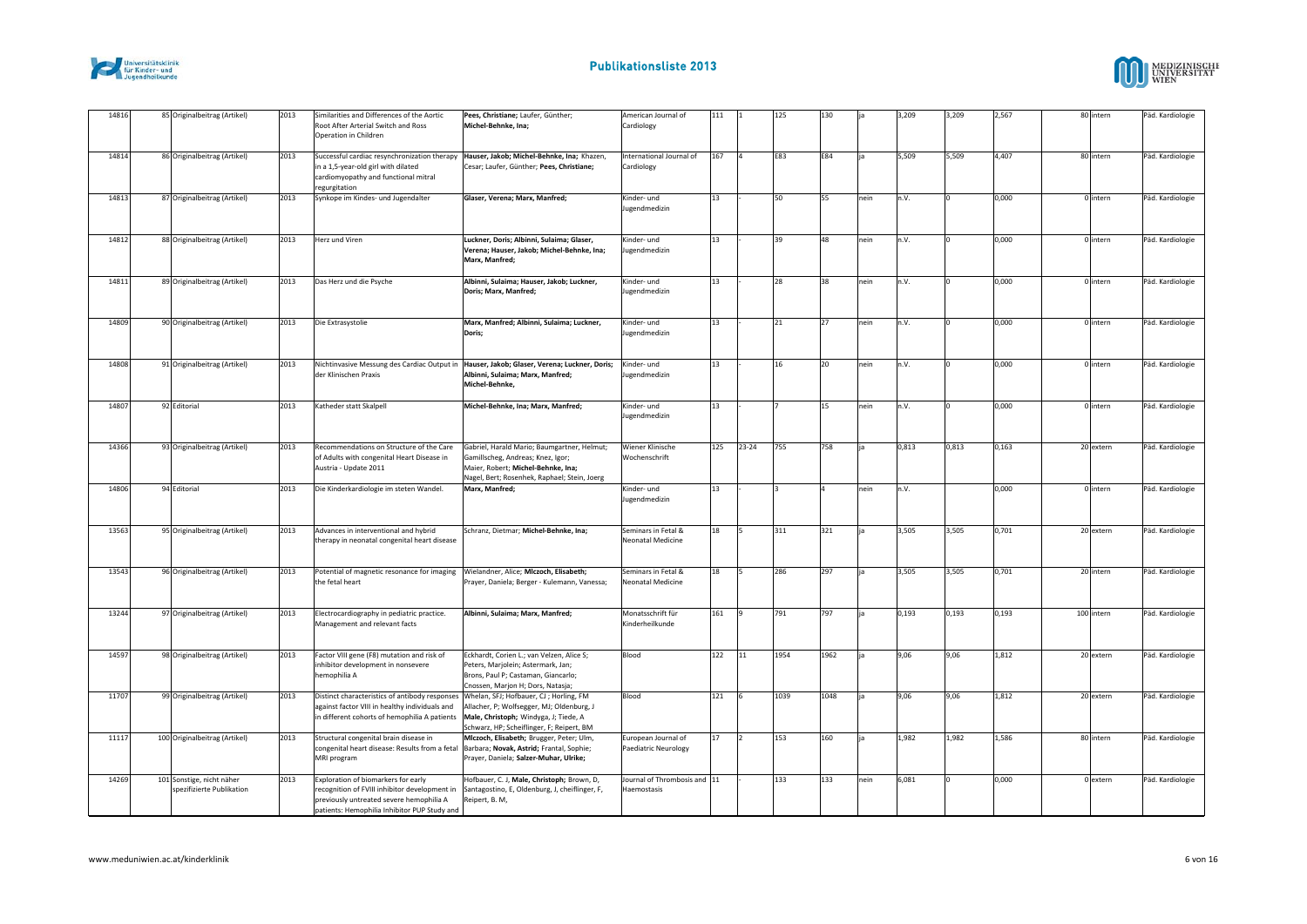



| 14816 |              | 85 Originalbeitrag (Artikel)                           | 2013 | Similarities and Differences of the Aortic<br>Root After Arterial Switch and Ross<br>Operation in Children                                                                               | Pees, Christiane; Laufer, Günther;<br>Michel-Behnke, Ina;                                                                                                              | American Journal of<br>Cardiology           | 111 |           | 125  | 130  |      | 3,209 | 3,209 | 2,567 | 80 intern  | Päd. Kardiologie |
|-------|--------------|--------------------------------------------------------|------|------------------------------------------------------------------------------------------------------------------------------------------------------------------------------------------|------------------------------------------------------------------------------------------------------------------------------------------------------------------------|---------------------------------------------|-----|-----------|------|------|------|-------|-------|-------|------------|------------------|
| 14814 |              | 86 Originalbeitrag (Artikel)                           | 2013 | Successful cardiac resynchronization therapy<br>in a 1,5-year-old girl with dilated<br>cardiomyopathy and functional mitral<br>regurgitation                                             | Hauser, Jakob; Michel-Behnke, Ina; Khazen,<br>Cesar; Laufer, Günther; Pees, Christiane;                                                                                | International Journal of<br>Cardiology      | 167 |           | E83  | E84  |      | 5,509 | 5,509 | 4,407 | 80 intern  | Päd. Kardiologie |
| 14813 |              | 87 Originalbeitrag (Artikel)                           | 2013 | Synkope im Kindes- und Jugendalter                                                                                                                                                       | Glaser, Verena; Marx, Manfred;                                                                                                                                         | Kinder- und<br><b>Jugendmedizin</b>         | 13  |           | 50   | 55   | nein | n.V.  |       | 0,000 | 0 intern   | Päd. Kardiologie |
| 14812 |              | 88 Originalbeitrag (Artikel)                           | 2013 | Herz und Viren                                                                                                                                                                           | Luckner, Doris; Albinni, Sulaima; Glaser,<br>Verena; Hauser, Jakob; Michel-Behnke, Ina;<br>Marx, Manfred;                                                              | Kinder- und<br>Jugendmedizin                | 13  |           | 39   | 48   | nein | n.V.  |       | 0,000 | 0 intern   | Päd. Kardiologie |
| 14811 |              | 89 Originalbeitrag (Artikel)                           | 2013 | Das Herz und die Psyche                                                                                                                                                                  | Albinni, Sulaima; Hauser, Jakob; Luckner,<br>Doris; Marx, Manfred;                                                                                                     | Kinder- und<br>lugendmedizin                | 13  |           | 28   | 38   | nein | n.V.  |       | 0,000 | 0 intern   | Päd. Kardiologie |
| 14809 |              | 90 Originalbeitrag (Artikel)                           | 2013 | Die Extrasystolie                                                                                                                                                                        | Marx, Manfred; Albinni, Sulaima; Luckner,<br>Doris;                                                                                                                    | Kinder- und<br>lugendmedizin                | 13  |           | 21   | 27   | nein | n.V.  |       | 0,000 | 0 intern   | Päd. Kardiologie |
| 14808 |              | 91 Originalbeitrag (Artikel)                           | 2013 | der Klinischen Praxis                                                                                                                                                                    | Nichtinvasive Messung des Cardiac Output in  Hauser, Jakob; Glaser, Verena; Luckner, Doris;<br>Albinni, Sulaima; Marx, Manfred;<br>Michel-Behnke,                      | Kinder- und<br>lugendmedizin                | 13  |           | 16   | 20   | nein | n.V.  |       | 0,000 | 0 intern   | Päd. Kardiologie |
| 14807 | 92 Editorial |                                                        | 2013 | Katheder statt Skalpell                                                                                                                                                                  | Michel-Behnke, Ina; Marx, Manfred;                                                                                                                                     | Kinder- und<br>Jugendmedizin                | 13  |           |      | 15   | nein | n.V.  |       | 0,000 | 0 intern   | Päd. Kardiologie |
| 14366 |              | 93 Originalbeitrag (Artikel)                           | 2013 | Recommendations on Structure of the Care<br>of Adults with congenital Heart Disease in<br>Austria - Update 2011                                                                          | Gabriel, Harald Mario; Baumgartner, Helmut;<br>Gamillscheg, Andreas; Knez, Igor;<br>Maier, Robert; Michel-Behnke, Ina;<br>Nagel, Bert; Rosenhek, Raphael; Stein, Joerg | Wiener Klinische<br>Wochenschrift           | 125 | $23 - 24$ | 755  | 758  |      | 0,813 | 0,813 | 0,163 | 20 extern  | Päd. Kardiologie |
| 14806 | 94 Editorial |                                                        | 2013 | Die Kinderkardiologie im steten Wandel.                                                                                                                                                  | Marx, Manfred;                                                                                                                                                         | Kinder- und<br>lugendmedizin                | 13  |           |      |      | nein | n.V.  |       | 0,000 | 0 intern   | Päd. Kardiologie |
| 13563 |              | 95 Originalbeitrag (Artikel)                           | 2013 | Advances in interventional and hybrid<br>therapy in neonatal congenital heart disease                                                                                                    | Schranz, Dietmar; Michel-Behnke, Ina;                                                                                                                                  | Seminars in Fetal &<br>Neonatal Medicine    | 18  |           | 311  | 321  |      | 3,505 | 3,505 | 0,701 | 20 extern  | Päd. Kardiologie |
| 13543 |              | 96 Originalbeitrag (Artikel)                           | 2013 | Potential of magnetic resonance for imaging Wielandner, Alice; MIczoch, Elisabeth;<br>the fetal heart                                                                                    | Prayer, Daniela; Berger - Kulemann, Vanessa;                                                                                                                           | Seminars in Fetal &<br>Neonatal Medicine    | 18  |           | 286  | 297  |      | 3,505 | 3,505 | 0,701 | 20 intern  | Päd. Kardiologie |
| 13244 |              | 97 Originalbeitrag (Artikel)                           | 2013 | Electrocardiography in pediatric practice.<br>Management and relevant facts                                                                                                              | Albinni, Sulaima; Marx, Manfred;                                                                                                                                       | Monatsschrift für<br>Kinderheilkunde        | 161 |           | 791  | 797  | lia  | 0,193 | 0,193 | 0,193 | 100 intern | Päd. Kardiologie |
| 14597 |              | 98 Originalbeitrag (Artikel)                           | 2013 | Factor VIII gene (F8) mutation and risk of<br>inhibitor development in nonsevere<br>hemophilia A                                                                                         | Eckhardt, Corien L.; van Velzen, Alice S;<br>Peters, Marjolein; Astermark, Jan;<br>Brons, Paul P; Castaman, Giancarlo;<br>Cnossen, Marjon H; Dors, Natasja;            | Blood                                       | 122 | 111       | 1954 | 1962 |      | 9,06  | 9,06  | 1,812 | 20 extern  | Päd. Kardiologie |
| 11707 |              | 99 Originalbeitrag (Artikel)                           | 2013 | Distinct characteristics of antibody responses Whelan, SFJ; Hofbauer, CJ; Horling, FM<br>against factor VIII in healthy individuals and<br>in different cohorts of hemophilia A patients | Allacher, P; Wolfsegger, MJ; Oldenburg, J<br>Male, Christoph; Windyga, J; Tiede, A<br>Schwarz, HP; Scheiflinger, F; Reipert, BM                                        | Blood                                       | 121 |           | 1039 | 1048 |      | 9,06  | 9,06  | 1,812 | 20 extern  | Päd. Kardiologie |
| 11117 |              | 100 Originalbeitrag (Artikel)                          | 2013 | Structural congenital brain disease in<br>congenital heart disease: Results from a fetal<br>MRI program                                                                                  | Miczoch, Elisabeth; Brugger, Peter; Ulm,<br>Barbara; Novak, Astrid; Frantal, Sophie;<br>Prayer, Daniela; Salzer-Muhar, Ulrike;                                         | European Journal of<br>Paediatric Neurology | 17  |           | 153  | 160  |      | 1,982 | 1,982 | 1,586 | 80 intern  | Päd. Kardiologie |
| 14269 |              | 101 Sonstige, nicht näher<br>spezifizierte Publikation | 2013 | Exploration of biomarkers for early<br>recognition of FVIII inhibitor development in<br>previously untreated severe hemophilia A<br>patients: Hemophilia Inhibitor PUP Study and         | Hofbauer, C. J, Male, Christoph; Brown, D,<br>Santagostino, E, Oldenburg, J, cheiflinger, F,<br>Reipert, B. M,                                                         | lournal of Thrombosis and 11<br>Haemostasis |     |           | 133  | 133  | nein | 6,081 |       | 0,000 | 0 extern   | Päd. Kardiologie |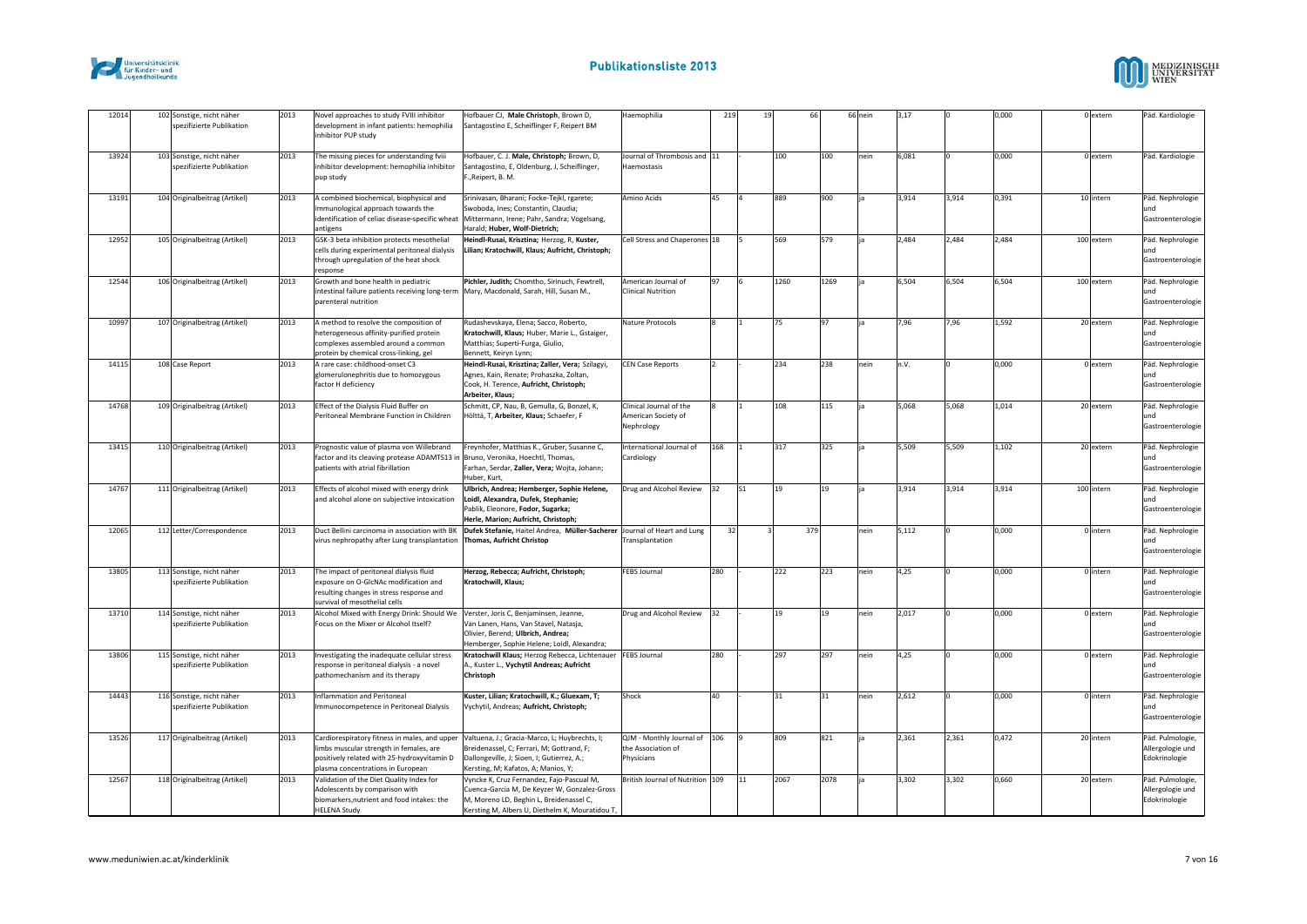



| 12014 | 102 Sonstige, nicht näher                              | 2013 | Novel approaches to study FVIII inhibitor                                                                                                                                   | Hofbauer CJ, Male Christoph, Brown D,                                                                                                                                                   | Haemophilia                                                      | 219 | 19  | 66   |      | 66 nein | 3,17  |       | 0,000 | 0 extern   | Päd. Kardiologie                                      |
|-------|--------------------------------------------------------|------|-----------------------------------------------------------------------------------------------------------------------------------------------------------------------------|-----------------------------------------------------------------------------------------------------------------------------------------------------------------------------------------|------------------------------------------------------------------|-----|-----|------|------|---------|-------|-------|-------|------------|-------------------------------------------------------|
|       | spezifizierte Publikation                              |      | development in infant patients: hemophilia<br>inhibitor PUP study                                                                                                           | Santagostino E, Scheiflinger F, Reipert BM                                                                                                                                              |                                                                  |     |     |      |      |         |       |       |       |            |                                                       |
| 13924 | 103 Sonstige, nicht näher<br>spezifizierte Publikation | 2013 | The missing pieces for understanding fviii<br>inhibitor development: hemophilia inhibitor<br>pup study                                                                      | Hofbauer, C. J. Male, Christoph; Brown, D,<br>Santagostino, E, Oldenburg, J, Scheiflinger,<br>F., Reipert, B. M.                                                                        | Journal of Thrombosis and 11<br>Haemostasis                      |     |     | 100  | 100  | nein    | 6,081 |       | 0,000 | 0 extern   | Päd. Kardiologie                                      |
| 13191 | 104 Originalbeitrag (Artikel)                          | 2013 | A combined biochemical, biophysical and<br>mmunological approach towards the<br>identification of celiac disease-specific wheat<br>antigens                                 | Srinivasan, Bharani; Focke-Tejkl, rgarete;<br>Swoboda, Ines; Constantin, Claudia;<br>Mittermann, Irene; Pahr, Sandra; Vogelsang,<br>Harald; Huber, Wolf-Dietrich;                       | Amino Acids                                                      | 45  |     | 889  | 900  |         | 3,914 | 3,914 | 0,391 | 10 intern  | Päd. Nephrologie<br>und<br>Gastroenterologie          |
| 12952 | 105 Originalbeitrag (Artikel)                          | 2013 | GSK-3 beta inhibition protects mesothelial<br>cells during experimental peritoneal dialysis<br>through upregulation of the heat shock<br>response                           | Heindl-Rusai, Krisztina; Herzog, R, Kuster,<br>Lilian; Kratochwill, Klaus; Aufricht, Christoph;                                                                                         | Cell Stress and Chaperones 18                                    |     |     | 569  | 579  |         | 2.484 | 2.484 | 2.484 | 100 extern | Päd. Nephrologie<br>und<br>Gastroenterologie          |
| 12544 | 106 Originalbeitrag (Artikel)                          | 2013 | Growth and bone health in pediatric<br>intestinal failure patients receiving long-term   Mary, Macdonald, Sarah, Hill, Susan M.,<br>parenteral nutrition                    | Pichler, Judith; Chomtho, Sirinuch, Fewtrell,                                                                                                                                           | American Journal of<br>Clinical Nutrition                        | 97  |     | 1260 | 1269 |         | 6,504 | 6,504 | 6,504 | 100 extern | Päd. Nephrologie<br>und<br>Gastroenterologie          |
| 10997 | 107 Originalbeitrag (Artikel)                          | 2013 | A method to resolve the composition of<br>heterogeneous affinity-purified protein<br>complexes assembled around a common<br>protein by chemical cross-linking, gel          | Rudashevskaya, Elena; Sacco, Roberto,<br>Kratochwill, Klaus; Huber, Marie L., Gstaiger,<br>Matthias; Superti-Furga, Giulio,<br>Bennett, Keiryn Lynn;                                    | Nature Protocols                                                 |     |     | 75   | 97   |         | 7,96  | 7,96  | 1,592 | 20 extern  | Päd. Nephrologie<br>und<br>Gastroenterologie          |
| 14115 | 108 Case Report                                        | 2013 | A rare case: childhood-onset C3<br>glomerulonephritis due to homozygous<br>factor H deficiency                                                                              | Heindl-Rusai, Krisztina; Zaller, Vera; Szilagyi,<br>Agnes, Kain, Renate; Prohaszka, Zoltan,<br>Cook, H. Terence, Aufricht, Christoph;<br>Arbeiter, Klaus;                               | CEN Case Reports                                                 |     |     | 234  | 238  | nein    | n.V.  |       | 0,000 | 0 extern   | Päd. Nephrologie<br>und<br>Gastroenterologie          |
| 14768 | 109 Originalbeitrag (Artikel)                          | 2013 | Effect of the Dialysis Fluid Buffer on<br>Peritoneal Membrane Function in Children                                                                                          | Schmitt, CP, Nau, B, Gemulla, G, Bonzel, K,<br>Hölttä, T, Arbeiter, Klaus; Schaefer, F                                                                                                  | Clinical Journal of the<br>American Society of<br>Nephrology     |     |     | 108  | 115  |         | 5,068 | 5,068 | 1,014 | 20 extern  | Päd. Nephrologie<br>und<br>Gastroenterologie          |
| 13415 | 110 Originalbeitrag (Artikel)                          | 2013 | Prognostic value of plasma von Willebrand<br>factor and its cleaving protease ADAMTS13 in Bruno, Veronika, Hoechtl, Thomas,<br>patients with atrial fibrillation            | Freynhofer, Matthias K., Gruber, Susanne C,<br>Farhan, Serdar, Zaller, Vera; Wojta, Johann;<br>Huber, Kurt,                                                                             | International Journal of<br>Cardiology                           | 168 |     | 317  | 325  |         | 5,509 | 5,509 | 1,102 | 20 extern  | Päd. Nephrologie<br>und<br>Gastroenterologie          |
| 14767 | 111 Originalbeitrag (Artikel)                          | 2013 | Effects of alcohol mixed with energy drink<br>and alcohol alone on subjective intoxication                                                                                  | Ulbrich, Andrea; Hemberger, Sophie Helene,<br>Loidl, Alexandra, Dufek, Stephanie;<br>Pablik, Eleonore, Fodor, Sugarka;<br>Herle, Marion; Aufricht, Christoph;                           | Drug and Alcohol Review                                          | 32  | ls1 | 19   | 19   |         | 3,914 | 3,914 | 3,914 | 100 intern | Päd. Nephrologie<br>und<br>Gastroenterologie          |
| 12065 | 112 Letter/Correspondence                              | 2013 | Duct Bellini carcinoma in association with BK<br>virus nephropathy after Lung transplantation                                                                               | Dufek Stefanie, Haitel Andrea, Müller-Sacherer<br><b>Thomas, Aufricht Christop</b>                                                                                                      | Journal of Heart and Lung<br>Transplantation                     | 32  |     | 379  |      | nein    | 5,112 |       | 0,000 | 0 intern   | Päd. Nephrologie<br>und<br>Gastroenterologie          |
| 13805 | 113 Sonstige, nicht näher<br>spezifizierte Publikation | 2013 | The impact of peritoneal dialysis fluid<br>exposure on O-GlcNAc modification and<br>resulting changes in stress response and<br>survival of mesothelial cells               | Herzog, Rebecca; Aufricht, Christoph;<br>Kratochwill, Klaus;                                                                                                                            | <b>FEBS Journal</b>                                              | 280 |     | 222  | 223  | nein    | 4,25  |       | 0,000 | 0 intern   | Päd. Nephrologie<br>und<br>Gastroenterologie          |
| 13710 | 114 Sonstige, nicht näher<br>spezifizierte Publikation | 2013 | Alcohol Mixed with Energy Drink: Should We Verster, Joris C, Benjaminsen, Jeanne,<br>Focus on the Mixer or Alcohol Itself?                                                  | Van Lanen, Hans, Van Stavel, Natasja,<br>Olivier, Berend; Ulbrich, Andrea;<br>Hemberger, Sophie Helene; Loidl, Alexandra;                                                               | Drug and Alcohol Review 32                                       |     |     | 19   | 19   | nein    | 2,017 |       | 0,000 | 0 extern   | Päd. Nephrologie<br>und<br>Gastroenterologie          |
| 13806 | 115 Sonstige, nicht näher<br>spezifizierte Publikation | 2013 | Investigating the inadequate cellular stress<br>response in peritoneal dialysis - a novel<br>pathomechanism and its therapy                                                 | Kratochwill Klaus; Herzog Rebecca, Lichtenauer<br>A., Kuster L., Vychytil Andreas; Aufricht<br>Christoph                                                                                | <b>FEBS Journal</b>                                              | 280 |     | 297  | 297  | nein    | 4,25  |       | 0,000 | 0 extern   | Päd. Nephrologie<br>ınd<br>Gastroenterologie          |
| 14443 | 116 Sonstige, nicht näher<br>spezifizierte Publikation | 2013 | <b>Inflammation and Peritoneal</b><br>mmunocompetence in Peritoneal Dialysis                                                                                                | Kuster, Lilian; Kratochwill, K.; Gluexam, T;<br>Vychytil, Andreas; Aufricht, Christoph;                                                                                                 | Shock                                                            | 40  |     | 31   | 31   | nein    | 2,612 |       | 0,000 | 0 intern   | Päd. Nephrologie<br>und<br>Gastroenterologie          |
| 13526 | 117 Originalbeitrag (Artikel)                          | 2013 | Cardiorespiratory fitness in males, and upper<br>imbs muscular strength in females, are<br>positively related with 25-hydroxyvitamin D<br>plasma concentrations in European | Valtuena, J.; Gracia-Marco, L; Huybrechts, I;<br>Breidenassel, C; Ferrari, M; Gottrand, F;<br>Dallongeville, J; Sioen, I; Gutierrez, A.;<br>Kersting, M; Kafatos, A; Manios, Y;         | QJM - Monthly Journal of 106<br>the Association of<br>Physicians |     |     | 809  | 821  |         | 2,361 | 2,361 | 0,472 | 20 intern  | Päd. Pulmologie,<br>Allergologie und<br>Edokrinologie |
| 12567 | 118 Originalbeitrag (Artikel)                          | 2013 | Validation of the Diet Quality Index for<br>Adolescents by comparison with<br>biomarkers, nutrient and food intakes: the<br><b>HELENA Study</b>                             | Vyncke K, Cruz Fernandez, Fajo-Pascual M,<br>Cuenca-Garcia M, De Keyzer W, Gonzalez-Gross<br>M, Moreno LD, Beghin L, Breidenassel C,<br>Kersting M, Albers U, Diethelm K, Mouratidou T, | British Journal of Nutrition 109                                 |     | 11  | 2067 | 2078 |         | 3,302 | 3,302 | 0,660 | 20 extern  | Päd. Pulmologie,<br>Allergologie und<br>Edokrinologie |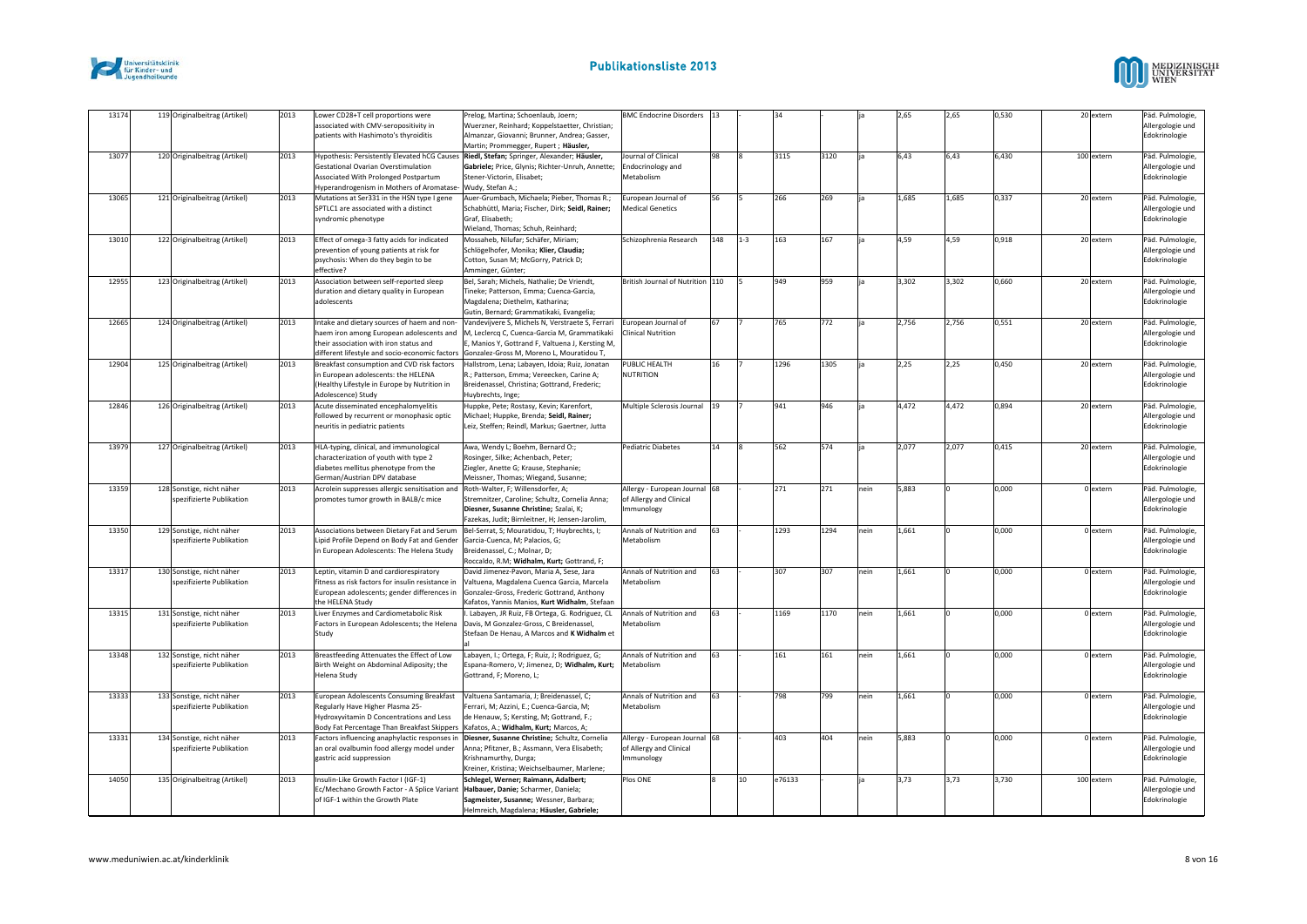



| 13174 | 119 Originalbeitrag (Artikel)                          | 2013 | Lower CD28+T cell proportions were<br>associated with CMV-seropositivity in<br>patients with Hashimoto's thyroiditis                                                                | Prelog, Martina; Schoenlaub, Joern;<br>Wuerzner, Reinhard; Koppelstaetter, Christian;<br>Almanzar, Giovanni; Brunner, Andrea; Gasser,<br>Martin; Prommegger, Rupert; Häusler,                   | BMC Endocrine Disorders  13                                                   |     |         |        |      |      | 2,65  | 2,65  | 0,530 | 20 extern  | Päd. Pulmologie<br>Allergologie und<br>Edokrinologie  |
|-------|--------------------------------------------------------|------|-------------------------------------------------------------------------------------------------------------------------------------------------------------------------------------|-------------------------------------------------------------------------------------------------------------------------------------------------------------------------------------------------|-------------------------------------------------------------------------------|-----|---------|--------|------|------|-------|-------|-------|------------|-------------------------------------------------------|
| 13077 | 120 Originalbeitrag (Artikel)                          | 2013 | Gestational Ovarian Overstimulation<br>Associated With Prolonged Postpartum<br>Hyperandrogenism in Mothers of Aromatase-                                                            | Hypothesis: Persistently Elevated hCG Causes Riedl, Stefan; Springer, Alexander; Häusler,<br>Gabriele; Price, Glynis; Richter-Unruh, Annette;<br>Stener-Victorin, Elisabet;<br>Wudy, Stefan A.; | Journal of Clinical<br>Endocrinology and<br>Metabolism                        | 98  |         | 3115   | 3120 |      | 6,43  | 6.43  | 6,430 | 100 extern | Päd. Pulmologie<br>Allergologie und<br>Edokrinologie  |
| 13065 | 121 Originalbeitrag (Artikel)                          | 2013 | Mutations at Ser331 in the HSN type I gene<br>SPTLC1 are associated with a distinct<br>syndromic phenotype                                                                          | Auer-Grumbach, Michaela; Pieber, Thomas R.;<br>Schabhüttl, Maria; Fischer, Dirk; Seidl, Rainer;<br>Graf, Elisabeth;<br>Wieland, Thomas; Schuh, Reinhard;                                        | European Journal of<br><b>Medical Genetics</b>                                | 56  |         | 266    | 269  |      | 1,685 | 1,685 | 0,337 | 20 extern  | Päd. Pulmologie<br>Allergologie und<br>Edokrinologie  |
| 13010 | 122 Originalbeitrag (Artikel)                          | 2013 | Effect of omega-3 fatty acids for indicated<br>prevention of young patients at risk for<br>psychosis: When do they begin to be<br>effective?                                        | Mossaheb, Nilufar; Schäfer, Miriam;<br>Schlögelhofer, Monika; Klier, Claudia;<br>Cotton, Susan M; McGorry, Patrick D;<br>Amminger, Günter;                                                      | Schizophrenia Research                                                        | 148 | $1 - 3$ | 163    | 167  |      | 4,59  | 4,59  | 0,918 | 20 extern  | Päd. Pulmologie<br>Allergologie und<br>Edokrinologie  |
| 12955 | 123 Originalbeitrag (Artikel)                          | 2013 | Association between self-reported sleep<br>duration and dietary quality in European<br>adolescents                                                                                  | Bel, Sarah; Michels, Nathalie; De Vriendt,<br>Tineke; Patterson, Emma; Cuenca-Garcia,<br>Magdalena; Diethelm, Katharina;<br>Gutin, Bernard; Grammatikaki, Evangelia;                            | British Journal of Nutrition 110                                              |     |         | 949    | 959  |      | 3,302 | 3,302 | 0,660 | 20 extern  | Päd. Pulmologie<br>Allergologie und<br>Edokrinologie  |
| 12665 | 124 Originalbeitrag (Artikel)                          | 2013 | Intake and dietary sources of haem and non-<br>haem iron among European adolescents and<br>their association with iron status and<br>different lifestyle and socio-economic factors | Vandevijvere S, Michels N, Verstraete S, Ferrari<br>M, Leclercq C, Cuenca-Garcia M, Grammatikaki<br>Manios Y, Gottrand F, Valtuena J, Kersting M,<br>Gonzalez-Gross M. Moreno L. Mouratidou T.  | European Journal of<br><b>Clinical Nutrition</b>                              | 67  |         | 765    | 772  |      | 2,756 | 2,756 | 0,551 | 20 extern  | Päd. Pulmologie<br>Allergologie und<br>Edokrinologie  |
| 12904 | 125 Originalbeitrag (Artikel)                          | 2013 | Breakfast consumption and CVD risk factors<br>in European adolescents: the HELENA<br>(Healthy Lifestyle in Europe by Nutrition in<br>Adolescence) Study                             | Hallstrom, Lena; Labayen, Idoia; Ruiz, Jonatan<br>R.; Patterson, Emma; Vereecken, Carine A;<br>Breidenassel, Christina; Gottrand, Frederic;<br>Huybrechts, Inge;                                | PUBLIC HEALTH<br>NUTRITION                                                    | 16  |         | 1296   | 1305 |      | 2,25  | 2,25  | 0,450 | 20 extern  | Päd. Pulmologie<br>Allergologie und<br>Edokrinologie  |
| 12846 | 126 Originalbeitrag (Artikel)                          | 2013 | Acute disseminated encephalomyelitis<br>followed by recurrent or monophasic optic<br>neuritis in pediatric patients                                                                 | Huppke, Pete; Rostasy, Kevin; Karenfort,<br>Michael; Huppke, Brenda; Seidl, Rainer;<br>Leiz, Steffen; Reindl, Markus; Gaertner, Jutta                                                           | Multiple Sclerosis Journal 19                                                 |     |         | 941    | 946  |      | 4,472 | 4,472 | 0,894 | 20 extern  | Päd. Pulmologie,<br>Allergologie und<br>Edokrinologie |
| 13979 | 127 Originalbeitrag (Artikel)                          | 2013 | HLA-typing, clinical, and immunological<br>characterization of youth with type 2<br>diabetes mellitus phenotype from the<br>German/Austrian DPV database                            | Awa, Wendy L; Boehm, Bernard O:;<br>Rosinger, Silke; Achenbach, Peter;<br>Ziegler, Anette G; Krause, Stephanie;<br>Meissner, Thomas; Wiegand, Susanne;                                          | <b>Pediatric Diabetes</b>                                                     | 14  |         | 562    | 574  |      | 2,077 | 2,077 | 0,415 | 20 extern  | Päd. Pulmologie<br>Allergologie und<br>Edokrinologie  |
| 13359 | 128 Sonstige, nicht näher<br>spezifizierte Publikation | 2013 | Acrolein suppresses allergic sensitisation and<br>promotes tumor growth in BALB/c mice                                                                                              | Roth-Walter, F; Willensdorfer, A;<br>Stremnitzer, Caroline; Schultz, Cornelia Anna;<br>Diesner, Susanne Christine; Szalai, K;<br>Fazekas, Judit; Birnleitner, H; Jensen-Jarolim,                | Allergy - European Journal 68<br>of Allergy and Clinical<br><b>Immunology</b> |     |         | 271    | 271  | nein | 5,883 |       | 0.000 | 0 extern   | Päd. Pulmologie<br>Allergologie und<br>Edokrinologie  |
| 13350 | 129 Sonstige, nicht näher<br>spezifizierte Publikation | 2013 | Associations between Dietary Fat and Serum<br>Lipid Profile Depend on Body Fat and Gender<br>in European Adolescents: The Helena Study                                              | Bel-Serrat, S; Mouratidou, T; Huybrechts, I;<br>Garcia-Cuenca, M; Palacios, G;<br>Breidenassel, C.; Molnar, D;<br>Roccaldo, R.M; Widhalm, Kurt; Gottrand, F;                                    | Annals of Nutrition and<br>Metabolism                                         | 63  |         | 1293   | 1294 | nein | 1,661 |       | 000,0 | 0 extern   | Päd. Pulmologie<br>Allergologie und<br>Edokrinologie  |
| 13317 | 130 Sonstige, nicht näher<br>spezifizierte Publikation | 2013 | Leptin, vitamin D and cardiorespiratory<br>fitness as risk factors for insulin resistance in<br>European adolescents; gender differences in<br>the HELENA Study                     | David Jimenez-Pavon, Maria A, Sese, Jara<br>Valtuena, Magdalena Cuenca Garcia, Marcela<br>Gonzalez-Gross, Frederic Gottrand, Anthony<br>Kafatos, Yannis Manios, Kurt Widhalm, Stefaan           | Annals of Nutrition and<br>Metabolism                                         | 63  |         | 307    | 307  | nein | 1,661 |       | 0,000 | 0 extern   | Päd. Pulmologie<br>Allergologie und<br>Edokrinologie  |
| 13315 | 131 Sonstige, nicht näher<br>spezifizierte Publikation | 2013 | Liver Enzymes and Cardiometabolic Risk<br>Factors in European Adolescents; the Helena<br>Study                                                                                      | . Labayen, JR Ruiz, FB Ortega, G. Rodriguez, CL<br>Davis, M Gonzalez-Gross, C Breidenassel,<br>Stefaan De Henau, A Marcos and K Widhalm et                                                      | Annals of Nutrition and<br>Metabolism                                         | 63  |         | 1169   | 1170 | nein | 1,661 |       | 0,000 | 0 extern   | Päd. Pulmologie<br>Allergologie und<br>Edokrinologie  |
| 13348 | 132 Sonstige, nicht näher<br>spezifizierte Publikation | 2013 | Breastfeeding Attenuates the Effect of Low<br>Birth Weight on Abdominal Adiposity; the<br>Helena Study                                                                              | Labayen, I.; Ortega, F; Ruiz, J; Rodriguez, G;<br>Espana-Romero, V; Jimenez, D; Widhalm, Kurt;<br>Gottrand, F; Moreno, L;                                                                       | Annals of Nutrition and<br>Metabolism                                         | 63  |         | 161    | 161  | nein | 1,661 |       | 0,000 | 0 extern   | Päd. Pulmologie<br>Allergologie und<br>Edokrinologie  |
| 13333 | 133 Sonstige, nicht näher<br>spezifizierte Publikation | 2013 | European Adolescents Consuming Breakfast<br>Regularly Have Higher Plasma 25-<br>Hydroxyvitamin D Concentrations and Less<br>Body Fat Percentage Than Breakfast Skippers             | Valtuena Santamaria, J; Breidenassel, C;<br>Ferrari, M; Azzini, E.; Cuenca-Garcia, M;<br>de Henauw, S; Kersting, M; Gottrand, F.;<br>Kafatos, A.; Widhalm, Kurt; Marcos, A;                     | Annals of Nutrition and<br>Metabolism                                         | 63  |         | 798    | 799  | nein | 1,661 |       | 0,000 | 0 extern   | Päd. Pulmologie<br>Allergologie und<br>Edokrinologie  |
| 13331 | 134 Sonstige, nicht näher<br>spezifizierte Publikation | 2013 | Factors influencing anaphylactic responses in<br>an oral ovalbumin food allergy model under<br>gastric acid suppression                                                             | Diesner, Susanne Christine; Schultz, Cornelia<br>Anna; Pfitzner, B.; Assmann, Vera Elisabeth;<br>Krishnamurthy, Durga;<br>Kreiner, Kristina; Weichselbaumer, Marlene;                           | Allergy - European Journal 68<br>of Allergy and Clinical<br>mmunology         |     |         | 403    | 404  | nein | 5,883 |       | 0,000 | 0 extern   | Päd. Pulmologie<br>Allergologie und<br>Edokrinologie  |
| 14050 | 135 Originalbeitrag (Artikel)                          | 2013 | Insulin-Like Growth Factor I (IGF-1)<br>Ec/Mechano Growth Factor - A Splice Variant<br>of IGF-1 within the Growth Plate                                                             | Schlegel. Werner: Raimann. Adalbert:<br>Halbauer, Danie; Scharmer, Daniela;<br>Sagmeister, Susanne; Wessner, Barbara;<br>Helmreich, Magdalena: Häusler, Gabriele:                               | Plos ONE                                                                      |     | 10      | e76133 |      |      | 3.73  | 3.73  | 3.730 | 100 extern | Päd. Pulmologie<br>Allergologie und<br>Edokrinologie  |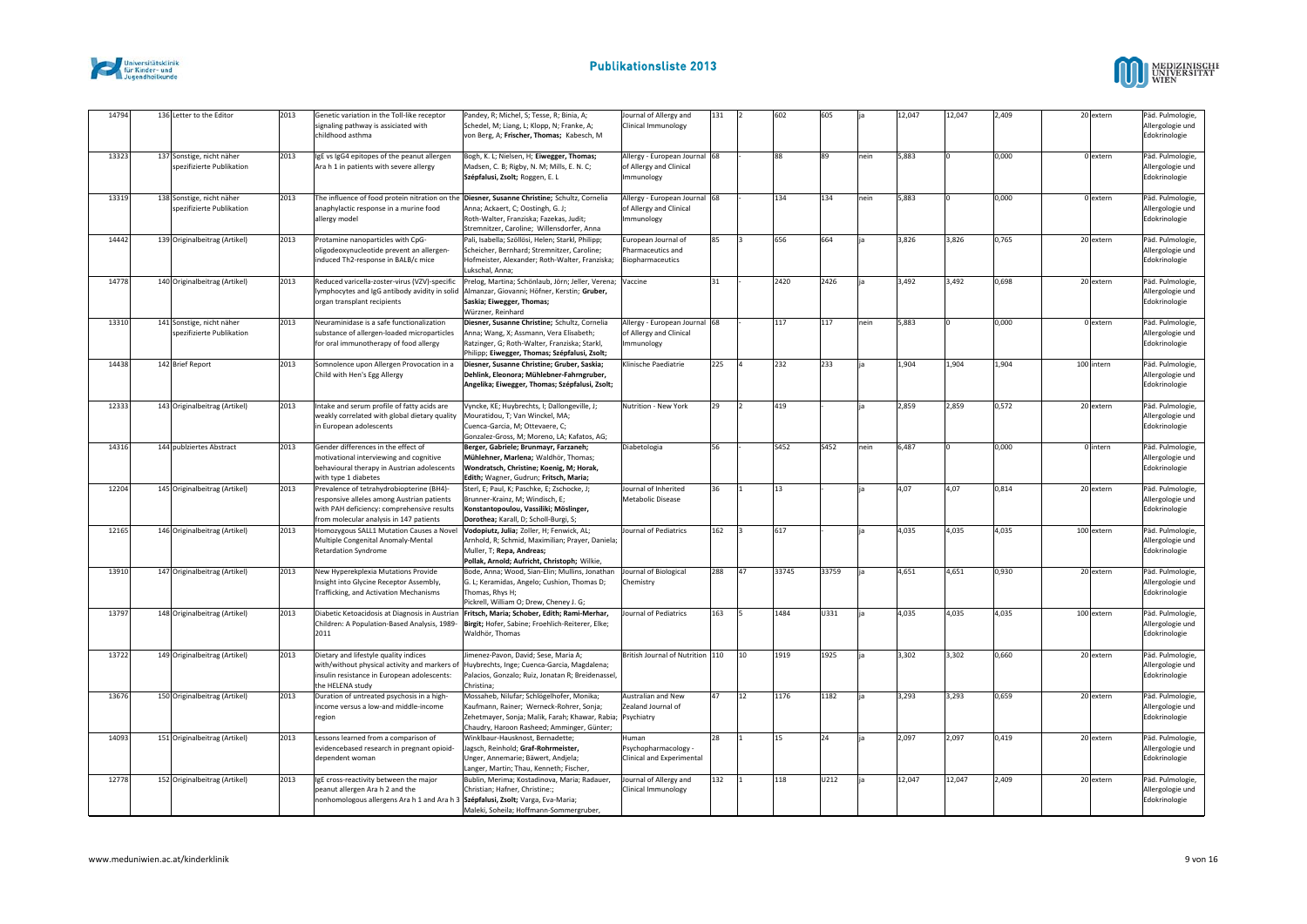



| 14794 | 136 Letter to the Editor                               | 2013 | Genetic variation in the Toll-like receptor<br>signaling pathway is assiciated with<br>childhood asthma                                                                          | Pandey, R; Michel, S; Tesse, R; Binia, A;<br>Schedel, M; Liang, L; Klopp, N; Franke, A;<br>von Berg, A; Frischer, Thomas; Kabesch, M                                                              | Journal of Allergy and<br>Clinical Immunology                                 | 131 |              | 602   | 605       |      | 12,047 | 12,047 | 2,409 | 20 extern  | Päd. Pulmologie,<br>Allergologie und<br>Edokrinologie |
|-------|--------------------------------------------------------|------|----------------------------------------------------------------------------------------------------------------------------------------------------------------------------------|---------------------------------------------------------------------------------------------------------------------------------------------------------------------------------------------------|-------------------------------------------------------------------------------|-----|--------------|-------|-----------|------|--------|--------|-------|------------|-------------------------------------------------------|
| 13323 | 137 Sonstige, nicht näher<br>spezifizierte Publikation | 2013 | IgE vs IgG4 epitopes of the peanut allergen<br>Ara h 1 in patients with severe allergy                                                                                           | Bogh, K. L; Nielsen, H; Eiwegger, Thomas;<br>Madsen, C. B; Rigby, N. M; Mills, E. N. C;<br>Szépfalusi, Zsolt; Roggen, E. L                                                                        | Allergy - European Journal 68<br>of Allergy and Clinical<br><b>Immunology</b> |     |              | 88    | <b>RQ</b> | nein | 5,883  |        | 0,000 | 0 extern   | Päd. Pulmologie<br>Allergologie und<br>Edokrinologie  |
| 13319 | 138 Sonstige, nicht näher<br>spezifizierte Publikation | 2013 | The influence of food protein nitration on the<br>anaphylactic response in a murine food<br>allergy model                                                                        | Diesner, Susanne Christine; Schultz, Cornelia<br>Anna; Ackaert, C; Oostingh, G. J;<br>Roth-Walter, Franziska; Fazekas, Judit;<br>Stremnitzer, Caroline; Willensdorfer, Anna                       | Allergy - European Journal 68<br>of Allergy and Clinical<br>mmunology         |     |              | 134   | 134       | nein | 5,883  |        | 000,0 | 0 extern   | Päd. Pulmologie<br>Allergologie und<br>Edokrinologie  |
| 14442 | 139 Originalbeitrag (Artikel)                          | 2013 | Protamine nanoparticles with CpG-<br>pligodeoxynucleotide prevent an allergen-<br>induced Th2-response in BALB/c mice                                                            | Pali, Isabella; Szöllösi, Helen; Starkl, Philipp;<br>Scheicher, Bernhard; Stremnitzer, Caroline;<br>Hofmeister, Alexander; Roth-Walter, Franziska;<br>Lukschal, Anna;                             | European Journal of<br>Pharmaceutics and<br>Biopharmaceutics                  | 85  |              | 656   | 664       |      | 3,826  | 3,826  | 0,765 | 20 extern  | Päd. Pulmologie,<br>Allergologie und<br>Edokrinologie |
| 14778 | 140 Originalbeitrag (Artikel)                          | 2013 | Reduced varicella-zoster-virus (VZV)-specific<br>lymphocytes and IgG antibody avidity in solid<br>organ transplant recipients                                                    | Prelog, Martina; Schönlaub, Jörn; Jeller, Verena;<br>Almanzar, Giovanni; Höfner, Kerstin; Gruber,<br>Saskia; Eiwegger, Thomas;<br>Würzner, Reinhard                                               | Vaccine                                                                       | 31  |              | 2420  | 2426      |      | 3,492  | 3,492  | 0,698 | 20 extern  | Päd. Pulmologie<br>Allergologie und<br>Edokrinologie  |
| 13310 | 141 Sonstige, nicht näher<br>spezifizierte Publikation | 2013 | Neuraminidase is a safe functionalization<br>substance of allergen-loaded microparticles<br>for oral immunotherapy of food allergy                                               | Diesner, Susanne Christine; Schultz, Cornelia<br>Anna; Wang, X; Assmann, Vera Elisabeth;<br>Ratzinger, G; Roth-Walter, Franziska; Starkl,<br>Philipp; Eiwegger, Thomas; Szépfalusi, Zsolt;        | Allergy - European Journal 68<br>of Allergy and Clinical<br>mmunology         |     |              | 117   | 117       | nein | 5,883  |        | 0,000 | 0 extern   | Päd. Pulmologie<br>Allergologie und<br>Edokrinologie  |
| 14438 | 142 Brief Report                                       | 2013 | Somnolence upon Allergen Provocation in a<br>Child with Hen's Egg Allergy                                                                                                        | Diesner, Susanne Christine; Gruber, Saskia;<br>Dehlink, Eleonora; Mühlebner-Fahrngruber,<br>Angelika; Eiwegger, Thomas; Szépfalusi, Zsolt;                                                        | <b>Klinische Paediatrie</b>                                                   | 225 |              | 232   | 233       |      | 1,904  | 1,904  | 1,904 | 100 intern | Päd. Pulmologie<br>Allergologie und<br>Edokrinologie  |
| 12333 | 143 Originalbeitrag (Artikel)                          | 2013 | Intake and serum profile of fatty acids are<br>weakly correlated with global dietary quality<br>in European adolescents                                                          | Vyncke, KE; Huybrechts, I; Dallongeville, J;<br>Mouratidou, T; Van Winckel, MA;<br>Cuenca-Garcia, M: Ottevaere, C:<br>Gonzalez-Gross, M; Moreno, LA; Kafatos, AG;                                 | Nutrition - New York                                                          | 29  | $\mathsf{L}$ | 419   |           |      | 2,859  | 2,859  | 0,572 | 20 extern  | Päd. Pulmologie,<br>Allergologie und<br>Edokrinologie |
| 14316 | 144 publziertes Abstract                               | 2013 | Gender differences in the effect of<br>motivational interviewing and cognitive<br>behavioural therapy in Austrian adolescents<br>with type 1 diabetes                            | Berger, Gabriele; Brunmayr, Farzaneh;<br>Mühlehner, Marlena; Waldhör, Thomas;<br>Wondratsch, Christine; Koenig, M; Horak,<br>Edith; Wagner, Gudrun; Fritsch, Maria;                               | Diabetologia                                                                  | 56  |              | S452  | S452      | nein | 6,487  |        | 0.000 | 0 intern   | Päd. Pulmologie<br>Allergologie und<br>Edokrinologie  |
| 12204 | 145 Originalbeitrag (Artikel)                          | 2013 | Prevalence of tetrahydrobiopterine (BH4)-<br>responsive alleles among Austrian patients<br>with PAH deficiency: comprehensive results<br>from molecular analysis in 147 patients | Sterl, E; Paul, K; Paschke, E; Zschocke, J;<br>Brunner-Krainz, M; Windisch, E;<br>Konstantopoulou, Vassiliki; Möslinger,<br>Dorothea; Karall, D; Scholl-Burgi, S;                                 | Journal of Inherited<br>Metabolic Disease                                     | 36  |              | 13    |           |      | 4,07   | 4.07   | 0.814 | 20 extern  | Päd. Pulmologie<br>Allergologie und<br>Edokrinologie  |
| 12165 | 146 Originalbeitrag (Artikel)                          | 2013 | Homozygous SALL1 Mutation Causes a Novel<br>Multiple Congenital Anomaly-Mental<br><b>Retardation Syndrome</b>                                                                    | Vodopiutz, Julia; Zoller, H; Fenwick, AL;<br>Arnhold, R; Schmid, Maximilian; Prayer, Daniela;<br>Muller, T; Repa, Andreas;<br>Pollak, Arnold; Aufricht, Christoph; Wilkie,                        | <b>Journal of Pediatrics</b>                                                  | 162 |              | 617   |           |      | 4,035  | 4,035  | 4,035 | 100 extern | Päd. Pulmologie<br>Allergologie und<br>Edokrinologie  |
| 13910 | 147 Originalbeitrag (Artikel)                          | 2013 | New Hyperekplexia Mutations Provide<br>Insight into Glycine Receptor Assembly,<br>Trafficking, and Activation Mechanisms                                                         | Bode, Anna; Wood, Sian-Elin; Mullins, Jonathan<br>G. L; Keramidas, Angelo; Cushion, Thomas D;<br>Thomas, Rhys H;<br>Pickrell, William O; Drew, Cheney J. G;                                       | Journal of Biological<br>Chemistry                                            | 288 | 47           | 33745 | 33759     |      | 4,651  | 4,651  | 0,930 | 20 extern  | Päd. Pulmologie<br>Allergologie und<br>Edokrinologie  |
| 13797 | 148 Originalbeitrag (Artikel)                          | 2013 | Diabetic Ketoacidosis at Diagnosis in Austrian<br>Children: A Population-Based Analysis, 1989-<br>2011                                                                           | Fritsch, Maria; Schober, Edith; Rami-Merhar,<br>Birgit; Hofer, Sabine; Froehlich-Reiterer, Elke;<br>Waldhör, Thomas                                                                               | <b>Journal of Pediatrics</b>                                                  | 163 |              | 1484  | U331      |      | 4,035  | 4,035  | 4,035 | 100 extern | Päd. Pulmologie,<br>Allergologie und<br>Edokrinologie |
| 13722 | 149 Originalbeitrag (Artikel)                          | 2013 | Dietary and lifestyle quality indices<br>with/without physical activity and markers of<br>insulin resistance in European adolescents:<br>the HELENA study                        | limenez-Pavon, David; Sese, Maria A;<br>Huybrechts, Inge; Cuenca-Garcia, Magdalena;<br>Palacios, Gonzalo; Ruiz, Jonatan R; Breidenassel,<br>Christina:                                            | British Journal of Nutrition 110                                              |     | 110          | 1919  | 1925      |      | 3,302  | 3,302  | 0,660 | 20 extern  | Päd. Pulmologie<br>Allergologie und<br>Edokrinologie  |
| 13676 | 150 Originalbeitrag (Artikel)                          | 2013 | Duration of untreated psychosis in a high-<br>income versus a low-and middle-income<br>region                                                                                    | Mossaheb, Nilufar; Schlögelhofer, Monika;<br>Kaufmann, Rainer; Werneck-Rohrer, Sonja;<br>Zehetmayer, Sonja; Malik, Farah; Khawar, Rabia; Psychiatry<br>Chaudry, Haroon Rasheed; Amminger, Günter; | Australian and New<br>Zealand Journal of                                      | 47  | 12           | 1176  | 1182      |      | 3,293  | 3,293  | 0,659 | 20 extern  | Päd. Pulmologie<br>Allergologie und<br>Edokrinologie  |
| 14093 | 151 Originalbeitrag (Artikel)                          | 2013 | Lessons learned from a comparison of<br>evidencebased research in pregnant opioid-<br>dependent woman                                                                            | Winklbaur-Hausknost, Bernadette:<br>Jagsch, Reinhold; Graf-Rohrmeister,<br>Unger, Annemarie; Bäwert, Andjela;<br>Langer, Martin; Thau, Kenneth; Fischer,                                          | Human<br>Psychopharmacology -<br>Clinical and Experimental                    | 28  |              | 15    | 24        |      | 2.097  | 2,097  | 0,419 | 20 extern  | Päd. Pulmologie<br>Allergologie und<br>Edokrinologie  |
| 12778 | 152 Originalbeitrag (Artikel)                          | 2013 | IgE cross-reactivity between the major<br>peanut allergen Ara h 2 and the<br>nonhomologous allergens Ara h 1 and Ara h 3 Szépfalusi, Zsolt; Varga, Eva-Maria;                    | Bublin, Merima; Kostadinova, Maria; Radauer,<br>Christian; Hafner, Christine:;<br>Maleki, Soheila; Hoffmann-Sommergruber,                                                                         | Journal of Allergy and<br>Clinical Immunology                                 | 132 |              | 118   | U212      |      | 12,047 | 12,047 | 2,409 | 20 extern  | Päd. Pulmologie<br>Allergologie und<br>Edokrinologie  |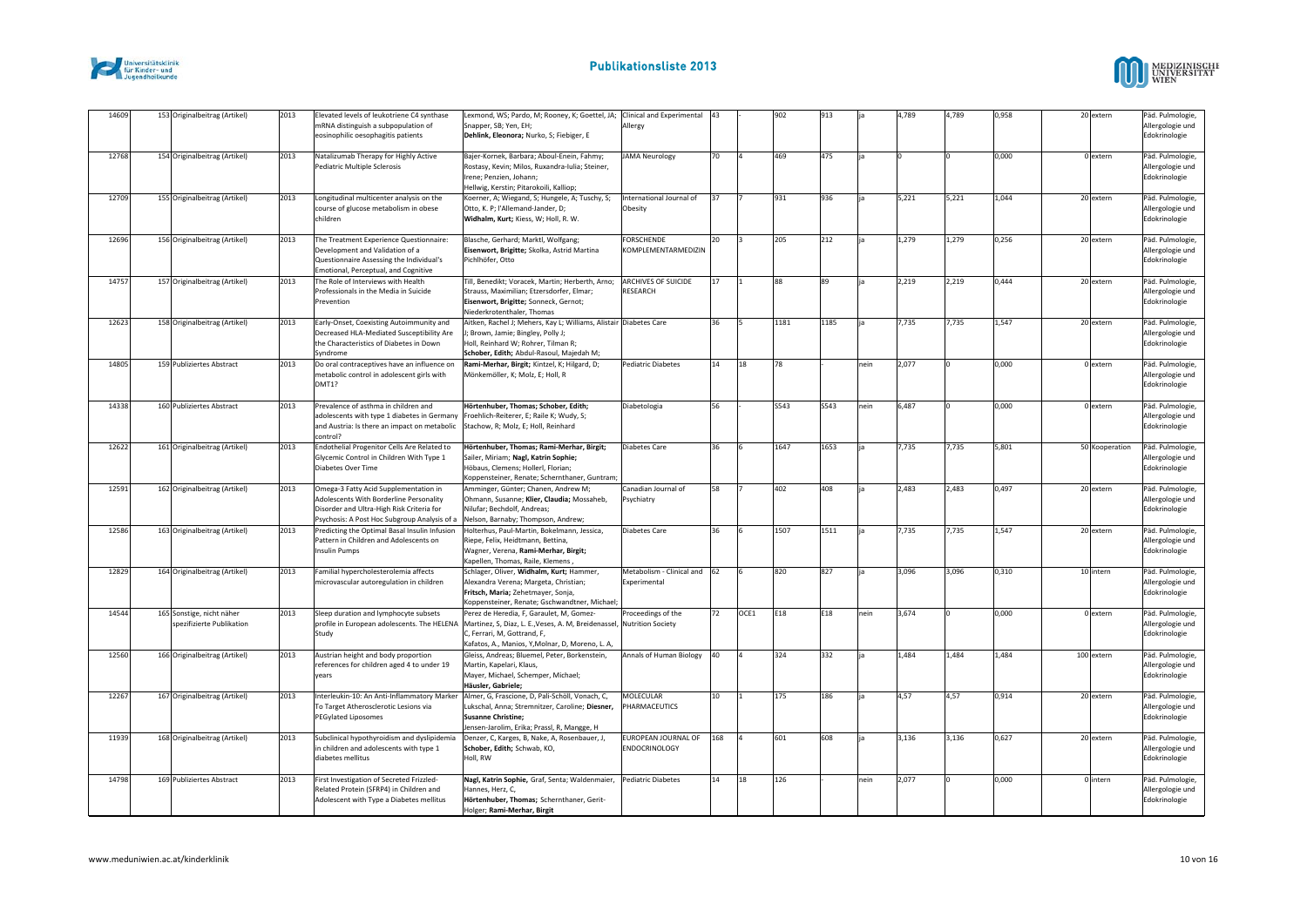



| 14609 | 153 Originalbeitrag (Artikel)                          | 2013 | Elevated levels of leukotriene C4 synthase<br>mRNA distinguish a subpopulation of<br>eosinophilic oesophagitis patients                                                       | Lexmond, WS; Pardo, M; Rooney, K; Goettel, JA; Clinical and Experimental<br>Snapper, SB; Yen, EH;<br>Dehlink, Eleonora; Nurko, S; Fiebiger, E                                                         | Allergy                                     | 43  |      | 902  | 913       |      | 4,789 | 4,789 | 0,958 | 20 extern      | Päd. Pulmologie,<br>Allergologie und<br>Edokrinologie |
|-------|--------------------------------------------------------|------|-------------------------------------------------------------------------------------------------------------------------------------------------------------------------------|-------------------------------------------------------------------------------------------------------------------------------------------------------------------------------------------------------|---------------------------------------------|-----|------|------|-----------|------|-------|-------|-------|----------------|-------------------------------------------------------|
| 12768 | 154 Originalbeitrag (Artikel)                          | 2013 | Natalizumab Therapy for Highly Active<br>Pediatric Multiple Sclerosis                                                                                                         | Bajer-Kornek, Barbara; Aboul-Enein, Fahmy;<br>Rostasy, Kevin; Milos, Ruxandra-Iulia; Steiner,<br>Irene; Penzien, Johann;<br>Hellwig, Kerstin; Pitarokoili, Kalliop;                                   | <b>JAMA Neurology</b>                       | 70  |      | 469  | 475       |      |       |       | 0.000 | 0 extern       | Päd. Pulmologie<br>Allergologie und<br>Edokrinologie  |
| 12709 | 155 Originalbeitrag (Artikel)                          | 2013 | Longitudinal multicenter analysis on the<br>course of glucose metabolism in obese<br>children                                                                                 | Koerner, A; Wiegand, S; Hungele, A; Tuschy, S;<br>Otto, K. P: l'Allemand-Jander, D:<br>Widhalm, Kurt; Kiess, W; Holl, R. W.                                                                           | International Journal of<br>Obesity         | 37  |      | 931  | 936       |      | 5,221 | 5,221 | 1,044 | 20 extern      | Päd. Pulmologie<br>Allergologie und<br>Edokrinologie  |
| 12696 | 156 Originalbeitrag (Artikel)                          | 2013 | The Treatment Experience Questionnaire:<br>Development and Validation of a<br>Questionnaire Assessing the Individual's<br>Emotional, Perceptual, and Cognitive                | Blasche, Gerhard; Marktl, Wolfgang;<br>Eisenwort, Brigitte; Skolka, Astrid Martina<br>Pichlhöfer, Otto                                                                                                | FORSCHENDE<br>KOMPLEMENTARMEDIZIN           | 20  |      | 205  | 212       |      | 1,279 | 1,279 | 0.256 | 20 extern      | Päd. Pulmologie<br>Allergologie und<br>Edokrinologie  |
| 14757 | 157 Originalbeitrag (Artikel)                          | 2013 | The Role of Interviews with Health<br>Professionals in the Media in Suicide<br>Prevention                                                                                     | Till, Benedikt; Voracek, Martin; Herberth, Arno;<br>Strauss, Maximilian; Etzersdorfer, Elmar;<br>Eisenwort, Brigitte; Sonneck, Gernot;<br>Niederkrotenthaler, Thomas                                  | ARCHIVES OF SUICIDE<br>RESEARCH             | 17  |      | 88   | <b>RQ</b> |      | 2,219 | 2,219 | 0,444 | 20 extern      | Päd. Pulmologie<br>Allergologie und<br>Edokrinologie  |
| 12623 | 158 Originalbeitrag (Artikel)                          | 2013 | Early-Onset, Coexisting Autoimmunity and<br>Decreased HLA-Mediated Susceptibility Are<br>the Characteristics of Diabetes in Down<br>Syndrome                                  | Aitken, Rachel J; Mehers, Kay L; Williams, Alistair Diabetes Care<br>; Brown, Jamie; Bingley, Polly J;<br>Holl, Reinhard W: Rohrer, Tilman R:<br>Schober, Edith; Abdul-Rasoul, Majedah M;             |                                             | 36  |      | 1181 | 1185      |      | 7,735 | 7,735 | 1,547 | 20 extern      | Päd. Pulmologie,<br>Allergologie und<br>Edokrinologie |
| 14805 | 159 Publiziertes Abstract                              | 2013 | Do oral contraceptives have an influence on<br>metabolic control in adolescent girls with<br>DMT1?                                                                            | Rami-Merhar, Birgit; Kintzel, K; Hilgard, D;<br>Mönkemöller, K; Molz, E; Holl, R                                                                                                                      | Pediatric Diabetes                          | 14  | 18   | 78   |           | nein | 2,077 |       | 0,000 | 0 extern       | Päd. Pulmologie<br>Allergologie und<br>Edokrinologie  |
| 14338 | 160 Publiziertes Abstract                              | 2013 | Prevalence of asthma in children and<br>adolescents with type 1 diabetes in Germany<br>and Austria: Is there an impact on metabolic<br>control?                               | Hörtenhuber, Thomas; Schober, Edith;<br>Froehlich-Reiterer, E; Raile K; Wudy, S;<br>Stachow, R; Molz, E; Holl, Reinhard                                                                               | Diabetologia                                | 56  |      | S543 | S543      | nein | 6,487 |       | 0.000 | 0 extern       | Päd. Pulmologie,<br>Allergologie und<br>Edokrinologie |
| 12622 | 161 Originalbeitrag (Artikel)                          | 2013 | Endothelial Progenitor Cells Are Related to<br>Glycemic Control in Children With Type 1<br>Diabetes Over Time                                                                 | Hörtenhuber, Thomas; Rami-Merhar, Birgit;<br>Sailer, Miriam; Nagl, Katrin Sophie;<br>Höbaus, Clemens; Hollerl, Florian;<br>Koppensteiner, Renate; Schernthaner, Guntram                               | Diabetes Care                               | 36  |      | 1647 | 1653      |      | 7,735 | 7,735 | 5.801 | 50 Kooperation | Päd. Pulmologie<br>Allergologie und<br>Edokrinologie  |
| 12591 | 162 Originalbeitrag (Artikel)                          | 2013 | Omega-3 Fatty Acid Supplementation in<br>Adolescents With Borderline Personality<br>Disorder and Ultra-High Risk Criteria for<br>Psychosis: A Post Hoc Subgroup Analysis of a | Amminger, Günter; Chanen, Andrew M;<br>Ohmann, Susanne; Klier, Claudia; Mossaheb,<br>Nilufar; Bechdolf, Andreas;<br>Nelson, Barnaby; Thompson, Andrew;                                                | Canadian Journal of<br>Psychiatry           | 58  |      | 402  | 408       |      | 2.483 | 2,483 | 0.497 | 20 extern      | Päd. Pulmologie<br>Allergologie und<br>Edokrinologie  |
| 12586 | 163 Originalbeitrag (Artikel)                          | 2013 | Predicting the Optimal Basal Insulin Infusion<br>Pattern in Children and Adolescents on<br>Insulin Pumps                                                                      | Holterhus, Paul-Martin, Bokelmann, Jessica,<br>Riepe, Felix, Heidtmann, Bettina,<br>Wagner, Verena, Rami-Merhar, Birgit;<br>Kapellen, Thomas, Raile, Klemens,                                         | Diabetes Care                               | 36  |      | 1507 | 1511      |      | 7,735 | 7,735 | 1,547 | 20 extern      | Päd. Pulmologie,<br>Allergologie und<br>Edokrinologie |
| 12829 | 164 Originalbeitrag (Artikel)                          | 2013 | Familial hypercholesterolemia affects<br>microvascular autoregulation in children                                                                                             | Schlager, Oliver, Widhalm, Kurt; Hammer,<br>Alexandra Verena; Margeta, Christian;<br>Fritsch, Maria; Zehetmayer, Sonja,<br>Koppensteiner, Renate; Gschwandtner, Michael                               | Metabolism - Clinical and<br>Experimental   | 62  |      | 820  | 827       |      | 3,096 | 3,096 | 0,310 | 10 intern      | Päd. Pulmologie<br>Allergologie und<br>Edokrinologie  |
| 14544 | 165 Sonstige, nicht näher<br>spezifizierte Publikation | 2013 | Sleep duration and lymphocyte subsets<br>profile in European adolescents. The HELENA<br>Study                                                                                 | Perez de Heredia, F, Garaulet, M, Gomez-<br>Martinez, S, Diaz, L. E., Veses, A. M, Breidenassel, Nutrition Society<br>C. Ferrari, M. Gottrand, F.<br>Kafatos, A., Manios, Y, Molnar, D, Moreno, L. A, | Proceedings of the                          | 72  | OCE1 | E18  | E18       | nein | 3,674 |       | 0,000 | 0 extern       | Päd. Pulmologie<br>Allergologie und<br>Edokrinologie  |
| 12560 | 166 Originalbeitrag (Artikel)                          | 2013 | Austrian height and body proportion<br>references for children aged 4 to under 19<br>years                                                                                    | Gleiss, Andreas; Bluemel, Peter, Borkenstein,<br>Martin, Kapelari, Klaus,<br>Mayer, Michael, Schemper, Michael;<br>Häusler, Gabriele;                                                                 | Annals of Human Biology                     | 40  |      | 324  | 332       |      | 1,484 | 1,484 | 1,484 | 100 extern     | Päd. Pulmologie<br>Allergologie und<br>Edokrinologie  |
| 12267 | 167 Originalbeitrag (Artikel)                          | 2013 | Interleukin-10: An Anti-Inflammatory Marker<br>To Target Atherosclerotic Lesions via<br><b>PEGylated Liposomes</b>                                                            | Almer, G, Frascione, D, Pali-Schöll, Vonach, C,<br>Lukschal, Anna; Stremnitzer, Caroline; Diesner,<br><b>Susanne Christine;</b><br>Jensen-Jarolim, Erika; Prassl, R, Mangge, H                        | MOLECULAR<br>PHARMACEUTICS                  | 10  |      | 175  | 186       |      | 4,57  | 4.57  | 0,914 | 20 extern      | Päd. Pulmologie<br>Allergologie und<br>Edokrinologie  |
| 11939 | 168 Originalbeitrag (Artikel)                          | 2013 | Subclinical hypothyroidism and dyslipidemia<br>in children and adolescents with type 1<br>diabetes mellitus                                                                   | Denzer, C, Karges, B, Nake, A, Rosenbauer, J,<br>Schober, Edith; Schwab, KO,<br>Holl, RW                                                                                                              | <b>EUROPEAN JOURNAL OF</b><br>ENDOCRINOLOGY | 168 |      | 601  | 608       |      | 3.136 | 3.136 | 0.627 | 20 extern      | Päd. Pulmologie,<br>Allergologie und<br>Edokrinologie |
| 14798 | 169 Publiziertes Abstract                              | 2013 | First Investigation of Secreted Frizzled-<br>Related Protein (SFRP4) in Children and<br>Adolescent with Type a Diabetes mellitus                                              | Nagl, Katrin Sophie, Graf, Senta; Waldenmaier,<br>Hannes, Herz, C,<br>Hörtenhuber, Thomas; Schernthaner, Gerit-<br>Holger; Rami-Merhar, Birgit                                                        | <b>Pediatric Diabetes</b>                   | 14  | 18   | 126  |           | nein | 2,077 |       | 0,000 | 0 intern       | Päd. Pulmologie<br>Allergologie und<br>Edokrinologie  |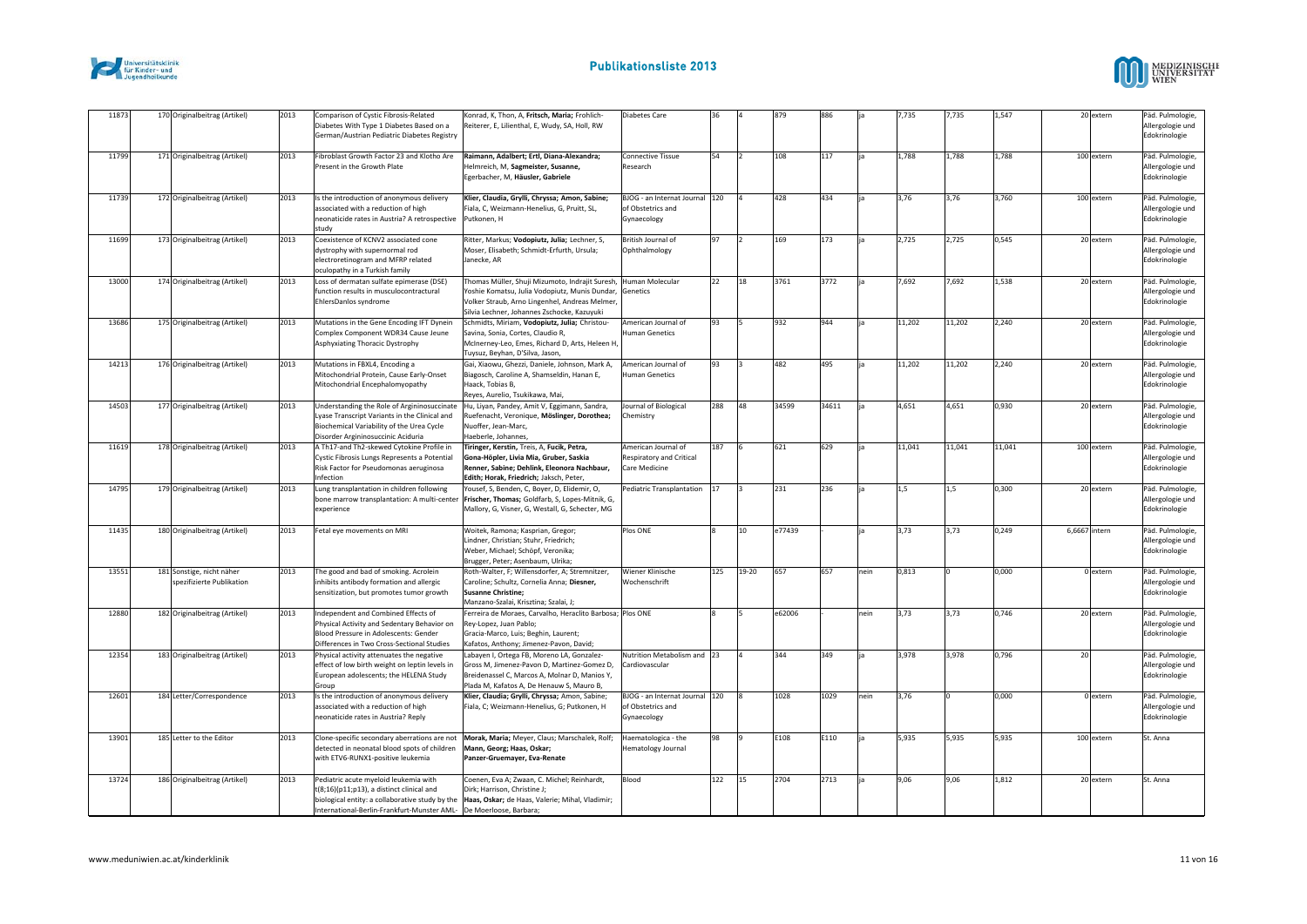



| 11873 | 170 Originalbeitrag (Artikel)                          | 2013 | Comparison of Cystic Fibrosis-Related<br>Diabetes With Type 1 Diabetes Based on a<br>German/Austrian Pediatric Diabetes Registry                                                | Konrad, K, Thon, A, Fritsch, Maria; Frohlich<br>Reiterer, E, Lilienthal, E, Wudy, SA, Holl, RW                                                                                                     | Diabetes Care                                                      | 36  |       | 879    | 886   |      | 7,735  | 7,735  | 1,547  |               | 20 extern  | Päd. Pulmologie,<br>Allergologie und<br>Edokrinologie |
|-------|--------------------------------------------------------|------|---------------------------------------------------------------------------------------------------------------------------------------------------------------------------------|----------------------------------------------------------------------------------------------------------------------------------------------------------------------------------------------------|--------------------------------------------------------------------|-----|-------|--------|-------|------|--------|--------|--------|---------------|------------|-------------------------------------------------------|
| 11799 | 171 Originalbeitrag (Artikel)                          | 2013 | Fibroblast Growth Factor 23 and Klotho Are<br>Present in the Growth Plate                                                                                                       | Raimann, Adalbert; Ertl, Diana-Alexandra;<br>Helmreich, M, Sagmeister, Susanne,<br>Egerbacher, M, Häusler, Gabriele                                                                                | Connective Tissue<br>Research                                      | 54  |       | 108    | 117   |      | 1,788  | 1,788  | 1,788  |               | 100 extern | Päd. Pulmologie,<br>Allergologie und<br>Edokrinologie |
| 11739 | 172 Originalbeitrag (Artikel)                          | 2013 | Is the introduction of anonymous delivery<br>associated with a reduction of high<br>neonaticide rates in Austria? A retrospective<br>studv                                      | Klier, Claudia, Grylli, Chryssa; Amon, Sabine;<br>Fiala, C, Weizmann-Henelius, G, Pruitt, SL,<br>Putkonen, H                                                                                       | BJOG - an Internat Journal 120<br>of Obstetrics and<br>Gynaecology |     |       | 428    | 434   |      | 3,76   | 3,76   | 3,760  |               | 100 extern | Päd. Pulmologie,<br>Allergologie und<br>Edokrinologie |
| 11699 | 173 Originalbeitrag (Artikel)                          | 2013 | Coexistence of KCNV2 associated cone<br>dystrophy with supernormal rod<br>electroretinogram and MFRP related<br>oculopathy in a Turkish family                                  | Ritter, Markus; Vodopiutz, Julia; Lechner, S,<br>Moser, Elisabeth; Schmidt-Erfurth, Ursula;<br>Janecke, AR                                                                                         | British Journal of<br>Ophthalmology                                | 97  |       | 169    | 173   |      | 2,725  | 2,725  | 0,545  |               | 20 extern  | Päd. Pulmologie,<br>Allergologie und<br>Edokrinologie |
| 13000 | 174 Originalbeitrag (Artikel)                          | 2013 | Loss of dermatan sulfate epimerase (DSE)<br>function results in musculocontractural<br>EhlersDanlos syndrome                                                                    | Thomas Müller, Shuji Mizumoto, Indrajit Suresh,<br>Yoshie Komatsu, Julia Vodopiutz, Munis Dundar,<br>Volker Straub, Arno Lingenhel, Andreas Melmer,<br>Silvia Lechner, Johannes Zschocke, Kazuyuki | Human Molecular<br>Genetics                                        | 22  | 18    | 3761   | 3772  |      | 7,692  | 7,692  | 1,538  |               | 20 extern  | Päd. Pulmologie,<br>Allergologie und<br>Edokrinologie |
| 13686 | 175 Originalbeitrag (Artikel)                          | 2013 | Mutations in the Gene Encoding IFT Dynein<br>Complex Component WDR34 Cause Jeune<br><b>Asphyxiating Thoracic Dystrophy</b>                                                      | Schmidts, Miriam, Vodopiutz, Julia; Christou-<br>Savina, Sonia, Cortes, Claudio R,<br>McInerney-Leo, Emes, Richard D, Arts, Heleen H,<br>Tuysuz, Beyhan, D'Silva, Jason,                           | American Journal of<br>Human Genetics                              | 93  |       | 932    | 944   |      | 11,202 | 11,202 | 2,240  |               | 20 extern  | Päd. Pulmologie,<br>Allergologie und<br>Edokrinologie |
| 14213 | 176 Originalbeitrag (Artikel)                          | 2013 | Mutations in FBXL4, Encoding a<br>Mitochondrial Protein, Cause Early-Onset<br>Mitochondrial Encephalomyopathy                                                                   | Gai, Xiaowu, Ghezzi, Daniele, Johnson, Mark A,<br>Biagosch, Caroline A, Shamseldin, Hanan E,<br>Haack, Tobias B.<br>Reyes, Aurelio, Tsukikawa, Mai,                                                | American Journal of<br><b>Human Genetics</b>                       | 93  |       | 482    | 495   |      | 11,202 | 11,202 | 2.240  |               | 20 extern  | Päd. Pulmologie,<br>Allergologie und<br>Edokrinologie |
| 14503 | 177 Originalbeitrag (Artikel)                          | 2013 | Understanding the Role of Argininosuccinate<br>Lyase Transcript Variants in the Clinical and<br>Biochemical Variability of the Urea Cycle<br>Disorder Argininosuccinic Aciduria | Hu, Liyan, Pandey, Amit V, Eggimann, Sandra,<br>Ruefenacht, Veronique, Möslinger, Dorothea;<br>Nuoffer, Jean-Marc,<br>Haeberle, Johannes,                                                          | Journal of Biological<br>Chemistry                                 | 288 | 48    | 34599  | 34611 |      | 4,651  | 4,651  | 0,930  |               | 20 extern  | Päd. Pulmologie,<br>Allergologie und<br>Edokrinologie |
| 11619 | 178 Originalbeitrag (Artikel)                          | 2013 | A Th17-and Th2-skewed Cytokine Profile in<br>Cystic Fibrosis Lungs Represents a Potential<br>Risk Factor for Pseudomonas aeruginosa<br>Infection                                | Tiringer, Kerstin, Treis, A, Fucik, Petra,<br>Gona-Höpler, Livia Mia, Gruber, Saskia<br>Renner, Sabine; Dehlink, Eleonora Nachbaur,<br>Edith; Horak, Friedrich; Jaksch, Peter,                     | American Journal of<br>Respiratory and Critical<br>Care Medicine   | 187 |       | 621    | 629   |      | 11,041 | 11,041 | 11,041 |               | 100 extern | Päd. Pulmologie,<br>Allergologie und<br>Edokrinologie |
| 14795 | 179 Originalbeitrag (Artikel)                          | 2013 | Lung transplantation in children following<br>bone marrow transplantation: A multi-center<br>experience                                                                         | Yousef, S, Benden, C, Boyer, D, Elidemir, O,<br>Frischer, Thomas; Goldfarb, S, Lopes-Mitnik, G,<br>Mallory, G, Visner, G, Westall, G, Schecter, MG                                                 | Pediatric Transplantation 17                                       |     |       | 231    | 236   |      | 1,5    | 1.5    | 0,300  |               | 20 extern  | Päd. Pulmologie<br>Allergologie und<br>Edokrinologie  |
| 11435 | 180 Originalbeitrag (Artikel)                          | 2013 | Fetal eye movements on MRI                                                                                                                                                      | Woitek, Ramona; Kasprian, Gregor;<br>Lindner, Christian; Stuhr, Friedrich;<br>Weber, Michael; Schöpf, Veronika;<br>Brugger, Peter; Asenbaum, Ulrika;                                               | Plos ONE                                                           |     | 10    | e77439 |       |      | 3,73   | 3,73   | 0,249  | 6,6667 intern |            | Päd. Pulmologie,<br>Allergologie und<br>Edokrinologie |
| 13551 | 181 Sonstige, nicht näher<br>spezifizierte Publikation | 2013 | The good and bad of smoking. Acrolein<br>inhibits antibody formation and allergic<br>sensitization, but promotes tumor growth                                                   | Roth-Walter, F; Willensdorfer, A; Stremnitzer,<br>Caroline: Schultz, Cornelia Anna: Diesner.<br><b>Susanne Christine;</b><br>Manzano-Szalai, Krisztina; Szalai, J;                                 | Wiener Klinische<br>Wochenschrift                                  | 125 | 19-20 | 657    | 657   | nein | 0,813  |        | 0,000  |               | 0 extern   | Päd. Pulmologie,<br>Allergologie und<br>Edokrinologie |
| 12880 | 182 Originalbeitrag (Artikel)                          | 2013 | Independent and Combined Effects of<br>Physical Activity and Sedentary Behavior on<br>Blood Pressure in Adolescents: Gender<br>Differences in Two Cross-Sectional Studies       | Ferreira de Moraes, Carvalho, Heraclito Barbosa; Plos ONE<br>Rey-Lopez, Juan Pablo;<br>Gracia-Marco, Luis; Beghin, Laurent;<br>Kafatos, Anthony; Jimenez-Pavon, David;                             |                                                                    |     |       | e62006 |       | nein | 3,73   | 3,73   | 0.746  |               | 20 extern  | Päd. Pulmologie,<br>Allergologie und<br>Edokrinologie |
| 12354 | 183 Originalbeitrag (Artikel)                          | 2013 | Physical activity attenuates the negative<br>effect of low birth weight on leptin levels in<br>European adolescents; the HELENA Study<br>Group                                  | Labayen I, Ortega FB, Moreno LA, Gonzalez-<br>Gross M, Jimenez-Pavon D, Martinez-Gomez D,<br>Breidenassel C, Marcos A, Molnar D, Manios Y,<br>Plada M, Kafatos A, De Henauw S, Mauro B,            | Nutrition Metabolism and 23<br>Cardiovascular                      |     |       | 344    | 349   |      | 3,978  | 3,978  | 0,796  | 20            |            | Päd. Pulmologie,<br>Allergologie und<br>Edokrinologie |
| 12601 | 184 Letter/Correspondence                              | 2013 | Is the introduction of anonymous delivery<br>associated with a reduction of high<br>neonaticide rates in Austria? Reply                                                         | Klier, Claudia; Grylli, Chryssa; Amon, Sabine;<br>Fiala, C; Weizmann-Henelius, G; Putkonen, H                                                                                                      | BJOG - an Internat Journal 120<br>of Obstetrics and<br>Gynaecology |     |       | 1028   | 1029  | nein | 3,76   |        | 0,000  |               | 0 extern   | Päd. Pulmologie,<br>Allergologie und<br>Edokrinologie |
| 13901 | 185 Letter to the Editor                               | 2013 | Clone-specific secondary aberrations are not<br>detected in neonatal blood spots of children<br>with ETV6-RUNX1-positive leukemia                                               | Morak, Maria; Meyer, Claus; Marschalek, Rolf;<br>Mann, Georg; Haas, Oskar;<br>Panzer-Gruemayer, Eva-Renate                                                                                         | Haematologica - the<br>Hematology Journal                          | 98  |       | E108   | E110  |      | 5,935  | 5,935  | 5,935  |               | 100 extern | St. Anna                                              |
| 13724 | 186 Originalbeitrag (Artikel)                          | 2013 | Pediatric acute myeloid leukemia with<br>t(8;16)(p11;p13), a distinct clinical and<br>International-Berlin-Frankfurt-Munster AML- De Moerloose, Barbara;                        | Coenen, Eva A; Zwaan, C. Michel; Reinhardt,<br>Dirk; Harrison, Christine J;<br>biological entity: a collaborative study by the Haas, Oskar; de Haas, Valerie; Mihal, Vladimir;                     | Blood                                                              | 122 | 15    | 2704   | 2713  |      | 9,06   | 9,06   | 1,812  |               | 20 extern  | St. Anna                                              |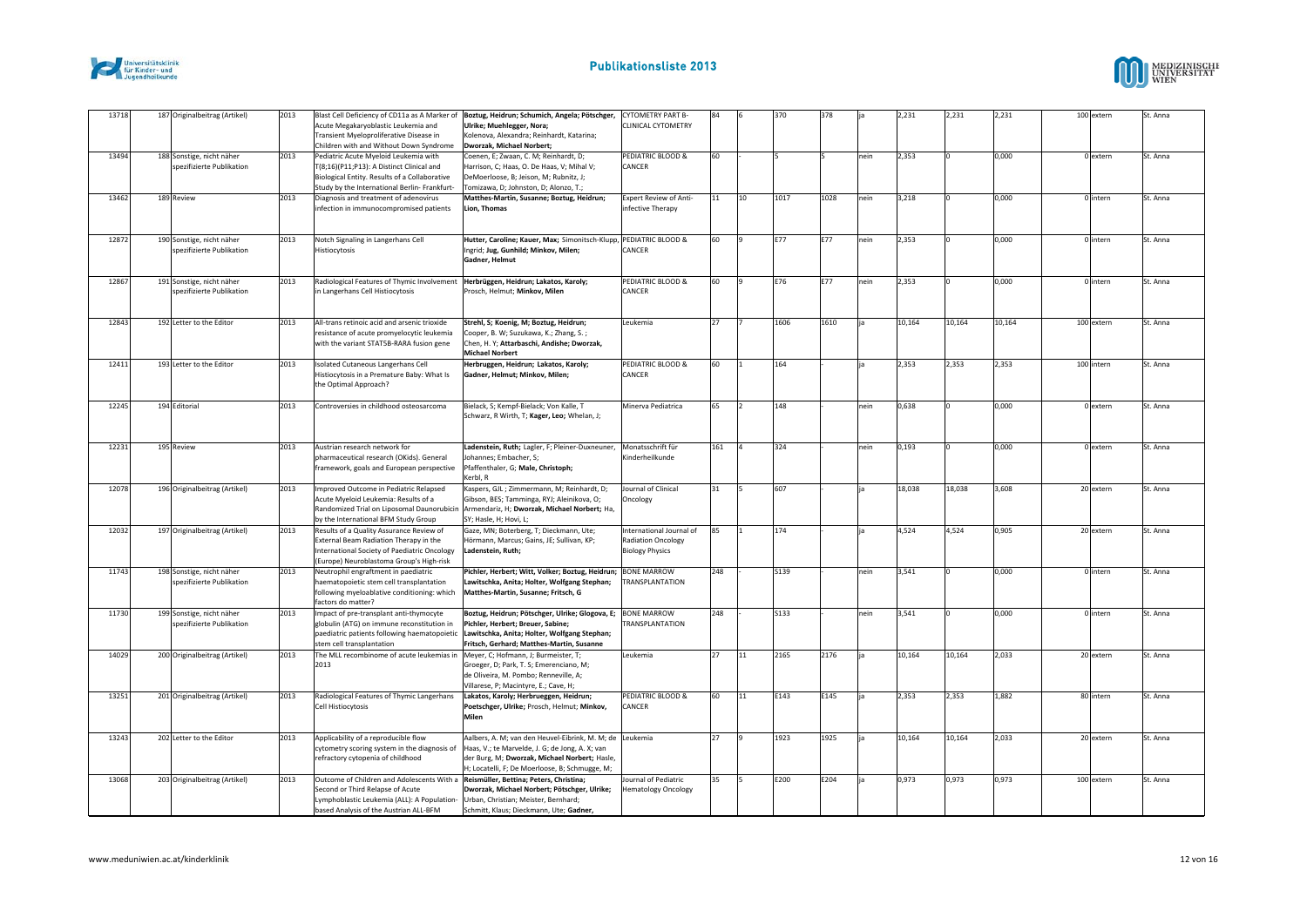



| 13718 | 187 Originalbeitrag (Artikel)                          | 2013 | Acute Megakaryoblastic Leukemia and<br>Transient Myeloproliferative Disease in                                                                                                                                                                       | Blast Cell Deficiency of CD11a as A Marker of Boztug, Heidrun; Schumich, Angela; Pötschger,<br>Ulrike; Muehlegger, Nora;<br>Kolenova, Alexandra; Reinhardt, Katarina;                                         | <b>CYTOMETRY PART B-</b><br>CLINICAL CYTOMETRY                                  | 84  |    | 370         | 378  |      | 2,231  | 2,231  | 2,231  | 100 extern | St. Anna |
|-------|--------------------------------------------------------|------|------------------------------------------------------------------------------------------------------------------------------------------------------------------------------------------------------------------------------------------------------|---------------------------------------------------------------------------------------------------------------------------------------------------------------------------------------------------------------|---------------------------------------------------------------------------------|-----|----|-------------|------|------|--------|--------|--------|------------|----------|
|       |                                                        |      | Children with and Without Down Syndrome                                                                                                                                                                                                              | Dworzak, Michael Norbert;                                                                                                                                                                                     |                                                                                 |     |    |             |      |      |        |        |        |            |          |
| 13494 | 188 Sonstige, nicht näher<br>spezifizierte Publikation | 2013 | Pediatric Acute Myeloid Leukemia with<br>T(8;16)(P11;P13): A Distinct Clinical and<br>Biological Entity. Results of a Collaborative                                                                                                                  | Coenen, E; Zwaan, C. M; Reinhardt, D;<br>Harrison, C; Haas, O. De Haas, V; Mihal V;<br>DeMoerloose, B; Jeison, M; Rubnitz, J;                                                                                 | PEDIATRIC BLOOD &<br>CANCER                                                     | 60  |    |             |      | nein | 2,353  |        | 0,000  | 0 extern   | St. Anna |
|       |                                                        |      | Study by the International Berlin- Frankfurt-                                                                                                                                                                                                        | Tomizawa, D; Johnston, D; Alonzo, T.;                                                                                                                                                                         |                                                                                 |     |    |             |      |      |        |        |        |            |          |
| 13462 | 189 Review                                             | 2013 | Diagnosis and treatment of adenovirus<br>infection in immunocompromised patients                                                                                                                                                                     | Matthes-Martin, Susanne; Boztug, Heidrun;<br>Lion, Thomas                                                                                                                                                     | Expert Review of Anti-<br>infective Therapy                                     | 11  | 10 | 1017        | 1028 | nein | 3,218  |        | 0,000  | 0 intern   | St. Anna |
| 12872 | 190 Sonstige, nicht näher<br>spezifizierte Publikation | 2013 | Notch Signaling in Langerhans Cell<br>Histiocytosis                                                                                                                                                                                                  | Hutter, Caroline; Kauer, Max; Simonitsch-Klupp, PEDIATRIC BLOOD &<br>Ingrid; Jug, Gunhild; Minkov, Milen;<br>Gadner, Helmut                                                                                   | CANCER                                                                          | 60  |    | E77         | E77  | nein | 2,353  |        | 0,000  | 0 intern   | St. Anna |
| 12867 | 191 Sonstige, nicht näher<br>spezifizierte Publikation | 2013 | Radiological Features of Thymic Involvement<br>in Langerhans Cell Histiocytosis                                                                                                                                                                      | Herbrüggen, Heidrun; Lakatos, Karoly;<br>Prosch, Helmut; Minkov, Milen                                                                                                                                        | PEDIATRIC BLOOD &<br>CANCER                                                     | 60  |    | E76         | E77  | nein | 2,353  |        | 0,000  | 0 intern   | St. Anna |
| 12843 | 192 Letter to the Editor                               | 2013 | All-trans retinoic acid and arsenic trioxide<br>resistance of acute promyelocytic leukemia<br>with the variant STAT5B-RARA fusion gene                                                                                                               | Strehl, S; Koenig, M; Boztug, Heidrun;<br>Cooper, B. W; Suzukawa, K.; Zhang, S.;<br>Chen, H. Y; Attarbaschi, Andishe; Dworzak,<br><b>Michael Norbert</b>                                                      | Leukemia                                                                        | 27  |    | 1606        | 1610 |      | 10,164 | 10,164 | 10,164 | 100 extern | St. Anna |
| 12411 | 193 Letter to the Editor                               | 2013 | Isolated Cutaneous Langerhans Cell<br>Histiocytosis in a Premature Baby: What Is<br>the Optimal Approach?                                                                                                                                            | Herbruggen, Heidrun; Lakatos, Karoly;<br>Gadner, Helmut; Minkov, Milen;                                                                                                                                       | PEDIATRIC BLOOD &<br>CANCER                                                     | 60  |    | 164         |      |      | 2,353  | 2,353  | 2.353  | 100 intern | St. Anna |
| 12245 | 194 Editorial                                          | 2013 | Controversies in childhood osteosarcoma                                                                                                                                                                                                              | Bielack, S; Kempf-Bielack; Von Kalle, T<br>Schwarz, R Wirth, T; Kager, Leo; Whelan, J;                                                                                                                        | Minerva Pediatrica                                                              | 65  |    | 148         |      | nein | 0,638  |        | 0,000  | 0 extern   | St. Anna |
| 12231 | 195 Review                                             | 2013 | Austrian research network for<br>pharmaceutical research (OKids). General<br>framework, goals and European perspective                                                                                                                               | Ladenstein, Ruth; Lagler, F; Pleiner-Duxneuner,<br>Johannes; Embacher, S;<br>Pfaffenthaler, G; Male, Christoph;<br>Kerbl, R                                                                                   | Monatsschrift für<br>Kinderheilkunde                                            | 161 |    | 324         |      | nein | 0,193  |        | 0,000  | 0 extern   | St. Anna |
| 12078 | 196 Originalbeitrag (Artikel)                          | 2013 | Improved Outcome in Pediatric Relapsed<br>Acute Myeloid Leukemia: Results of a<br>by the International BFM Study Group                                                                                                                               | Kaspers, GJL; Zimmermann, M; Reinhardt, D;<br>Gibson, BES; Tamminga, RYJ; Aleinikova, O;<br>Randomized Trial on Liposomal Daunorubicin Armendariz, H; Dworzak, Michael Norbert; Ha,<br>SY; Hasle, H; Hovi, L; | Journal of Clinical<br>Oncology                                                 | 31  |    | 607         |      |      | 18,038 | 18,038 | 3,608  | 20 extern  | St. Anna |
| 12032 | 197 Originalbeitrag (Artikel)                          | 2013 | Results of a Quality Assurance Review of<br>External Beam Radiation Therapy in the<br>International Society of Paediatric Oncology<br>(Europe) Neuroblastoma Group's High-risk                                                                       | Gaze, MN; Boterberg, T; Dieckmann, Ute;<br>Hörmann, Marcus; Gains, JE; Sullivan, KP;<br>Ladenstein, Ruth;                                                                                                     | International Journal of<br><b>Radiation Oncology</b><br><b>Biology Physics</b> | 85  |    | 174         |      |      | 4,524  | 4,524  | 0,905  | 20 extern  | St. Anna |
| 11743 | 198 Sonstige, nicht näher<br>spezifizierte Publikation | 2013 | Neutrophil engraftment in paediatric<br>haematopoietic stem cell transplantation<br>following myeloablative conditioning: which<br>factors do matter?                                                                                                | Pichler, Herbert; Witt, Volker; Boztug, Heidrun;<br>Lawitschka, Anita; Holter, Wolfgang Stephan;<br>Matthes-Martin, Susanne; Fritsch, G                                                                       | <b>BONE MARROW</b><br><b>TRANSPLANTATION</b>                                    | 248 |    | <b>S139</b> |      | nein | 3,541  |        | 0,000  | 0 intern   | St. Anna |
| 11730 | 199 Sonstige, nicht näher<br>spezifizierte Publikation | 2013 | Impact of pre-transplant anti-thymocyte<br>globulin (ATG) on immune reconstitution in<br>paediatric patients following haematopoietic<br>stem cell transplantation                                                                                   | Boztug, Heidrun; Pötschger, Ulrike; Glogova, E; BONE MARROW<br>Pichler, Herbert; Breuer, Sabine;<br>Lawitschka, Anita; Holter, Wolfgang Stephan;<br>Fritsch, Gerhard; Matthes-Martin, Susanne                 | <b>TRANSPLANTATION</b>                                                          | 248 |    | <b>S133</b> |      | nein | 3,541  |        | 0,000  | 0 intern   | St. Anna |
| 14029 | 200 Originalbeitrag (Artikel)                          | 2013 | The MLL recombinome of acute leukemias in Meyer, C; Hofmann, J; Burmeister, T;<br>2013                                                                                                                                                               | Groeger, D; Park, T. S; Emerenciano, M;<br>de Oliveira, M. Pombo; Renneville, A;<br>Villarese, P; Macintyre, E.; Cave, H;                                                                                     | Leukemia                                                                        | 27  | 11 | 2165        | 2176 |      | 10,164 | 10,164 | 2,033  | 20 extern  | St. Anna |
| 13251 | 201 Originalbeitrag (Artikel)                          | 2013 | Radiological Features of Thymic Langerhans<br>Cell Histiocytosis                                                                                                                                                                                     | Lakatos, Karoly; Herbrueggen, Heidrun;<br>Poetschger, Ulrike; Prosch, Helmut; Minkov,<br>Milen                                                                                                                | PEDIATRIC BLOOD &<br>CANCER                                                     | 60  | 11 | E143        | E145 |      | 2,353  | 2,353  | 1,882  | 80 intern  | St. Anna |
| 13243 | 202 Letter to the Editor                               | 2013 | Applicability of a reproducible flow<br>cytometry scoring system in the diagnosis of<br>refractory cytopenia of childhood                                                                                                                            | Aalbers, A. M; van den Heuvel-Eibrink, M. M; de<br>Haas, V.; te Marvelde, J. G; de Jong, A. X; van<br>der Burg, M; Dworzak, Michael Norbert; Hasle,<br>H; Locatelli, F; De Moerloose, B; Schmugge, M;         | Leukemia                                                                        | 27  |    | 1923        | 1925 |      | 10,164 | 10,164 | 2,033  | 20 extern  | St. Anna |
| 13068 | 203 Originalbeitrag (Artikel)                          | 2013 | Outcome of Children and Adolescents With a Reismüller, Bettina; Peters, Christina;<br>Second or Third Relapse of Acute<br>Lymphoblastic Leukemia (ALL): A Population- Urban, Christian; Meister, Bernhard;<br>based Analysis of the Austrian ALL-BFM | Dworzak, Michael Norbert; Pötschger, Ulrike;<br>Schmitt, Klaus; Dieckmann, Ute; Gadner,                                                                                                                       | <b>Journal of Pediatric</b><br><b>Hematology Oncology</b>                       | 35  |    | E200        | E204 |      | 0,973  | 0,973  | 0,973  | 100 extern | St. Anna |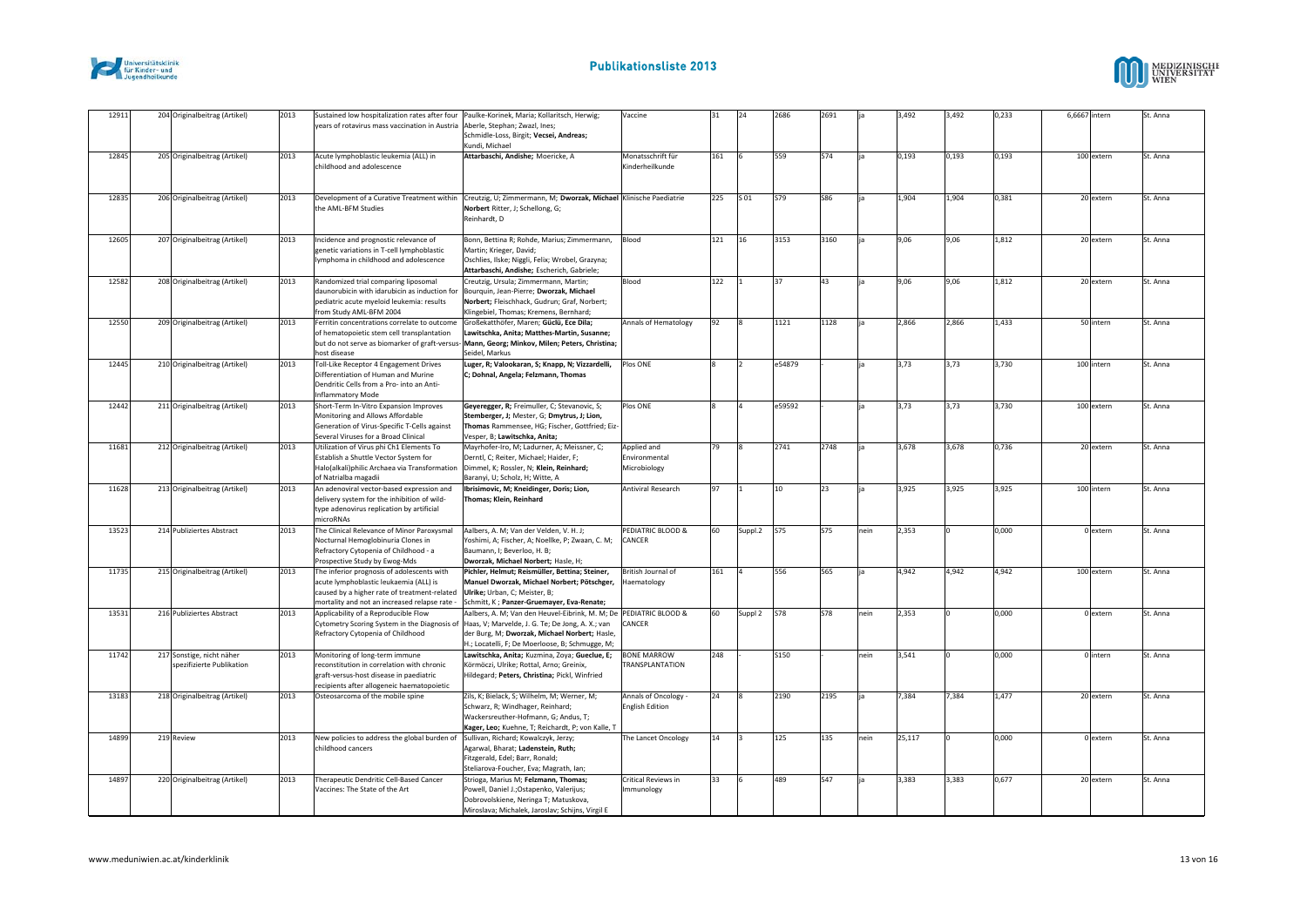



| 12911 | 204 Originalbeitrag (Artikel)                          | 2013 | Sustained low hospitalization rates after four Paulke-Korinek, Maria; Kollaritsch, Herwig;<br>years of rotavirus mass vaccination in Austria Aberle, Stephan; Zwazl, Ines;                                          | Schmidle-Loss, Birgit; Vecsei, Andreas;<br>Kundi, Michael                                                                                                                                                                                                               | Vaccine                                        | 31  | 24                    | 2686        | 2691       |      | 3,492  | 3,492 | 0,233 | 6,6667 intern | St. Anna |
|-------|--------------------------------------------------------|------|---------------------------------------------------------------------------------------------------------------------------------------------------------------------------------------------------------------------|-------------------------------------------------------------------------------------------------------------------------------------------------------------------------------------------------------------------------------------------------------------------------|------------------------------------------------|-----|-----------------------|-------------|------------|------|--------|-------|-------|---------------|----------|
| 12845 | 205 Originalbeitrag (Artikel)                          | 2013 | Acute lymphoblastic leukemia (ALL) in<br>childhood and adolescence                                                                                                                                                  | Attarbaschi, Andishe; Moericke, A                                                                                                                                                                                                                                       | Monatsschrift für<br>Kinderheilkunde           | 161 |                       | 559         | 574        |      | 0,193  | 0,193 | 0,193 | 100 extern    | St. Anna |
| 12835 | 206 Originalbeitrag (Artikel)                          | 2013 | Development of a Curative Treatment within<br>the AML-BFM Studies                                                                                                                                                   | Creutzig, U; Zimmermann, M; Dworzak, Michael Klinische Paediatrie<br>Norbert Ritter, J; Schellong, G;<br>Reinhardt. D                                                                                                                                                   |                                                | 225 | S 01                  | <b>S79</b>  | <b>S86</b> |      | 1,904  | 1,904 | 0,381 | 20 extern     | St. Anna |
| 12605 | 207 Originalbeitrag (Artikel)                          | 2013 | Incidence and prognostic relevance of<br>genetic variations in T-cell lymphoblastic<br>lymphoma in childhood and adolescence                                                                                        | Bonn, Bettina R; Rohde, Marius; Zimmermann,<br>Martin; Krieger, David;<br>Oschlies, Ilske; Niggli, Felix; Wrobel, Grazyna;<br>Attarbaschi, Andishe: Escherich, Gabriele:                                                                                                | Blood                                          | 121 | 16                    | 3153        | 3160       |      | 9,06   | 9,06  | 1,812 | 20 extern     | St. Anna |
| 12582 | 208 Originalbeitrag (Artikel)                          | 2013 | Randomized trial comparing liposomal<br>daunorubicin with idarubicin as induction for<br>pediatric acute myeloid leukemia: results<br>from Study AML-BFM 2004                                                       | Creutzig, Ursula; Zimmermann, Martin;<br>Bourquin, Jean-Pierre; Dworzak, Michael<br>Norbert; Fleischhack, Gudrun; Graf, Norbert;<br>Klingebiel, Thomas; Kremens, Bernhard;                                                                                              | Blood                                          | 122 |                       | 37          | 43         |      | 9,06   | 9,06  | 1,812 | 20 extern     | St. Anna |
| 12550 | 209 Originalbeitrag (Artikel)                          | 2013 | Ferritin concentrations correlate to outcome<br>of hematopoietic stem cell transplantation<br>but do not serve as biomarker of graft-versus-<br>host disease                                                        | Großekatthöfer, Maren; Güclü, Ece Dila;<br>Lawitschka, Anita; Matthes-Martin, Susanne;<br>Mann, Georg; Minkov, Milen; Peters, Christina;<br>Seidel, Markus                                                                                                              | Annals of Hematology                           | 92  |                       | 1121        | 1128       |      | 2,866  | 2,866 | 1,433 | 50 intern     | St. Anna |
| 12445 | 210 Originalbeitrag (Artikel)                          | 2013 | Toll-Like Receptor 4 Engagement Drives<br>Differentiation of Human and Murine<br>Dendritic Cells from a Pro- into an Anti-<br><b>Inflammatory Mode</b>                                                              | Luger, R; Valookaran, S; Knapp, N; Vizzardelli,<br>C; Dohnal, Angela; Felzmann, Thomas                                                                                                                                                                                  | Plos ONE                                       |     |                       | e54879      |            |      | 3,73   | 3,73  | 3,730 | 100 intern    | St. Anna |
| 12442 | 211 Originalbeitrag (Artikel)                          | 2013 | Short-Term In-Vitro Expansion Improves<br>Monitoring and Allows Affordable<br>Generation of Virus-Specific T-Cells against<br>Several Viruses for a Broad Clinical                                                  | Geyeregger, R; Freimuller, C; Stevanovic, S;<br>Stemberger, J; Mester, G; Dmytrus, J; Lion,<br>Thomas Rammensee, HG; Fischer, Gottfried; Eiz-<br>Vesper, B; Lawitschka, Anita;                                                                                          | Plos ONE                                       |     | ١a                    | e59592      |            |      | 3,73   | 3,73  | 3,730 | 100 extern    | St. Anna |
| 11681 | 212 Originalbeitrag (Artikel)                          | 2013 | Utilization of Virus phi Ch1 Elements To<br>Establish a Shuttle Vector System for<br>Halo(alkali)philic Archaea via Transformation<br>of Natrialba magadii                                                          | Mayrhofer-Iro, M; Ladurner, A; Meissner, C;<br>Derntl, C; Reiter, Michael; Haider, F;<br>Dimmel, K; Rossler, N; Klein, Reinhard;<br>Baranyi, U; Scholz, H; Witte, A                                                                                                     | Applied and<br>Environmental<br>Microbiology   | 79  | <b>I</b> <sub>8</sub> | 2741        | 2748       |      | 3,678  | 3,678 | 0,736 | 20 extern     | St. Anna |
| 11628 | 213 Originalbeitrag (Artikel)                          | 2013 | An adenoviral vector-based expression and<br>delivery system for the inhibition of wild-<br>type adenovirus replication by artificial<br>microRNAs                                                                  | Ibrisimovic, M; Kneidinger, Doris; Lion,<br>Thomas; Klein, Reinhard                                                                                                                                                                                                     | Antiviral Research                             | 97  |                       | 10          | 23         |      | 3,925  | 3,925 | 3,925 | 100 intern    | St. Anna |
| 13523 | 214 Publiziertes Abstract                              | 2013 | The Clinical Relevance of Minor Paroxysmal<br>Nocturnal Hemoglobinuria Clones in<br>Refractory Cytopenia of Childhood - a<br>Prospective Study by Ewog-Mds                                                          | Aalbers, A. M; Van der Velden, V. H. J;<br>Yoshimi, A; Fischer, A; Noellke, P; Zwaan, C. M;<br>Baumann, I; Beverloo, H. B;<br>Dworzak, Michael Norbert: Hasle, H:                                                                                                       | PEDIATRIC BLOOD &<br>CANCER                    | 60  | Suppl.2               | <b>S75</b>  | <b>S75</b> | nein | 2,353  |       | 0,000 | 0 extern      | St. Anna |
| 11735 | 215 Originalbeitrag (Artikel)                          | 2013 | The inferior prognosis of adolescents with<br>acute lymphoblastic leukaemia (ALL) is<br>caused by a higher rate of treatment-related Ulrike; Urban, C; Meister, B;<br>mortality and not an increased relapse rate - | Pichler, Helmut; Reismüller, Bettina; Steiner,<br>Manuel Dworzak, Michael Norbert; Pötschger,<br>Schmitt, K; Panzer-Gruemayer, Eva-Renate;                                                                                                                              | British Journal of<br>Haematology              | 161 | $\vert 4 \vert$       | 556         | 565        |      | 4,942  | 4,942 | 4,942 | 100 extern    | St. Anna |
| 13531 | 216 Publiziertes Abstract                              | 2013 | Applicability of a Reproducible Flow<br>Refractory Cytopenia of Childhood                                                                                                                                           | Aalbers, A. M; Van den Heuvel-Eibrink, M. M; De PEDIATRIC BLOOD &<br>Cytometry Scoring System in the Diagnosis of  Haas, V; Marvelde, J. G. Te; De Jong, A. X.; van<br>der Burg, M; Dworzak, Michael Norbert; Hasle,<br>H.; Locatelli, F; De Moerloose, B; Schmugge, M; | CANCER                                         | 60  | Suppl 2               | <b>S78</b>  | <b>S78</b> | nein | 2,353  |       | 0,000 | 0 extern      | St. Anna |
| 11742 | 217 Sonstige, nicht näher<br>spezifizierte Publikation | 2013 | Monitoring of long-term immune<br>reconstitution in correlation with chronic<br>graft-versus-host disease in paediatric<br>recipients after allogeneic haematopoietic                                               | Lawitschka, Anita; Kuzmina, Zoya; Gueclue, E;<br>Körmöczi, Ulrike; Rottal, Arno; Greinix,<br>Hildegard; Peters, Christina; Pickl, Winfried                                                                                                                              | <b>BONE MARROW</b><br><b>TRANSPLANTATION</b>   | 248 |                       | <b>S150</b> |            | nein | 3,541  |       | 0,000 | 0 intern      | St. Anna |
| 13183 | 218 Originalbeitrag (Artikel)                          | 2013 | Osteosarcoma of the mobile spine                                                                                                                                                                                    | Zils, K; Bielack, S; Wilhelm, M; Werner, M;<br>Schwarz, R; Windhager, Reinhard;<br>Wackersreuther-Hofmann, G; Andus, T;<br>Kager, Leo; Kuehne, T; Reichardt, P; von Kalle, T                                                                                            | Annals of Oncology -<br><b>English Edition</b> | 24  |                       | 2190        | 2195       | lia  | 7,384  | 7,384 | 1,477 | 20 extern     | St. Anna |
| 14899 | 219 Review                                             | 2013 | New policies to address the global burden of Sullivan, Richard; Kowalczyk, Jerzy;<br>childhood cancers                                                                                                              | Agarwal, Bharat; Ladenstein, Ruth;<br>Fitzgerald, Edel; Barr, Ronald;<br>Steliarova-Foucher, Eva; Magrath, Ian;                                                                                                                                                         | The Lancet Oncology                            | 14  | $\mathbf{B}$          | 125         | 135        | nein | 25,117 |       | 0,000 | 0 extern      | St. Anna |
| 14897 | 220 Originalbeitrag (Artikel)                          | 2013 | Therapeutic Dendritic Cell-Based Cancer<br>Vaccines: The State of the Art                                                                                                                                           | Strioga, Marius M; Felzmann, Thomas;<br>Powell, Daniel J.;Ostapenko, Valerijus;<br>Dobrovolskiene, Neringa T; Matuskova,<br>Miroslava; Michalek, Jaroslav; Schijns, Virgil E                                                                                            | Critical Reviews in<br>Immunology              | 33  |                       | 489         | 547        |      | 3,383  | 3,383 | 0,677 | 20 extern     | St. Anna |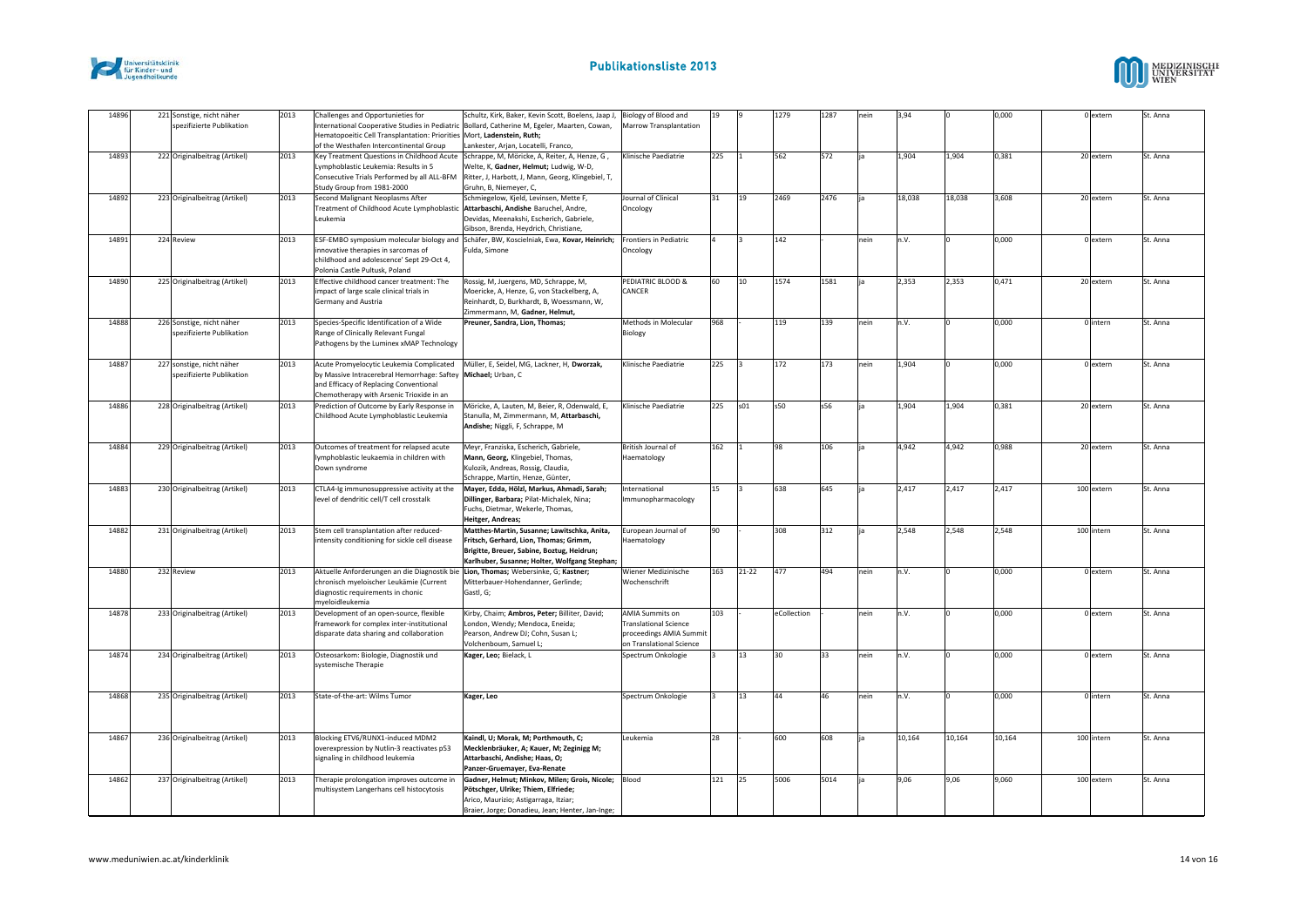



| 14896 | 221 Sonstige, nicht näher<br>spezifizierte Publikation | 2013 | Challenges and Opportunieties for<br>International Cooperative Studies in Pediatric<br>Hematopoeitic Cell Transplantation: Priorities Mort, Ladenstein, Ruth;<br>of the Westhafen Intercontinental Group | Schultz, Kirk, Baker, Kevin Scott, Boelens, Jaap J,<br>Bollard, Catherine M, Egeler, Maarten, Cowan,<br>Lankester, Arjan, Locatelli, Franco,                                                                         | Biology of Blood and<br>Marrow Transplantation                                                                | 19  |           | 1279           | 1287 | nein | 3,94   |        | 0,000  | 0 extern   | St. Anna |
|-------|--------------------------------------------------------|------|----------------------------------------------------------------------------------------------------------------------------------------------------------------------------------------------------------|----------------------------------------------------------------------------------------------------------------------------------------------------------------------------------------------------------------------|---------------------------------------------------------------------------------------------------------------|-----|-----------|----------------|------|------|--------|--------|--------|------------|----------|
| 14893 | 222 Originalbeitrag (Artikel)                          | 2013 | Lymphoblastic Leukemia: Results in 5<br>Consecutive Trials Performed by all ALL-BFM<br>Study Group from 1981-2000                                                                                        | Key Treatment Questions in Childhood Acute   Schrappe, M, Möricke, A, Reiter, A, Henze, G,<br>Welte, K, Gadner, Helmut; Ludwig, W-D,<br>Ritter, J, Harbott, J, Mann, Georg, Klingebiel, T,<br>Gruhn, B, Niemeyer, C, | Klinische Paediatrie                                                                                          | 225 |           | 562            | 572  |      | 1,904  | 1,904  | 0,381  | 20 extern  | St. Anna |
| 14892 | 223 Originalbeitrag (Artikel)                          | 2013 | Second Malignant Neoplasms After<br>Treatment of Childhood Acute Lymphoblastic Attarbaschi, Andishe Baruchel, Andre,<br>Leukemia                                                                         | Schmiegelow, Kjeld, Levinsen, Mette F,<br>Devidas, Meenakshi, Escherich, Gabriele,<br>Gibson, Brenda, Heydrich, Christiane,                                                                                          | Journal of Clinical<br>Oncology                                                                               | 31  | 19        | 2469           | 2476 |      | 18,038 | 18,038 | 3,608  | 20 extern  | St. Anna |
| 14891 | 224 Review                                             | 2013 | innovative therapies in sarcomas of<br>childhood and adolescence' Sept 29-Oct 4,<br>Polonia Castle Pultusk, Poland                                                                                       | ESF-EMBO symposium molecular biology and Schäfer, BW, Koscielniak, Ewa, Kovar, Heinrich;<br>Fulda, Simone                                                                                                            | Frontiers in Pediatric<br>Oncology                                                                            |     |           | 142            |      | nein | n.V.   |        | 0,000  | 0 extern   | St. Anna |
| 14890 | 225 Originalbeitrag (Artikel)                          | 2013 | Effective childhood cancer treatment: The<br>impact of large scale clinical trials in<br>Germany and Austria                                                                                             | Rossig, M, Juergens, MD, Schrappe, M,<br>Moericke, A, Henze, G, von Stackelberg, A,<br>Reinhardt, D, Burkhardt, B, Woessmann, W,<br>Zimmermann, M, Gadner, Helmut,                                                   | PEDIATRIC BLOOD &<br>CANCER                                                                                   | 60  | 10        | 1574           | 1581 |      | 2,353  | 2,353  | 0,471  | 20 extern  | St. Anna |
| 14888 | 226 Sonstige, nicht näher<br>spezifizierte Publikation | 2013 | Species-Specific Identification of a Wide<br>lange of Clinically Relevant Fungal<br>Pathogens by the Luminex xMAP Technology                                                                             | Preuner, Sandra, Lion, Thomas;                                                                                                                                                                                       | Methods in Molecular<br>Biology                                                                               | 968 |           | 119            | 139  | nein | n.V.   |        | 0,000  | 0 intern   | St. Anna |
| 14887 | 227 sonstige, nicht näher<br>spezifizierte Publikation | 2013 | Acute Promyelocytic Leukemia Complicated<br>by Massive Intracerebral Hemorrhage: Saftey Michael; Urban, C<br>and Efficacy of Replacing Conventional<br>Chemotherapy with Arsenic Trioxide in an          | Müller, E, Seidel, MG, Lackner, H, Dworzak,                                                                                                                                                                          | Klinische Paediatrie                                                                                          | 225 |           | 172            | 173  | nein | 1,904  |        | 0,000  | 0 extern   | St. Anna |
| 14886 | 228 Originalbeitrag (Artikel)                          | 2013 | Prediction of Outcome by Early Response in<br>Childhood Acute Lymphoblastic Leukemia                                                                                                                     | Möricke, A, Lauten, M, Beier, R, Odenwald, E,<br>Stanulla, M, Zimmermann, M, Attarbaschi,<br>Andishe; Niggli, F, Schrappe, M                                                                                         | Klinische Paediatrie                                                                                          | 225 | s01       | s50            | s56  |      | 1,904  | 1,904  | 0,381  | 20 extern  | St. Anna |
| 14884 | 229 Originalbeitrag (Artikel)                          | 2013 | Outcomes of treatment for relapsed acute<br>lymphoblastic leukaemia in children with<br>Down syndrome                                                                                                    | Meyr, Franziska, Escherich, Gabriele,<br>Mann, Georg, Klingebiel, Thomas,<br>Kulozik, Andreas, Rossig, Claudia,<br>Schrappe, Martin, Henze, Günter,                                                                  | British Journal of<br>Haematology                                                                             | 162 |           | 98             | 106  |      | 4,942  | 4.942  | 0,988  | 20 extern  | St. Anna |
| 14883 | 230 Originalbeitrag (Artikel)                          | 2013 | CTLA4-Ig immunosuppressive activity at the<br>level of dendritic cell/T cell crosstalk                                                                                                                   | Mayer, Edda, Hölzl, Markus, Ahmadi, Sarah;<br>Dillinger, Barbara; Pilat-Michalek, Nina;<br>Fuchs, Dietmar, Wekerle, Thomas,<br>Heitger, Andreas;                                                                     | International<br>mmunopharmacology                                                                            | 15  |           | 638            | 645  |      | 2,417  | 2,417  | 2,417  | 100 extern | St. Anna |
| 14882 | 231 Originalbeitrag (Artikel)                          | 2013 | Stem cell transplantation after reduced-<br>intensity conditioning for sickle cell disease                                                                                                               | Matthes-Martin, Susanne; Lawitschka, Anita,<br>Fritsch, Gerhard, Lion, Thomas; Grimm,<br>Brigitte, Breuer, Sabine, Boztug, Heidrun;<br>Karlhuber, Susanne; Holter, Wolfgang Stephan;                                 | European Journal of<br>Haematology                                                                            | 90  |           | 308            | 312  |      | 2,548  | 2,548  | 2,548  | 100 intern | St. Anna |
| 14880 | 232 Review                                             | 2013 | Aktuelle Anforderungen an die Diagnostik bie Lion, Thomas; Webersinke, G; Kastner;<br>chronisch myeloischer Leukämie (Current<br>diagnostic requirements in chonic<br>myeloidleukemia                    | Mitterbauer-Hohendanner, Gerlinde;<br>Gastl, G;                                                                                                                                                                      | Wiener Medizinische<br>Wochenschrift                                                                          | 163 | $21 - 22$ | 477            | 494  | nein | n.V.   |        | 0,000  | 0 extern   | St. Anna |
| 14878 | 233 Originalbeitrag (Artikel)                          | 2013 | Development of an open-source, flexible<br>framework for complex inter-institutional<br>disparate data sharing and collaboration                                                                         | Kirby, Chaim; Ambros, Peter; Billiter, David;<br>London, Wendy; Mendoca, Eneida;<br>Pearson, Andrew DJ; Cohn, Susan L;<br>Volchenboum, Samuel L;                                                                     | <b>AMIA Summits on</b><br><b>Translational Science</b><br>proceedings AMIA Summit<br>on Translational Science | 103 |           | eCollection    |      | nein | n.V.   |        | 0,000  | 0 extern   | St. Anna |
| 14874 | 234 Originalbeitrag (Artikel)                          | 2013 | Osteosarkom: Biologie, Diagnostik und<br>systemische Therapie                                                                                                                                            | Kager, Leo; Bielack, L                                                                                                                                                                                               | Spectrum Onkologie                                                                                            |     | 13        | 30             | 33   | nein | n.V.   |        | 0,000  | 0 extern   | St. Anna |
| 14868 | 235 Originalbeitrag (Artikel)                          | 2013 | State-of-the-art: Wilms Tumor                                                                                                                                                                            | Kager, Leo                                                                                                                                                                                                           | Spectrum Onkologie                                                                                            |     | 13        | $\Delta\Delta$ | 46   | nein | n.V.   |        | 0,000  | 0 intern   | St. Anna |
| 14867 | 236 Originalbeitrag (Artikel)                          | 2013 | Blocking ETV6/RUNX1-induced MDM2<br>overexpression by Nutlin-3 reactivates p53<br>signaling in childhood leukemia                                                                                        | Kaindl. U: Morak. M: Porthmouth. C:<br>Mecklenbräuker, A; Kauer, M; Zeginigg M;<br>Attarbaschi, Andishe; Haas, O;<br>Panzer-Gruemayer, Eva-Renate                                                                    | Leukemia                                                                                                      | 28  |           | 600            | 608  |      | 10,164 | 10,164 | 10,164 | 100 intern | St. Anna |
| 14862 | 237 Originalbeitrag (Artikel)                          | 2013 | Therapie prolongation improves outcome in<br>nultisystem Langerhans cell histocytosis                                                                                                                    | Gadner, Helmut; Minkov, Milen; Grois, Nicole;<br>Pötschger, Ulrike; Thiem, Elfriede;<br>Arico, Maurizio; Astigarraga, Itziar;<br>Braier, Jorge; Donadieu, Jean; Henter, Jan-Inge;                                    | Blood                                                                                                         | 121 | 25        | 5006           | 5014 |      | 9,06   | 9,06   | 9,060  | 100 extern | St. Anna |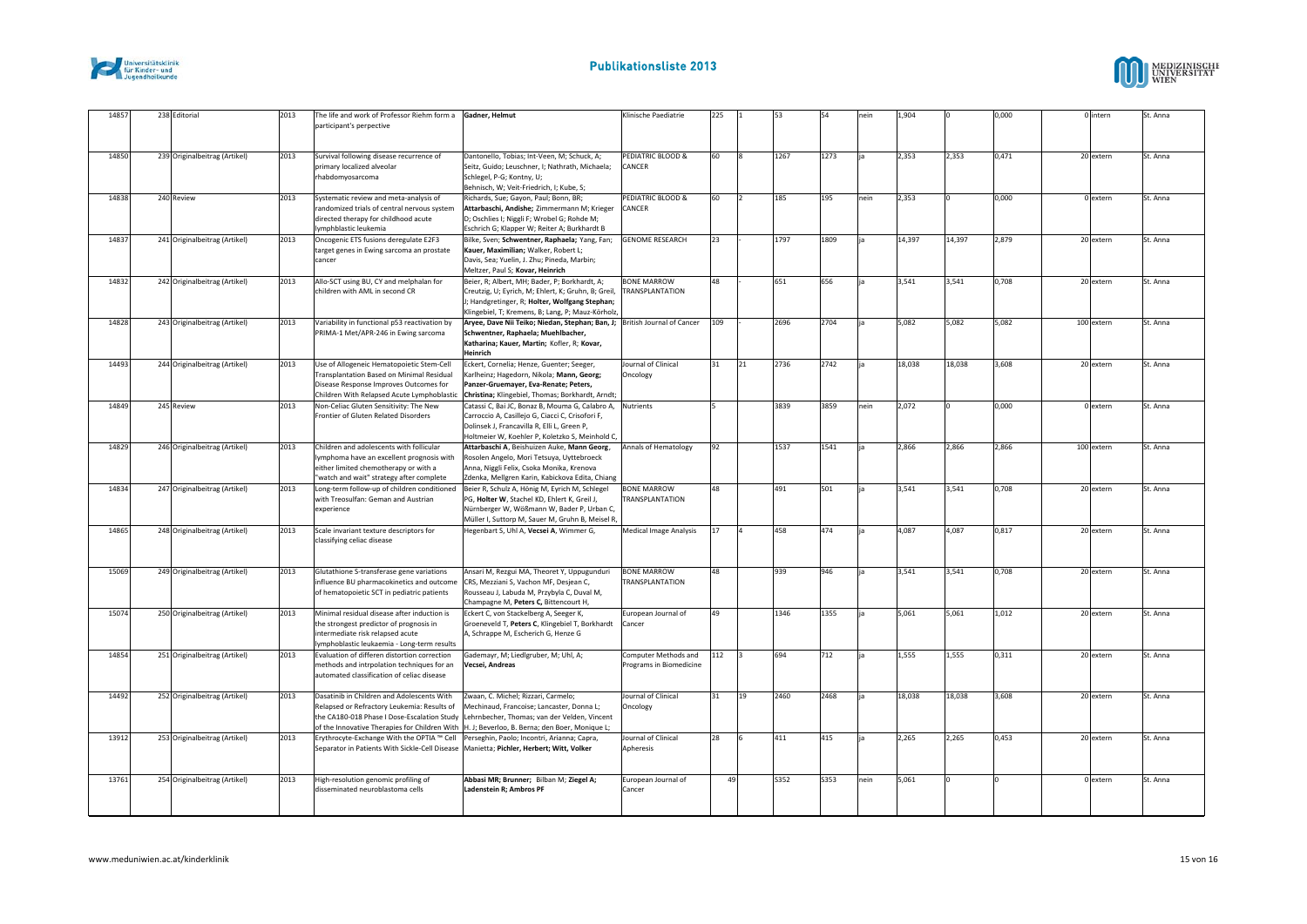



| 14857 | 238 Editorial                 | 2013 | The life and work of Professor Riehm form a<br>participant's perpective                                                                                                        | Gadner, Helmut                                                                                                                                                                                                                                                                 | Klinische Paediatrie                            | 225 |              | 53   |      | nein | 1,904  |        | 0,000 | 0 intern   | St. Anna |
|-------|-------------------------------|------|--------------------------------------------------------------------------------------------------------------------------------------------------------------------------------|--------------------------------------------------------------------------------------------------------------------------------------------------------------------------------------------------------------------------------------------------------------------------------|-------------------------------------------------|-----|--------------|------|------|------|--------|--------|-------|------------|----------|
| 14850 | 239 Originalbeitrag (Artikel) | 2013 | Survival following disease recurrence of<br>primary localized alveolar<br>rhabdomyosarcoma                                                                                     | Dantonello, Tobias; Int-Veen, M; Schuck, A;<br>Seitz, Guido; Leuschner, I; Nathrath, Michaela;<br>Schlegel, P-G; Kontny, U;<br>Behnisch, W; Veit-Friedrich, I; Kube, S;                                                                                                        | PEDIATRIC BLOOD &<br>CANCER                     | 60  |              | 1267 | 1273 |      | 2,353  | 2,353  | 0,471 | 20 extern  | St. Anna |
| 14838 | 240 Review                    | 2013 | Systematic review and meta-analysis of<br>randomized trials of central nervous system<br>directed therapy for childhood acute<br>lymphblastic leukemia                         | Richards, Sue; Gayon, Paul; Bonn, BR;<br>Attarbaschi, Andishe; Zimmermann M; Krieger<br>D; Oschlies I; Niggli F; Wrobel G; Rohde M;<br>Eschrich G; Klapper W; Reiter A; Burkhardt B                                                                                            | PEDIATRIC BLOOD &<br>CANCER                     | 60  | l2           | 185  | 195  | nein | 2,353  |        | 0,000 | 0 extern   | St. Anna |
| 14837 | 241 Originalbeitrag (Artikel) | 2013 | Oncogenic ETS fusions deregulate E2F3<br>target genes in Ewing sarcoma an prostate<br>cancer                                                                                   | Bilke, Sven; Schwentner, Raphaela; Yang, Fan;<br>Kauer, Maximilian; Walker, Robert L;<br>Davis, Sea; Yuelin, J. Zhu; Pineda, Marbin;<br>Meltzer, Paul S; Kovar, Heinrich                                                                                                       | <b>GENOME RESEARCH</b>                          | 23  |              | 1797 | 1809 |      | 14,397 | 14,397 | 2,879 | 20 extern  | St. Anna |
| 14832 | 242 Originalbeitrag (Artikel) | 2013 | Allo-SCT using BU, CY and melphalan for<br>children with AML in second CR                                                                                                      | Beier, R; Albert, MH; Bader, P; Borkhardt, A;<br>Creutzig, U; Eyrich, M; Ehlert, K; Gruhn, B; Greil,<br>J; Handgretinger, R; Holter, Wolfgang Stephan;<br>Klingebiel, T; Kremens, B; Lang, P; Mauz-Körholz,                                                                    | <b>BONE MARROW</b><br>TRANSPLANTATION           | 48  |              | 651  | 656  |      | 3.541  | 3.541  | 0.708 | 20 extern  | St. Anna |
| 14828 | 243 Originalbeitrag (Artikel) | 2013 | Variability in functional p53 reactivation by<br>PRIMA-1 Met/APR-246 in Ewing sarcoma                                                                                          | Aryee, Dave Nii Teiko; Niedan, Stephan; Ban, J; British Journal of Cancer<br>Schwentner, Raphaela; Muehlbacher,<br>Katharina; Kauer, Martin; Kofler, R; Kovar,<br>Heinrich                                                                                                     |                                                 | 109 |              | 2696 | 2704 |      | 5.082  | 5.082  | 5.082 | 100 extern | St. Anna |
| 14493 | 244 Originalbeitrag (Artikel) | 2013 | Use of Allogeneic Hematopoietic Stem-Cell<br>Transplantation Based on Minimal Residual<br>Disease Response Improves Outcomes for<br>Children With Relapsed Acute Lymphoblastic | Eckert, Cornelia; Henze, Guenter; Seeger,<br>Karlheinz; Hagedorn, Nikola; Mann, Georg;<br>Panzer-Gruemayer, Eva-Renate; Peters,<br>Christina; Klingebiel, Thomas; Borkhardt, Arndt;                                                                                            | Journal of Clinical<br>Oncology                 | 31  | 21           | 2736 | 2742 |      | 18,038 | 18,038 | 3,608 | 20 extern  | St. Anna |
| 14849 | 245 Review                    | 2013 | Non-Celiac Gluten Sensitivity: The New<br>Frontier of Gluten Related Disorders                                                                                                 | Catassi C, Bai JC, Bonaz B, Mouma G, Calabro A,<br>Carroccio A, Casillejo G, Ciacci C, Crisofori F,<br>Dolinsek J, Francavilla R, Elli L, Green P,<br>Holtmeier W, Koehler P, Koletzko S, Meinhold C,                                                                          | <b>Nutrients</b>                                |     |              | 3839 | 3859 | nein | 2,072  |        | 0.000 | 0 extern   | St. Anna |
| 14829 | 246 Originalbeitrag (Artikel) | 2013 | Children and adolescents with follicular<br>lymphoma have an excellent prognosis with<br>either limited chemotherapy or with a<br>'watch and wait" strategy after complete     | Attarbaschi A, Beishuizen Auke, Mann Georg,<br>Rosolen Angelo, Mori Tetsuya, Uyttebroeck<br>Anna, Niggli Felix, Csoka Monika, Krenova<br>Zdenka, Mellgren Karin, Kabickova Edita, Chiang                                                                                       | Annals of Hematology                            | 92  |              | 1537 | 1541 |      | 2.866  | 2,866  | 2.866 | 100 extern | St. Anna |
| 14834 | 247 Originalbeitrag (Artikel) | 2013 | Long-term follow-up of children conditioned<br>with Treosulfan: Geman and Austrian<br>experience                                                                               | Beier R, Schulz A, Hönig M, Eyrich M, Schlegel<br>PG, Holter W, Stachel KD, Ehlert K, Greil J,<br>Nürnberger W, Wößmann W, Bader P, Urban C,<br>Müller I, Suttorp M, Sauer M, Gruhn B, Meisel R,                                                                               | <b>BONE MARROW</b><br>TRANSPLANTATION           | 48  |              | 491  | 501  |      | 3,541  | 3,541  | 0.708 | 20 extern  | St. Anna |
| 14865 | 248 Originalbeitrag (Artikel) | 2013 | Scale invariant texture descriptors for<br>classifying celiac disease                                                                                                          | Hegenbart S, Uhl A, Vecsei A, Wimmer G,                                                                                                                                                                                                                                        | Medical Image Analysis                          | 17  | ۱a           | 458  | 474  |      | 4,087  | 4,087  | 0.817 | 20 extern  | St. Anna |
| 15069 | 249 Originalbeitrag (Artikel) | 2013 | Glutathione S-transferase gene variations<br>influence BU pharmacokinetics and outcome<br>of hematopoietic SCT in pediatric patients                                           | Ansari M, Rezgui MA, Theoret Y, Uppugunduri<br>CRS, Mezziani S, Vachon MF, Desjean C,<br>Rousseau J, Labuda M, Przybyla C, Duval M,<br>Champagne M, Peters C, Bittencourt H,                                                                                                   | <b>BONE MARROW</b><br><b>TRANSPLANTATION</b>    | 48  |              | 939  | 946  |      | 3,541  | 3,541  | 0,708 | 20 extern  | St. Anna |
| 15074 | 250 Originalbeitrag (Artikel) | 2013 | Minimal residual disease after induction is<br>the strongest predictor of prognosis in<br>intermediate risk relapsed acute<br>lymphoblastic leukaemia - Long-term results      | Eckert C, von Stackelberg A, Seeger K,<br>Groeneveld T, Peters C, Klingebiel T, Borkhardt<br>A. Schrappe M. Escherich G. Henze G                                                                                                                                               | European Journal of<br>Cancer                   | 49  |              | 1346 | 1355 |      | 5,061  | 5,061  | 1,012 | 20 extern  | St. Anna |
| 14854 | 251 Originalbeitrag (Artikel) | 2013 | Evaluation of differen distortion correction<br>methods and intrpolation techniques for an<br>automated classification of celiac disease                                       | Gademayr, M; Liedlgruber, M; Uhl, A;<br>Vecsei, Andreas                                                                                                                                                                                                                        | Computer Methods and<br>Programs in Biomedicine | 112 | lз           | 694  | 712  |      | 1,555  | 1,555  | 0,311 | 20 extern  | St. Anna |
| 14492 | 252 Originalbeitrag (Artikel) | 2013 | Dasatinib in Children and Adolescents With<br>Relapsed or Refractory Leukemia: Results of                                                                                      | Zwaan, C. Michel; Rizzari, Carmelo;<br>Mechinaud, Francoise; Lancaster, Donna L;<br>the CA180-018 Phase I Dose-Escalation Study Lehrnbecher, Thomas; van der Velden, Vincent<br>of the Innovative Therapies for Children With   H. J; Beverloo, B. Berna; den Boer, Monique L; | Journal of Clinical<br>Oncology                 | 31  | $ 19\rangle$ | 2460 | 2468 |      | 18,038 | 18,038 | 3,608 | 20 extern  | St. Anna |
| 13912 | 253 Originalbeitrag (Artikel) | 2013 | Erythrocyte-Exchange With the OPTIA ™ Cell<br>Separator in Patients With Sickle-Cell Disease Manietta; Pichler, Herbert; Witt, Volker                                          | Perseghin, Paolo; Incontri, Arianna; Capra,                                                                                                                                                                                                                                    | Journal of Clinical<br>Apheresis                | 28  | l6           | 411  | 415  |      | 2,265  | 2,265  | 0,453 | 20 extern  | St. Anna |
| 13761 | 254 Originalbeitrag (Artikel) | 2013 | High-resolution genomic profiling of<br>disseminated neuroblastoma cells                                                                                                       | Abbasi MR; Brunner; Bilban M; Ziegel A;<br>Ladenstein R; Ambros PF                                                                                                                                                                                                             | European Journal of<br>Cancer                   | 49  |              | S352 | S353 | nein | 5,061  |        |       | 0 extern   | St. Anna |